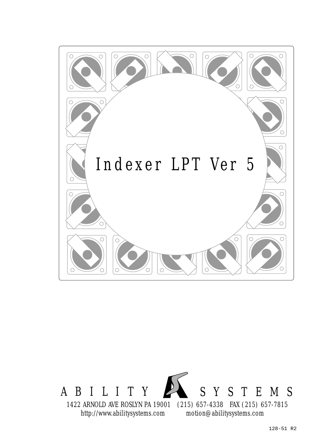

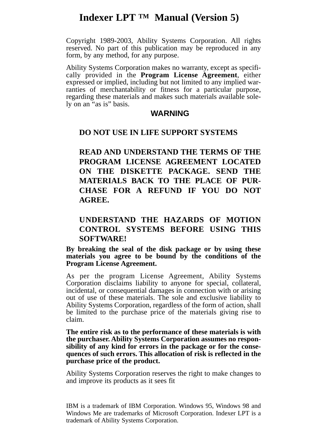# **Indexer LPT TM Manual (Version 5)**

Copyright 1989-2003, Ability Systems Corporation. All rights reserved. No part of this publication may be reproduced in any form, by any method, for any purpose.

Ability Systems Corporation makes no warranty, except as specifically provided in the **Program License Agreement**, either expressed or implied, including but not limited to any implied warranties of merchantability or fitness for a particular purpose, regarding these materials and makes such materials available solely on an "as is" basis.

#### **WARNING**

#### **DO NOT USE IN LIFE SUPPORT SYSTEMS**

**READ AND UNDERSTAND THE TERMS OF THE PROGRAM LICENSE AGREEMENT LOCATED ON THE DISKETTE PACKAGE. SEND THE MATERIALS BACK TO THE PLACE OF PUR-CHASE FOR A REFUND IF YOU DO NOT AGREE.**

#### **UNDERSTAND THE HAZARDS OF MOTION CONTROL SYSTEMS BEFORE USING THIS SOFTWARE!**

**By breaking the seal of the disk package or by using these materials you agree to be bound by the conditions of the Program License Agreement.**

As per the program License Agreement, Ability Systems Corporation disclaims liability to anyone for special, collateral, incidental, or consequential damages in connection with or arising out of use of these materials. The sole and exclusive liability to Ability Systems Corporation, regardless of the form of action, shall be limited to the purchase price of the materials giving rise to claim.

**The entire risk as to the performance of these materials is with the purchaser. Ability Systems Corporation assumes no responsibility of any kind for errors in the package or for the consequences of such errors. This allocation of risk is reflected in the purchase price of the product.**

Ability Systems Corporation reserves the right to make changes to and improve its products as it sees fit

IBM is a trademark of IBM Corporation. Windows 95, Windows 98 and Windows Me are trademarks of Microsoft Corporation. Indexer LPT is a trademark of Ability Systems Corporation.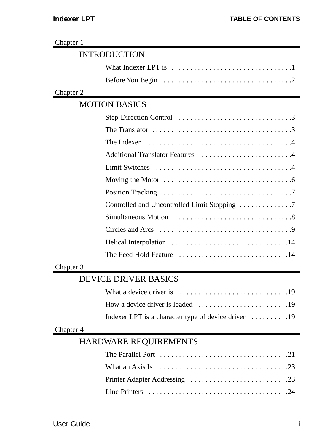| Chapter 1 |                                                                                        |
|-----------|----------------------------------------------------------------------------------------|
|           | <b>INTRODUCTION</b>                                                                    |
|           | What Indexer LPT is $\dots\dots\dots\dots\dots\dots\dots\dots\dots\dots\dots\dots$     |
|           | Before You Begin                                                                       |
| Chapter 2 |                                                                                        |
|           | <b>MOTION BASICS</b>                                                                   |
|           |                                                                                        |
|           | The Translator $\ldots \ldots \ldots \ldots \ldots \ldots \ldots \ldots \ldots \ldots$ |
|           | The Indexer                                                                            |
|           | Additional Translator Features 4                                                       |
|           | <b>Limit Switches</b>                                                                  |
|           | Moving the Motor $\dots \dots \dots \dots \dots \dots \dots \dots \dots \dots \dots$   |
|           | Position Tracking                                                                      |
|           |                                                                                        |
|           |                                                                                        |
|           | Circles and Arcs                                                                       |
|           |                                                                                        |
|           | The Feed Hold Feature $\dots\dots\dots\dots\dots\dots\dots\dots\dots\dots$             |
| Chapter 3 |                                                                                        |
|           | <b>DEVICE DRIVER BASICS</b>                                                            |
|           | What a device driver is                                                                |
|           |                                                                                        |
|           | Indexer LPT is a character type of device driver 19                                    |
| Chapter 4 |                                                                                        |
|           | <b>HARDWARE REQUIREMENTS</b>                                                           |
|           | The Parallel Port $\ldots \ldots \ldots \ldots \ldots \ldots \ldots \ldots \ldots$     |
|           | What an Axis Is                                                                        |
|           |                                                                                        |
|           |                                                                                        |
|           |                                                                                        |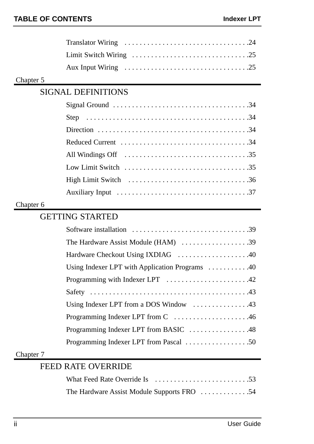#### Chapter 5

# SIGNAL DEFINITIONS

| Reduced Current $\dots\dots\dots\dots\dots\dots\dots\dots\dots\dots\dots34$                      |
|--------------------------------------------------------------------------------------------------|
|                                                                                                  |
| Low Limit Switch $\ldots \ldots \ldots \ldots \ldots \ldots \ldots \ldots \ldots \ldots$         |
| High Limit Switch $\ldots \ldots \ldots \ldots \ldots \ldots \ldots \ldots \ldots \ldots \ldots$ |
|                                                                                                  |

#### Chapter 6

## GETTING STARTED

#### Chapter 7

## FEED RATE OVERRIDE

| The Hardware Assist Module Supports FRO 54 |  |  |
|--------------------------------------------|--|--|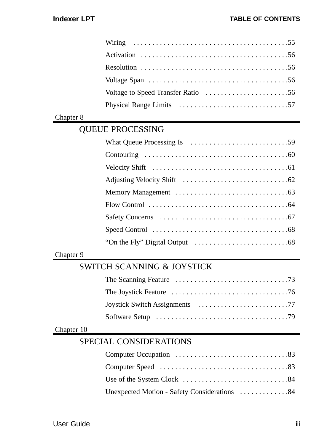|            | Wiring                                                                   |
|------------|--------------------------------------------------------------------------|
|            | Activation                                                               |
|            |                                                                          |
|            |                                                                          |
|            |                                                                          |
|            | Physical Range Limits                                                    |
| Chapter 8  |                                                                          |
|            | <b>QUEUE PROCESSING</b>                                                  |
|            |                                                                          |
|            |                                                                          |
|            |                                                                          |
|            |                                                                          |
|            |                                                                          |
|            |                                                                          |
|            |                                                                          |
|            |                                                                          |
|            |                                                                          |
| Chapter 9  |                                                                          |
|            | <b>SWITCH SCANNING &amp; JOYSTICK</b>                                    |
|            |                                                                          |
|            |                                                                          |
|            |                                                                          |
|            | Software Setup $\dots\dots\dots\dots\dots\dots\dots\dots\dots\dots\dots$ |
| Chapter 10 |                                                                          |
|            | SPECIAL CONSIDERATIONS                                                   |
|            |                                                                          |
|            |                                                                          |
|            |                                                                          |
|            | Unexpected Motion - Safety Considerations 84                             |
|            |                                                                          |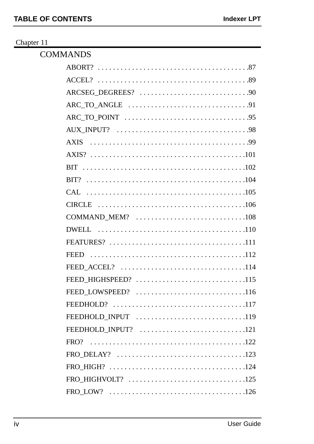#### Chapter 11

| <b>COMMANDS</b>     |
|---------------------|
|                     |
|                     |
|                     |
|                     |
|                     |
|                     |
| <b>AXIS</b>         |
|                     |
|                     |
|                     |
|                     |
|                     |
|                     |
|                     |
|                     |
|                     |
|                     |
| FEED_HIGHSPEED? 115 |
| FEED LOWSPEED? 116  |
|                     |
| FEEDHOLD_INPUT 119  |
| FEEDHOLD INPUT? 121 |
| FRO?                |
|                     |
|                     |
|                     |
|                     |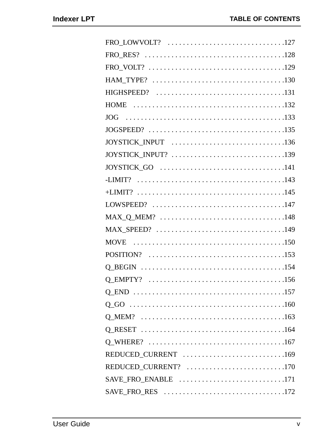| FRO_RES? $\dots\dots\dots\dots\dots\dots\dots\dots\dots\dots\dots\dots\dots\dots$ |
|-----------------------------------------------------------------------------------|
|                                                                                   |
|                                                                                   |
|                                                                                   |
|                                                                                   |
|                                                                                   |
|                                                                                   |
|                                                                                   |
|                                                                                   |
|                                                                                   |
|                                                                                   |
|                                                                                   |
|                                                                                   |
|                                                                                   |
|                                                                                   |
|                                                                                   |
|                                                                                   |
|                                                                                   |
|                                                                                   |
|                                                                                   |
|                                                                                   |
|                                                                                   |
|                                                                                   |
|                                                                                   |
| REDUCED_CURRENT 169                                                               |
| REDUCED_CURRENT? 170                                                              |
| SAVE_FRO_ENABLE 171                                                               |
|                                                                                   |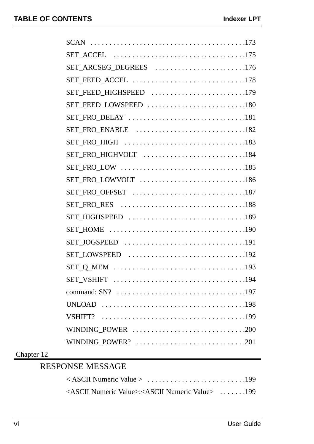| SET_ARCSEG_DEGREES 176 |
|------------------------|
| SET_FEED_ACCEL 178     |
| SET_FEED_HIGHSPEED 179 |
| SET_FEED_LOWSPEED 180  |
|                        |
| SET_FRO_ENABLE 182     |
|                        |
| SET_FRO_HIGHVOLT 184   |
|                        |
| SET_FRO_LOWVOLT 186    |
|                        |
|                        |
|                        |
|                        |
|                        |
|                        |
|                        |
|                        |
|                        |
|                        |
|                        |
| WINDING_POWER 200      |
| WINDING_POWER? 201     |
|                        |

#### Chapter 12

# RESPONSE MESSAGE

| <ascii numeric="" value="">:<ascii numeric="" value=""> 199</ascii></ascii> |  |
|-----------------------------------------------------------------------------|--|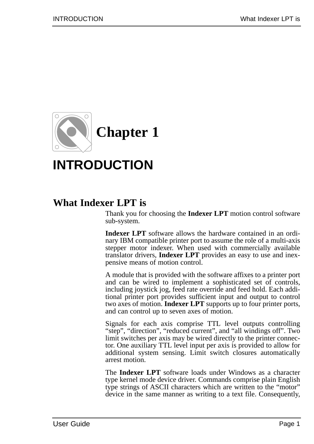

# **INTRODUCTION**

# **What Indexer LPT is**

Thank you for choosing the **Indexer LPT** motion control software sub-system.

**Indexer LPT** software allows the hardware contained in an ordinary IBM compatible printer port to assume the role of a multi-axis stepper motor indexer. When used with commercially available translator drivers, **Indexer LPT** provides an easy to use and inexpensive means of motion control.

A module that is provided with the software affixes to a printer port and can be wired to implement a sophisticated set of controls, including joystick jog, feed rate override and feed hold. Each additional printer port provides sufficient input and output to control two axes of motion. **Indexer LPT** supports up to four printer ports, and can control up to seven axes of motion.

Signals for each axis comprise TTL level outputs controlling "step", "direction", "reduced current", and "all windings off". Two limit switches per axis may be wired directly to the printer connector. One auxiliary TTL level input per axis is provided to allow for additional system sensing. Limit switch closures automatically arrest motion.

The **Indexer LPT** software loads under Windows as a character type kernel mode device driver. Commands comprise plain English type strings of ASCII characters which are written to the "motor" device in the same manner as writing to a text file. Consequently,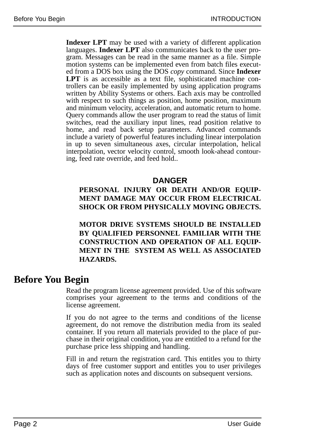**Indexer LPT** may be used with a variety of different application languages. **Indexer LPT** also communicates back to the user program. Messages can be read in the same manner as a file. Simple motion systems can be implemented even from batch files executed from a DOS box using the DOS *copy* command. Since **Indexer LPT** is as accessible as a text file, sophisticated machine controllers can be easily implemented by using application programs written by Ability Systems or others. Each axis may be controlled with respect to such things as position, home position, maximum and minimum velocity, acceleration, and automatic return to home. Query commands allow the user program to read the status of limit switches, read the auxiliary input lines, read position relative to home, and read back setup parameters. Advanced commands include a variety of powerful features including linear interpolation in up to seven simultaneous axes, circular interpolation, helical interpolation, vector velocity control, smooth look-ahead contouring, feed rate override, and feed hold..

#### **DANGER**

#### **PERSONAL INJURY OR DEATH AND/OR EQUIP-MENT DAMAGE MAY OCCUR FROM ELECTRICAL SHOCK OR FROM PHYSICALLY MOVING OBJECTS.**

**MOTOR DRIVE SYSTEMS SHOULD BE INSTALLED BY QUALIFIED PERSONNEL FAMILIAR WITH THE CONSTRUCTION AND OPERATION OF ALL EQUIP-MENT IN THE SYSTEM AS WELL AS ASSOCIATED HAZARDS.**

# **Before You Begin**

Read the program license agreement provided. Use of this software comprises your agreement to the terms and conditions of the license agreement.

If you do not agree to the terms and conditions of the license agreement, do not remove the distribution media from its sealed container. If you return all materials provided to the place of purchase in their original condition, you are entitled to a refund for the purchase price less shipping and handling.

Fill in and return the registration card. This entitles you to thirty days of free customer support and entitles you to user privileges such as application notes and discounts on subsequent versions.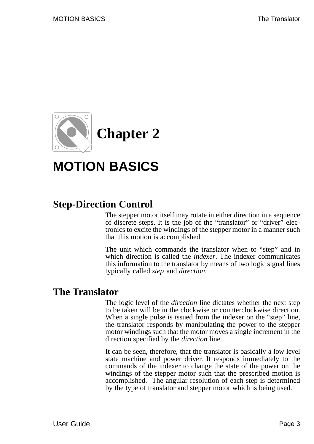

# **MOTION BASICS**

# **Step-Direction Control**

The stepper motor itself may rotate in either direction in a sequence of discrete steps. It is the job of the "translator" or "driver" electronics to excite the windings of the stepper motor in a manner such that this motion is accomplished.

The unit which commands the translator when to "step" and in which direction is called the *indexer*. The indexer communicates this information to the translator by means of two logic signal lines typically called *step* and *direction*.

# **The Translator**

The logic level of the *direction* line dictates whether the next step to be taken will be in the clockwise or counterclockwise direction. When a single pulse is issued from the indexer on the "step" line, the translator responds by manipulating the power to the stepper motor windings such that the motor moves a single increment in the direction specified by the *direction* line.

It can be seen, therefore, that the translator is basically a low level state machine and power driver. It responds immediately to the commands of the indexer to change the state of the power on the windings of the stepper motor such that the prescribed motion is accomplished. The angular resolution of each step is determined by the type of translator and stepper motor which is being used.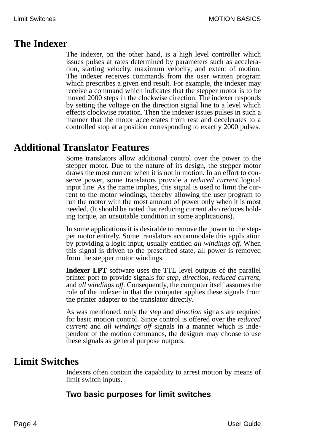# **The Indexer**

The indexer, on the other hand, is a high level controller which issues pulses at rates determined by parameters such as acceleration, starting velocity, maximum velocity, and extent of motion. The indexer receives commands from the user written program which prescribes a given end result. For example, the indexer may receive a command which indicates that the stepper motor is to be moved 2000 steps in the clockwise direction. The indexer responds by setting the voltage on the direction signal line to a level which effects clockwise rotation. Then the indexer issues pulses in such a manner that the motor accelerates from rest and decelerates to a controlled stop at a position corresponding to exactly 2000 pulses.

# **Additional Translator Features**

Some translators allow additional control over the power to the stepper motor. Due to the nature of its design, the stepper motor draws the most current when it is not in motion. In an effort to conserve power, some translators provide a *reduced current* logical input line. As the name implies, this signal is used to limit the current to the motor windings, thereby allowing the user program to run the motor with the most amount of power only when it is most needed. (It should be noted that reducing current also reduces holding torque, an unsuitable condition in some applications).

In some applications it is desirable to remove the power to the stepper motor entirely. Some translators accommodate this application by providing a logic input, usually entitled *all windings off*. When this signal is driven to the prescribed state, all power is removed from the stepper motor windings.

**Indexer LPT** software uses the TTL level outputs of the parallel printer port to provide signals for *step*, *direction*, *reduced current*, and *all windings off*. Consequently, the computer itself assumes the role of the indexer in that the computer applies these signals from the printer adapter to the translator directly.

As was mentioned, only the *step* and *direction* signals are required for basic motion control. Since control is offered over the *reduced current* and *all windings off* signals in a manner which is independent of the motion commands, the designer may choose to use these signals as general purpose outputs.

# **Limit Switches**

Indexers often contain the capability to arrest motion by means of limit switch inputs.

### **Two basic purposes for limit switches**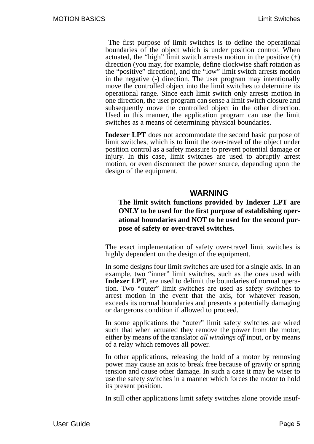The first purpose of limit switches is to define the operational boundaries of the object which is under position control. When actuated, the "high" limit switch arrests motion in the positive  $(+)$ direction (you may, for example, define clockwise shaft rotation as the "positive" direction), and the "low" limit switch arrests motion in the negative (-) direction. The user program may intentionally move the controlled object into the limit switches to determine its operational range. Since each limit switch only arrests motion in one direction, the user program can sense a limit switch closure and subsequently move the controlled object in the other direction. Used in this manner, the application program can use the limit switches as a means of determining physical boundaries.

**Indexer LPT** does not accommodate the second basic purpose of limit switches, which is to limit the over-travel of the object under position control as a safety measure to prevent potential damage or injury. In this case, limit switches are used to abruptly arrest motion, or even disconnect the power source, depending upon the design of the equipment.

#### **WARNING**

**The limit switch functions provided by Indexer LPT are ONLY to be used for the first purpose of establishing operational boundaries and NOT to be used for the second purpose of safety or over-travel switches.**

The exact implementation of safety over-travel limit switches is highly dependent on the design of the equipment.

In some designs four limit switches are used for a single axis. In an example, two "inner" limit switches, such as the ones used with **Indexer LPT**, are used to delimit the boundaries of normal operation. Two "outer" limit switches are used as safety switches to arrest motion in the event that the axis, for whatever reason, exceeds its normal boundaries and presents a potentially damaging or dangerous condition if allowed to proceed.

In some applications the "outer" limit safety switches are wired such that when actuated they remove the power from the motor, either by means of the translator *all windings off* input, or by means of a relay which removes all power.

In other applications, releasing the hold of a motor by removing power may cause an axis to break free because of gravity or spring tension and cause other damage. In such a case it may be wiser to use the safety switches in a manner which forces the motor to hold its present position.

In still other applications limit safety switches alone provide insuf-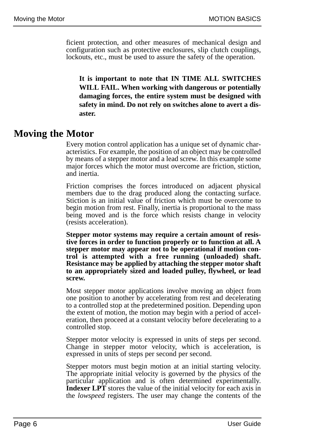ficient protection, and other measures of mechanical design and configuration such as protective enclosures, slip clutch couplings, lockouts, etc., must be used to assure the safety of the operation.

**It is important to note that IN TIME ALL SWITCHES WILL FAIL. When working with dangerous or potentially damaging forces, the entire system must be designed with safety in mind. Do not rely on switches alone to avert a disaster.**

### **Moving the Motor**

Every motion control application has a unique set of dynamic characteristics. For example, the position of an object may be controlled by means of a stepper motor and a lead screw. In this example some major forces which the motor must overcome are friction, stiction, and inertia.

Friction comprises the forces introduced on adjacent physical members due to the drag produced along the contacting surface. Stiction is an initial value of friction which must be overcome to begin motion from rest. Finally, inertia is proportional to the mass being moved and is the force which resists change in velocity (resists acceleration).

**Stepper motor systems may require a certain amount of resistive forces in order to function properly or to function at all. A stepper motor may appear not to be operational if motion control is attempted with a free running (unloaded) shaft. Resistance may be applied by attaching the stepper motor shaft to an appropriately sized and loaded pulley, flywheel, or lead screw.**

Most stepper motor applications involve moving an object from one position to another by accelerating from rest and decelerating to a controlled stop at the predetermined position. Depending upon the extent of motion, the motion may begin with a period of acceleration, then proceed at a constant velocity before decelerating to a controlled stop.

Stepper motor velocity is expressed in units of steps per second. Change in stepper motor velocity, which is acceleration, is expressed in units of steps per second per second.

Stepper motors must begin motion at an initial starting velocity. The appropriate initial velocity is governed by the physics of the particular application and is often determined experimentally. **Indexer LPT** stores the value of the initial velocity for each axis in the *lowspeed* registers. The user may change the contents of the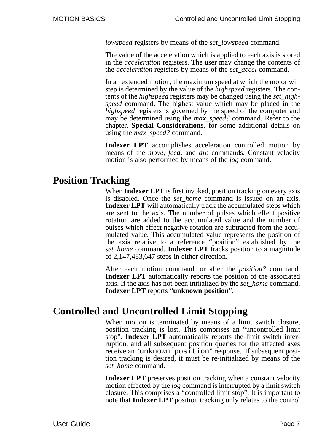*lowspeed* registers by means of the *set\_lowspeed* command.

The value of the acceleration which is applied to each axis is stored in the *acceleration* registers. The user may change the contents of the *acceleration* registers by means of the *set\_accel* command.

In an extended motion, the maximum speed at which the motor will step is determined by the value of the *highspeed* registers. The contents of the *highspeed* registers may be changed using the *set\_highspeed* command. The highest value which may be placed in the *highspeed* registers is governed by the speed of the computer and may be determined using the *max\_speed?* command. Refer to the chapter, **Special Considerations**, for some additional details on using the *max\_speed?* command.

**Indexer LPT** accomplishes acceleration controlled motion by means of the *move*, *feed*, and *arc* commands. Constant velocity motion is also performed by means of the *jog* command.

# **Position Tracking**

When **Indexer LPT** is first invoked, position tracking on every axis is disabled. Once the *set\_home* command is issued on an axis, **Indexer LPT** will automatically track the accumulated steps which are sent to the axis. The number of pulses which effect positive rotation are added to the accumulated value and the number of pulses which effect negative rotation are subtracted from the accumulated value. This accumulated value represents the position of the axis relative to a reference "position" established by the *set\_home* command. **Indexer LPT** tracks position to a magnitude of 2,147,483,647 steps in either direction.

After each motion command, or after the *position?* command, **Indexer LPT** automatically reports the position of the associated axis. If the axis has not been initialized by the *set\_home* command, **Indexer LPT** reports "**unknown position**".

# **Controlled and Uncontrolled Limit Stopping**

When motion is terminated by means of a limit switch closure, position tracking is lost. This comprises an "uncontrolled limit stop". **Indexer LPT** automatically reports the limit switch interruption, and all subsequent position queries for the affected axes receive an "unknown position" response. If subsequent position tracking is desired, it must be re-initialized by means of the *set\_home* command.

**Indexer LPT** preserves position tracking when a constant velocity motion effected by the *jog* command is interrupted by a limit switch closure. This comprises a "controlled limit stop". It is important to note that **Indexer LPT** position tracking only relates to the control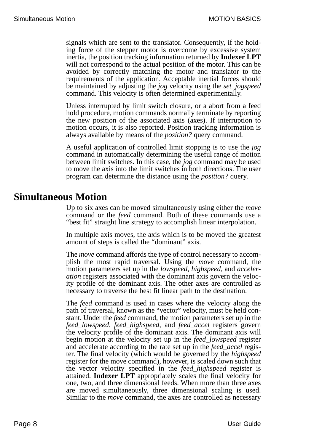signals which are sent to the translator. Consequently, if the holding force of the stepper motor is overcome by excessive system inertia, the position tracking information returned by **Indexer LPT** will not correspond to the actual position of the motor. This can be avoided by correctly matching the motor and translator to the requirements of the application. Acceptable inertial forces should be maintained by adjusting the *jog* velocity using the *set\_jogspeed* command. This velocity is often determined experimentally.

Unless interrupted by limit switch closure, or a abort from a feed hold procedure, motion commands normally terminate by reporting the new position of the associated axis (axes). If interruption to motion occurs, it is also reported. Position tracking information is always available by means of the *position?* query command.

A useful application of controlled limit stopping is to use the *jog* command in automatically determining the useful range of motion between limit switches. In this case, the *jog* command may be used to move the axis into the limit switches in both directions. The user program can determine the distance using the *position?* query.

### **Simultaneous Motion**

Up to six axes can be moved simultaneously using either the *move* command or the *feed* command. Both of these commands use a "best fit" straight line strategy to accomplish linear interpolation.

In multiple axis moves, the axis which is to be moved the greatest amount of steps is called the "dominant" axis.

The *move* command affords the type of control necessary to accomplish the most rapid traversal. Using the *move* command, the motion parameters set up in the *lowspeed*, *highspeed*, and *acceleration* registers associated with the dominant axis govern the velocity profile of the dominant axis. The other axes are controlled as necessary to traverse the best fit linear path to the destination.

The *feed* command is used in cases where the velocity along the path of traversal, known as the "vector" velocity, must be held constant. Under the *feed* command, the motion parameters set up in the *feed\_lowspeed*, *feed\_highspeed*, and *feed\_accel* registers govern the velocity profile of the dominant axis. The dominant axis will begin motion at the velocity set up in the *feed\_lowspeed* register and accelerate according to the rate set up in the *feed\_accel* register. The final velocity (which would be governed by the *highspeed* register for the move command), however, is scaled down such that the vector velocity specified in the *feed\_highspeed* register is attained. **Indexer LPT** appropriately scales the final velocity for one, two, and three dimensional feeds. When more than three axes are moved simultaneously, three dimensional scaling is used. Similar to the *move* command, the axes are controlled as necessary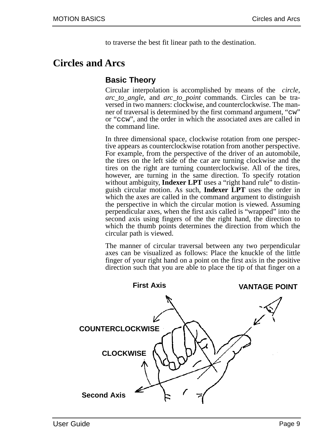to traverse the best fit linear path to the destination.

# **Circles and Arcs**

### **Basic Theory**

Circular interpolation is accomplished by means of the *circle*, *arc\_to\_angle*, and *arc\_to\_point* commands. Circles can be traversed in two manners: clockwise, and counterclockwise. The manner of traversal is determined by the first command argument, "cw" or "ccw", and the order in which the associated axes are called in the command line.

In three dimensional space, clockwise rotation from one perspective appears as counterclockwise rotation from another perspective. For example, from the perspective of the driver of an automobile, the tires on the left side of the car are turning clockwise and the tires on the right are turning counterclockwise. All of the tires, however, are turning in the same direction. To specify rotation without ambiguity, **Indexer LPT** uses a "right hand rule" to distinguish circular motion. As such, **Indexer LPT** uses the order in which the axes are called in the command argument to distinguish the perspective in which the circular motion is viewed. Assuming perpendicular axes, when the first axis called is "wrapped" into the second axis using fingers of the the right hand, the direction to which the thumb points determines the direction from which the circular path is viewed.

The manner of circular traversal between any two perpendicular axes can be visualized as follows: Place the knuckle of the little finger of your right hand on a point on the first axis in the positive direction such that you are able to place the tip of that finger on a

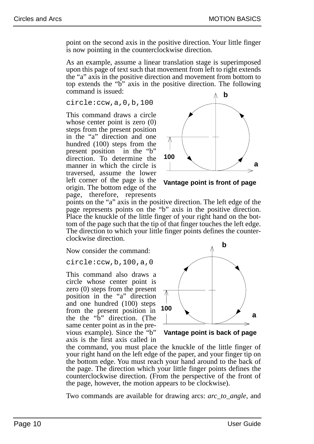point on the second axis in the positive direction. Your little finger is now pointing in the counterclockwise direction.

As an example, assume a linear translation stage is superimposed upon this page of text such that movement from left to right extends the "a" axis in the positive direction and movement from bottom to top extends the "b" axis in the positive direction. The following command is issued:

circle:ccw,a,0,b,100

This command draws a circle whose center point is zero (0) steps from the present position in the "a" direction and one hundred (100) steps from the present position in the "b" direction. To determine the manner in which the circle is traversed, assume the lower left corner of the page is the origin. The bottom edge of the page, therefore, represents



**Vantage point is front of page**

points on the "a" axis in the positive direction. The left edge of the page represents points on the "b" axis in the positive direction. Place the knuckle of the little finger of your right hand on the bottom of the page such that the tip of that finger touches the left edge. The direction to which your little finger points defines the counterclockwise direction.

Now consider the command:

circle:ccw,b,100,a,0

This command also draws a circle whose center point is zero (0) steps from the present position in the "a" direction and one hundred (100) steps from the present position in the the "b" direction. (The same center point as in the previous example). Since the "b" axis is the first axis called in



**Vantage point is back of page**

the command, you must place the knuckle of the little finger of your right hand on the left edge of the paper, and your finger tip on the bottom edge. You must reach your hand around to the back of the page. The direction which your little finger points defines the counterclockwise direction. (From the perspective of the front of the page, however, the motion appears to be clockwise).

Two commands are available for drawing arcs: *arc\_to\_angle*, and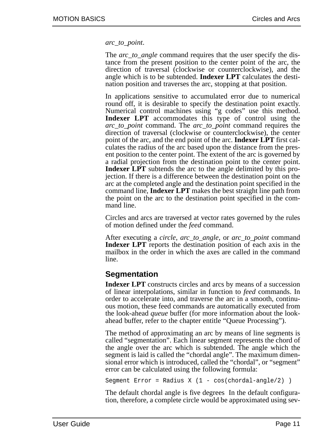*arc\_to\_point*.

The *arc* to angle command requires that the user specify the distance from the present position to the center point of the arc, the direction of traversal (clockwise or counterclockwise), and the angle which is to be subtended. **Indexer LPT** calculates the destination position and traverses the arc, stopping at that position.

In applications sensitive to accumulated error due to numerical round off, it is desirable to specify the destination point exactly. Numerical control machines using "g codes" use this method. **Indexer LPT** accommodates this type of control using the *arc\_to\_point* command. The *arc\_to\_point* command requires the direction of traversal (clockwise or counterclockwise), the center point of the arc, and the end point of the arc. **Indexer LPT** first calculates the radius of the arc based upon the distance from the present position to the center point. The extent of the arc is governed by a radial projection from the destination point to the center point. **Indexer LPT** subtends the arc to the angle delimited by this projection. If there is a difference between the destination point on the arc at the completed angle and the destination point specified in the command line, **Indexer LPT** makes the best straight line path from the point on the arc to the destination point specified in the command line.

Circles and arcs are traversed at vector rates governed by the rules of motion defined under the *feed* command.

After executing a *circle*, *arc\_to\_angle*, or *arc\_to\_point* command **Indexer LPT** reports the destination position of each axis in the mailbox in the order in which the axes are called in the command line.

### **Segmentation**

**Indexer LPT** constructs circles and arcs by means of a succession of linear interpolations, similar in function to *feed* commands. In order to accelerate into, and traverse the arc in a smooth, continuous motion, these feed commands are automatically executed from the look-ahead *queue* buffer (for more information about the lookahead buffer, refer to the chapter entitle "Queue Processing").

The method of approximating an arc by means of line segments is called "segmentation". Each linear segment represents the chord of the angle over the arc which is subtended. The angle which the segment is laid is called the "chordal angle". The maximum dimensional error which is introduced, called the "chordal", or "segment" error can be calculated using the following formula:

Segment Error = Radius X (1 - cos(chordal-angle/2) )

The default chordal angle is five degrees In the default configuration, therefore, a complete circle would be approximated using sev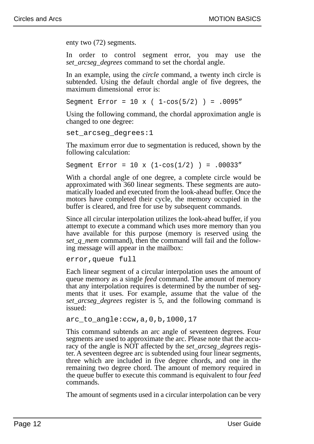enty two (72) segments.

In order to control segment error, you may use the *set\_arcseg\_degrees* command to set the chordal angle.

In an example, using the *circle* command, a twenty inch circle is subtended. Using the default chordal angle of five degrees, the maximum dimensional error is:

Segment Error =  $10 \times (1-\cos(5/2)) = .0095$ "

Using the following command, the chordal approximation angle is changed to one degree:

```
set_arcseg_degrees:1
```
The maximum error due to segmentation is reduced, shown by the following calculation:

```
Segment Error = 10 \times (1-\cos(1/2)) = .00033"
```
With a chordal angle of one degree, a complete circle would be approximated with 360 linear segments. These segments are automatically loaded and executed from the look-ahead buffer. Once the motors have completed their cycle, the memory occupied in the buffer is cleared, and free for use by subsequent commands.

Since all circular interpolation utilizes the look-ahead buffer, if you attempt to execute a command which uses more memory than you have available for this purpose (memory is reserved using the *set\_q\_mem* command), then the command will fail and the following message will appear in the mailbox:

error,queue full

Each linear segment of a circular interpolation uses the amount of queue memory as a single *feed* command. The amount of memory that any interpolation requires is determined by the number of segments that it uses. For example, assume that the value of the *set arcseg degrees* register is 5, and the following command is issued:

arc to angle: $ccw, a, 0, b, 1000, 17$ 

This command subtends an arc angle of seventeen degrees. Four segments are used to approximate the arc. Please note that the accuracy of the angle is NOT affected by the *set\_arcseg\_degrees* register. A seventeen degree arc is subtended using four linear segments, three which are included in five degree chords, and one in the remaining two degree chord. The amount of memory required in the queue buffer to execute this command is equivalent to four *feed* commands.

The amount of segments used in a circular interpolation can be very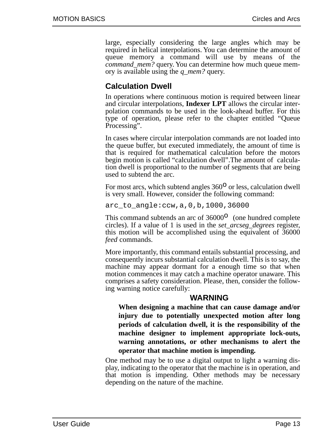large, especially considering the large angles which may be required in helical interpolations. You can determine the amount of queue memory a command will use by means of the *command\_mem?* query. You can determine how much queue memory is available using the *q\_mem?* query.

### **Calculation Dwell**

In operations where continuous motion is required between linear and circular interpolations, **Indexer LPT** allows the circular interpolation commands to be used in the look-ahead buffer. For this type of operation, please refer to the chapter entitled "Queue Processing".

In cases where circular interpolation commands are not loaded into the queue buffer, but executed immediately, the amount of time is that is required for mathematical calculation before the motors begin motion is called "calculation dwell".The amount of calculation dwell is proportional to the number of segments that are being used to subtend the arc.

For most arcs, which subtend angles  $360^{\circ}$  or less, calculation dwell is very small. However, consider the following command:

arc\_to\_angle:ccw,a,0,b,1000,36000

This command subtends an arc of  $36000^\circ$  (one hundred complete circles). If a value of 1 is used in the *set\_arcseg\_degrees* register, this motion will be accomplished using the equivalent of 36000 *feed* commands.

More importantly, this command entails substantial processing, and consequently incurs substantial calculation dwell. This is to say, the machine may appear dormant for a enough time so that when motion commences it may catch a machine operator unaware. This comprises a safety consideration. Please, then, consider the following warning notice carefully:

#### **WARNING**

**When designing a machine that can cause damage and/or injury due to potentially unexpected motion after long periods of calculation dwell, it is the responsibility of the machine designer to implement appropriate lock-outs, warning annotations, or other mechanisms to alert the operator that machine motion is impending.**

One method may be to use a digital output to light a warning display, indicating to the operator that the machine is in operation, and that motion is impending. Other methods may be necessary depending on the nature of the machine.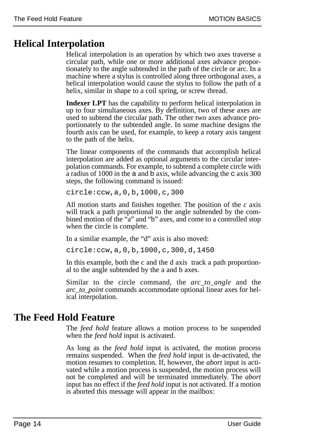# **Helical Interpolation**

Helical interpolation is an operation by which two axes traverse a circular path, while one or more additional axes advance proportionately to the angle subtended in the path of the circle or arc. In a machine where a stylus is controlled along three orthogonal axes, a helical interpolation would cause the stylus to follow the path of a helix, similar in shape to a coil spring, or screw thread.

**Indexer LPT** has the capability to perform helical interpolation in up to four simultaneous axes. By definition, two of these axes are used to subtend the circular path. The other two axes advance proportionately to the subtended angle. In some machine designs the fourth axis can be used, for example, to keep a rotary axis tangent to the path of the helix.

The linear components of the commands that accomplish helical interpolation are added as optional arguments to the circular interpolation commands. For example, to subtend a complete circle with a radius of 1000 in the a and b axis, while advancing the c axis 300 steps, the following command is issued:

circle:ccw,a,0,b,1000,c,300

All motion starts and finishes together. The position of the *c* axis will track a path proportional to the angle subtended by the combined motion of the "a" and "b" axes, and come to a controlled stop when the circle is complete.

In a similar example, the "d" axis is also moved:

circle:ccw,a,0,b,1000,c,300,d,1450

In this example, both the c and the d axis track a path proportional to the angle subtended by the a and b axes.

Similar to the circle command, the *arc\_to\_angle* and the *arc\_to\_point* commands accommodate optional linear axes for helical interpolation.

# **The Feed Hold Feature**

The *feed hold* feature allows a motion process to be suspended when the *feed hold* input is activated.

As long as the *feed hold* input is activated, the motion process remains suspended. When the *feed hold* input is de-activated, the motion resumes to completion. If, however, the *abort* input is activated while a motion process is suspended, the motion process will not be completed and will be terminated immediately. The *abort* input has no effect if the *feed hold* input is not activated. If a motion is aborted this message will appear in the mailbox: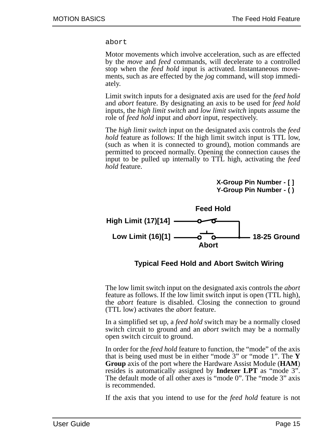abort

Motor movements which involve acceleration, such as are effected by the *move* and *feed* commands, will decelerate to a controlled stop when the *feed hold* input is activated. Instantaneous movements, such as are effected by the *jog* command, will stop immediately.

Limit switch inputs for a designated axis are used for the *feed hold* and *abort* feature. By designating an axis to be used for *feed hold* inputs, the *high limit switch* and *low limit switch* inputs assume the role of *feed hold* input and *abort* input, respectively.

The *high limit switch* input on the designated axis controls the *feed hold* feature as follows: If the high limit switch input is TTL low, (such as when it is connected to ground), motion commands are permitted to proceed normally. Opening the connection causes the input to be pulled up internally to TTL high, activating the *feed hold* feature.

> **X-Group Pin Number - [ ] Y-Group Pin Number - ( )**



**Typical Feed Hold and Abort Switch Wiring**

The low limit switch input on the designated axis controls the *abort* feature as follows. If the low limit switch input is open (TTL high), the *abort* feature is disabled. Closing the connection to ground (TTL low) activates the *abort* feature.

In a simplified set up, a *feed hold* switch may be a normally closed switch circuit to ground and an *abort* switch may be a normally open switch circuit to ground.

In order for the *feed hold* feature to function, the "mode" of the axis that is being used must be in either "mode 3" or "mode 1". The **Y Group** axis of the port where the Hardware Assist Module (**HAM**) resides is automatically assigned by **Indexer LPT** as "mode 3". The default mode of all other axes is "mode 0". The "mode 3" axis is recommended.

If the axis that you intend to use for the *feed hold* feature is not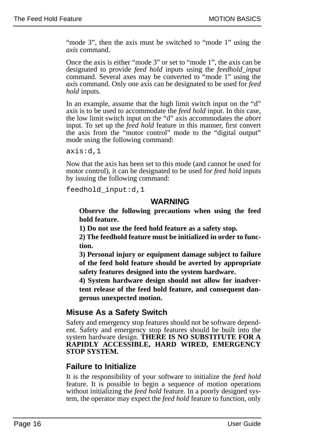"mode 3", then the axis must be switched to "mode 1" using the *axis* command.

Once the axis is either "mode 3" or set to "mode 1", the axis can be designated to provide *feed hold* inputs using the *feedhold\_input* command. Several axes may be converted to "mode 1" using the *axis* command. Only one axis can be designated to be used for *feed hold* inputs.

In an example, assume that the high limit switch input on the "d" axis is to be used to accommodate the *feed hold* input. In this case, the low limit switch input on the "d" axis accommodates the *abort* input. To set up the *feed hold* feature in this manner, first convert the axis from the "motor control" mode to the "digital output" mode using the following command:

axis:d,1

Now that the axis has been set to this mode (and cannot be used for motor control), it can be designated to be used for *feed hold* inputs by issuing the following command:

feedhold\_input:d,1

#### **WARNING**

**Observe the following precautions when using the feed hold feature.**

**1) Do not use the feed hold feature as a safety stop.**

**2) The feedhold feature must be initialized in order to function.**

**3) Personal injury or equipment damage subject to failure of the feed hold feature should be averted by appropriate safety features designed into the system hardware.**

**4) System hardware design should not allow for inadvertent release of the feed hold feature, and consequent dangerous unexpected motion.**

### **Misuse As a Safety Switch**

Safety and emergency stop features should not be software dependent. Safety and emergency stop features should be built into the system hardware design. **THERE IS NO SUBSTITUTE FOR A RAPIDLY ACCESSIBLE, HARD WIRED, EMERGENCY STOP SYSTEM.**

### **Failure to Initialize**

It is the responsibility of your software to initialize the *feed hold* feature. It is possible to begin a sequence of motion operations without initializing the *feed hold* feature. In a poorly designed system, the operator may expect the *feed hold* feature to function, only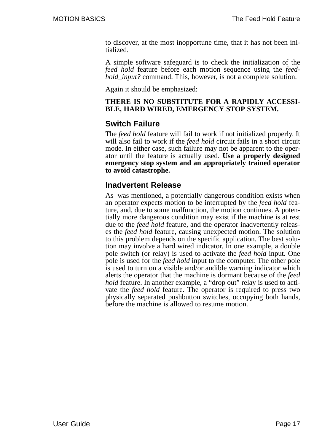to discover, at the most inopportune time, that it has not been initialized.

A simple software safeguard is to check the initialization of the *feed hold* feature before each motion sequence using the *feedhold\_input?* command. This, however, is not a complete solution.

Again it should be emphasized:

#### **THERE IS NO SUBSTITUTE FOR A RAPIDLY ACCESSI-BLE, HARD WIRED, EMERGENCY STOP SYSTEM.**

#### **Switch Failure**

The *feed hold* feature will fail to work if not initialized properly. It will also fail to work if the *feed hold* circuit fails in a short circuit mode. In either case, such failure may not be apparent to the operator until the feature is actually used. **Use a properly designed emergency stop system and an appropriately trained operator to avoid catastrophe.**

#### **Inadvertent Release**

As was mentioned, a potentially dangerous condition exists when an operator expects motion to be interrupted by the *feed hold* feature, and, due to some malfunction, the motion continues. A potentially more dangerous condition may exist if the machine is at rest due to the *feed hold* feature, and the operator inadvertently releases the *feed hold* feature, causing unexpected motion. The solution to this problem depends on the specific application. The best solution may involve a hard wired indicator. In one example, a double pole switch (or relay) is used to activate the *feed hold* input. One pole is used for the *feed hold* input to the computer. The other pole is used to turn on a visible and/or audible warning indicator which alerts the operator that the machine is dormant because of the *feed hold* feature. In another example, a "drop out" relay is used to activate the *feed hold* feature. The operator is required to press two physically separated pushbutton switches, occupying both hands, before the machine is allowed to resume motion.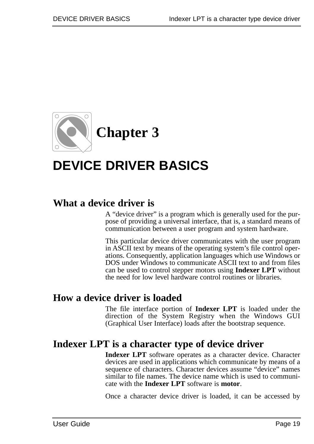

# **DEVICE DRIVER BASICS**

# **What a device driver is**

A "device driver" is a program which is generally used for the purpose of providing a universal interface, that is, a standard means of communication between a user program and system hardware.

This particular device driver communicates with the user program in ASCII text by means of the operating system's file control operations. Consequently, application languages which use Windows or DOS under Windows to communicate ASCII text to and from files can be used to control stepper motors using **Indexer LPT** without the need for low level hardware control routines or libraries.

# **How a device driver is loaded**

The file interface portion of **Indexer LPT** is loaded under the direction of the System Registry when the Windows GUI (Graphical User Interface) loads after the bootstrap sequence.

# **Indexer LPT is a character type of device driver**

**Indexer LPT** software operates as a character device. Character devices are used in applications which communicate by means of a sequence of characters. Character devices assume "device" names similar to file names. The device name which is used to communicate with the **Indexer LPT** software is **motor**.

Once a character device driver is loaded, it can be accessed by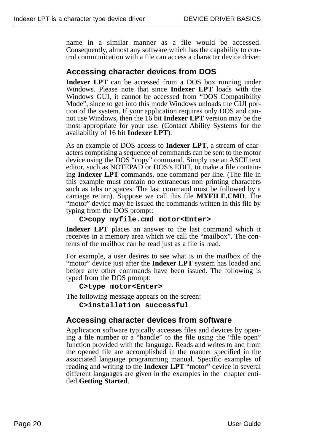name in a similar manner as a file would be accessed. Consequently, almost any software which has the capability to control communication with a file can access a character device driver.

### **Accessing character devices from DOS**

**Indexer LPT** can be accessed from a DOS box running under Windows. Please note that since **Indexer LPT** loads with the Windows GUI, it cannot be accessed from "DOS Compatibility Mode", since to get into this mode Windows unloads the GUI portion of the system. If your application requires only DOS and cannot use Windows, then the 16 bit **Indexer LPT** version may be the most appropriate for your use. (Contact Ability Systems for the availability of 16 bit **Indexer LPT**).

As an example of DOS access to **Indexer LPT**, a stream of characters comprising a sequence of commands can be sent to the motor device using the DOS "copy" command. Simply use an ASCII text editor, such as NOTEPAD or DOS's EDIT, to make a file containing **Indexer LPT** commands, one command per line. (The file in this example must contain no extraneous non printing characters such as tabs or spaces. The last command must be followed by a carriage return). Suppose we call this file **MYFILE.CMD**. The "motor" device may be issued the commands written in this file by typing from the DOS prompt:

#### **C>copy myfile.cmd motor<Enter>**

**Indexer LPT** places an answer to the last command which it receives in a memory area which we call the "mailbox". The contents of the mailbox can be read just as a file is read.

For example, a user desires to see what is in the mailbox of the "motor" device just after the **Indexer LPT** system has loaded and before any other commands have been issued. The following is typed from the DOS prompt:

**C>type motor<Enter>**

The following message appears on the screen:

**C>installation successful**

#### **Accessing character devices from software**

Application software typically accesses files and devices by opening a file number or a "handle" to the file using the "file open" function provided with the language. Reads and writes to and from the opened file are accomplished in the manner specified in the associated language programming manual. Specific examples of reading and writing to the **Indexer LPT** "motor" device in several different languages are given in the examples in the chapter entitled **Getting Started**.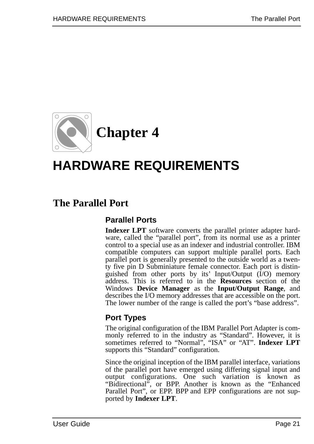

# **HARDWARE REQUIREMENTS**

# **The Parallel Port**

### **Parallel Ports**

**Indexer LPT** software converts the parallel printer adapter hardware, called the "parallel port", from its normal use as a printer control to a special use as an indexer and industrial controller. IBM compatible computers can support multiple parallel ports. Each parallel port is generally presented to the outside world as a twenty five pin D Subminiature female connector. Each port is distinguished from other ports by its' Input/Output (I/O) memory address. This is referred to in the **Resources** section of the Windows **Device Manager** as the **Input/Output Range**, and describes the I/O memory addresses that are accessible on the port. The lower number of the range is called the port's "base address".

### **Port Types**

The original configuration of the IBM Parallel Port Adapter is commonly referred to in the industry as "Standard". However, it is sometimes referred to "Normal", "ISA" or "AT". **Indexer LPT** supports this "Standard" configuration.

Since the original inception of the IBM parallel interface, variations of the parallel port have emerged using differing signal input and output configurations. One such variation is known as "Bidirectional", or BPP. Another is known as the "Enhanced Parallel Port", or EPP. BPP and EPP configurations are not supported by **Indexer LPT**.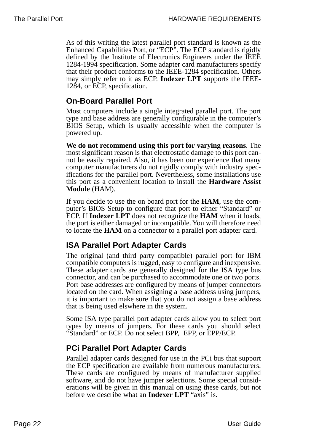As of this writing the latest parallel port standard is known as the Enhanced Capabilities Port, or "ECP". The ECP standard is rigidly defined by the Institute of Electronics Engineers under the IEEE 1284-1994 specification. Some adapter card manufacturers specify that their product conforms to the IEEE-1284 specification. Others may simply refer to it as ECP. **Indexer LPT** supports the IEEE-1284, or ECP, specification.

### **On-Board Parallel Port**

Most computers include a single integrated parallel port. The port type and base address are generally configurable in the computer's BIOS Setup, which is usually accessible when the computer is powered up.

**We do not recommend using this port for varying reasons**. The most significant reason is that electrostatic damage to this port cannot be easily repaired. Also, it has been our experience that many computer manufacturers do not rigidly comply with industry specifications for the parallel port. Nevertheless, some installations use this port as a convenient location to install the **Hardware Assist Module** (HAM).

If you decide to use the on board port for the **HAM**, use the computer's BIOS Setup to configure that port to either "Standard" or ECP. If **Indexer LPT** does not recognize the **HAM** when it loads, the port is either damaged or incompatible. You will therefore need to locate the **HAM** on a connector to a parallel port adapter card.

### **ISA Parallel Port Adapter Cards**

The original (and third party compatible) parallel port for IBM compatible computers is rugged, easy to configure and inexpensive. These adapter cards are generally designed for the ISA type bus connector, and can be purchased to accommodate one or two ports. Port base addresses are configured by means of jumper connectors located on the card. When assigning a base address using jumpers, it is important to make sure that you do not assign a base address that is being used elswhere in the system.

Some ISA type parallel port adapter cards allow you to select port types by means of jumpers. For these cards you should select "Standard" or ECP. Do not select BPP, EPP, or EPP/ECP.

### **PCi Parallel Port Adapter Cards**

Parallel adapter cards designed for use in the PCi bus that support the ECP specification are available from numerous manufacturers. These cards are configured by means of manufacturer supplied software, and do not have jumper selections. Some special considerations will be given in this manual on using these cards, but not before we describe what an **Indexer LPT** "axis" is.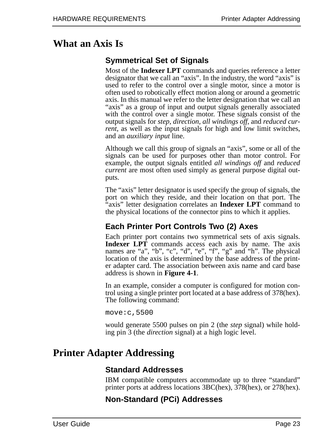# **What an Axis Is**

### **Symmetrical Set of Signals**

Most of the **Indexer LPT** commands and queries reference a letter designator that we call an "axis". In the industry, the word "axis" is used to refer to the control over a single motor, since a motor is often used to robotically effect motion along or around a geometric axis. In this manual we refer to the letter designation that we call an "axis" as a group of input and output signals generally associated with the control over a single motor. These signals consist of the output signals for *step*, *direction*, *all windings off,* and *reduced current*, as well as the input signals for high and low limit switches, and an *auxiliary input* line.

Although we call this group of signals an "axis", some or all of the signals can be used for purposes other than motor control. For example, the output signals entitled *all windings off* and *reduced current* are most often used simply as general purpose digital outputs.

The "axis" letter designator is used specify the group of signals, the port on which they reside, and their location on that port. The "axis" letter designation correlates an **Indexer LPT** command to the physical locations of the connector pins to which it applies.

### **Each Printer Port Controls Two (2) Axes**

Each printer port contains two symmetrical sets of axis signals. **Indexer LPT** commands access each axis by name. The axis names are "a", "b", "c", "d", "e", "f", "g" and "h". The physical location of the axis is determined by the base address of the printer adapter card. The association between axis name and card base address is shown in **Figure 4-1**.

In an example, consider a computer is configured for motion control using a single printer port located at a base address of 378(hex). The following command:

move:c,5500

would generate 5500 pulses on pin 2 (the *step* signal) while holding pin 3 (the *direction* signal) at a high logic level.

# **Printer Adapter Addressing**

### **Standard Addresses**

IBM compatible computers accommodate up to three "standard" printer ports at address locations 3BC(hex), 378(hex), or 278(hex).

### **Non-Standard (PCi) Addresses**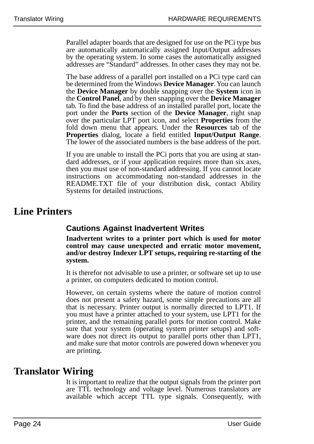Parallel adapter boards that are designed for use on the PCi type bus are automatically automatically assigned Input/Output addresses by the operating system. In some cases the automatically assigned addresses are "Standard" addresses. In other cases they may not be.

The base address of a parallel port installed on a PCi type card can be determined from the Windows **Device Manager**. You can launch the **Device Manager** by double snapping over the **System** icon in the **Control Panel**, and by then snapping over the **Device Manager** tab. To find the base address of an installed parallel port, locate the port under the **Ports** section of the **Device Manager**, right snap over the particular LPT port icon, and select **Properties** from the fold down menu that appears. Under the **Resources** tab of the **Properties** dialog, locate a field entitled **Input/Output Range**. The lower of the associated numbers is the base address of the port.

If you are unable to install the PCi ports that you are using at standard addresses, or if your application requires more than six axes, then you must use of non-standard addressing. If you cannot locate instructions on accommodating non-standard addresses in the README.TXT file of your distribution disk, contact Ability Systems for detailed instructions.

# **Line Printers**

### **Cautions Against Inadvertent Writes**

**Inadvertent writes to a printer port which is used for motor control may cause unexpected and erratic motor movement, and/or destroy Indexer LPT setups, requiring re-starting of the system.** 

It is therefor not advisable to use a printer, or software set up to use a printer, on computers dedicated to motion control.

However, on certain systems where the nature of motion control does not present a safety hazard, some simple precautions are all that is necessary. Printer output is normally directed to LPT1. If you must have a printer attached to your system, use LPT1 for the printer, and the remaining parallel ports for motion control. Make sure that your system (operating system printer setups) and software does not direct its output to parallel ports other than LPT1, and make sure that motor controls are powered down whenever you are printing.

# **Translator Wiring**

It is important to realize that the output signals from the printer port are TTL technology and voltage level. Numerous translators are available which accept TTL type signals. Consequently, with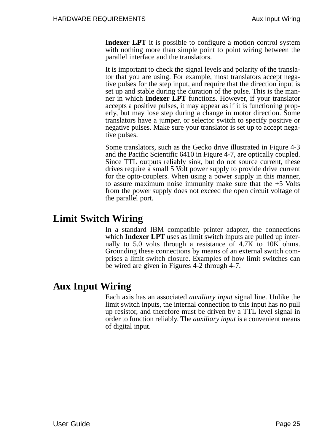**Indexer LPT** it is possible to configure a motion control system with nothing more than simple point to point wiring between the parallel interface and the translators.

It is important to check the signal levels and polarity of the translator that you are using. For example, most translators accept negative pulses for the step input, and require that the direction input is set up and stable during the duration of the pulse. This is the manner in which **Indexer LPT** functions. However, if your translator accepts a positive pulses, it may appear as if it is functioning properly, but may lose step during a change in motor direction. Some translators have a jumper, or selector switch to specify positive or negative pulses. Make sure your translator is set up to accept negative pulses.

Some translators, such as the Gecko drive illustrated in Figure 4-3 and the Pacific Scientific 6410 in Figure 4-7, are optically coupled. Since TTL outputs reliably sink, but do not source current, these drives require a small 5 Volt power supply to provide drive current for the opto-couplers. When using a power supply in this manner, to assure maximum noise immunity make sure that the  $+5$  Volts from the power supply does not exceed the open circuit voltage of the parallel port.

# **Limit Switch Wiring**

In a standard IBM compatible printer adapter, the connections which **Indexer LPT** uses as limit switch inputs are pulled up internally to 5.0 volts through a resistance of 4.7K to 10K ohms. Grounding these connections by means of an external switch comprises a limit switch closure. Examples of how limit switches can be wired are given in Figures 4-2 through 4-7.

# **Aux Input Wiring**

Each axis has an associated *auxiliary input* signal line. Unlike the limit switch inputs, the internal connection to this input has no pull up resistor, and therefore must be driven by a TTL level signal in order to function reliably. The *auxiliary input* is a convenient means of digital input.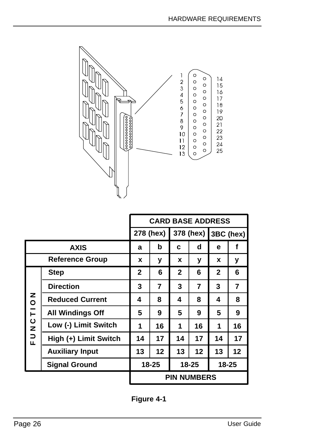

|                        |                         | <b>CARD BASE ADDRESS</b> |                |              |    |              |                |
|------------------------|-------------------------|--------------------------|----------------|--------------|----|--------------|----------------|
|                        | 278 (hex)               |                          |                | 378 (hex)    |    | 3BC (hex)    |                |
| <b>AXIS</b>            |                         | a                        | b              | C            | d  | e            | f              |
| <b>Reference Group</b> |                         | x                        | y              | X            | у  | X            | у              |
| <b>ZOILUZDE</b>        | <b>Step</b>             | $\mathbf 2$              | 6              | $\mathbf{2}$ | 6  | $\mathbf{2}$ | 6              |
|                        | <b>Direction</b>        | 3                        | $\overline{7}$ | 3            | 7  | 3            | $\overline{7}$ |
|                        | <b>Reduced Current</b>  | 4                        | 8              | 4            | 8  | 4            | 8              |
|                        | <b>All Windings Off</b> | 5                        | 9              | 5            | 9  | 5            | 9              |
|                        | Low (-) Limit Switch    | 1                        | 16             | 1            | 16 | 1            | 16             |
|                        | High (+) Limit Switch   | 14                       | 17             | 14           | 17 | 14           | 17             |
|                        | <b>Auxiliary Input</b>  | 13                       | 12             | 13           | 12 | 13           | 12             |
|                        | <b>Signal Ground</b>    | 18-25                    |                | 18-25        |    | 18-25        |                |
|                        |                         | <b>PIN NUMBERS</b>       |                |              |    |              |                |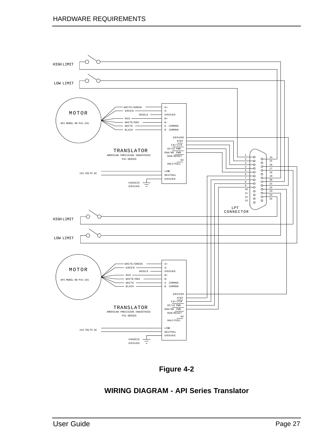

**Figure 4-2**

#### **WIRING DIAGRAM - API Series Translator**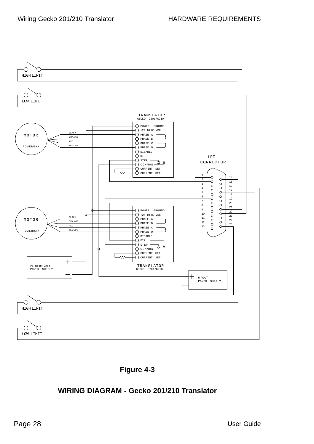



#### **WIRING DIAGRAM - Gecko 201/210 Translator**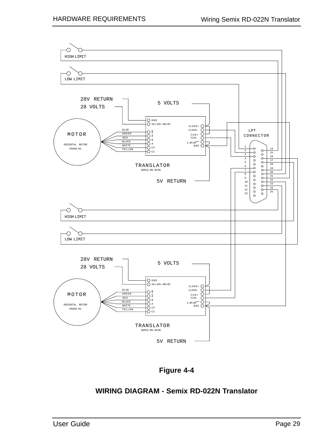

**Figure 4-4**

#### **WIRING DIAGRAM - Semix RD-022N Translator**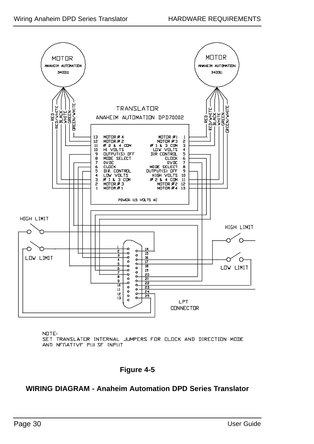

NOTE:

SET TRANSLATOR INTERNAL JUMPERS FOR CLOCK AND DIRECTION MODE AND NEGATIVE PULSE INPUT

#### **Figure 4-5**

#### **WIRING DIAGRAM - Anaheim Automation DPD Series Translator**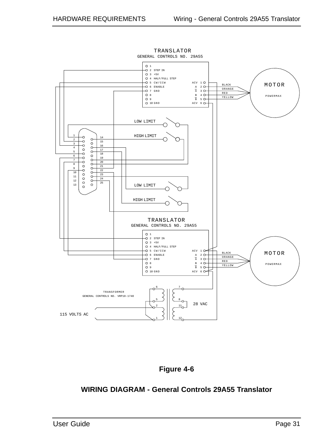



#### **WIRING DIAGRAM - General Controls 29A55 Translator**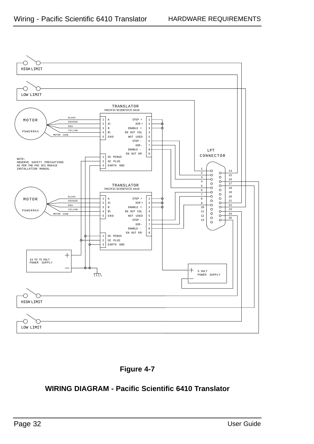



### **WIRING DIAGRAM - Pacific Scientific 6410 Translator**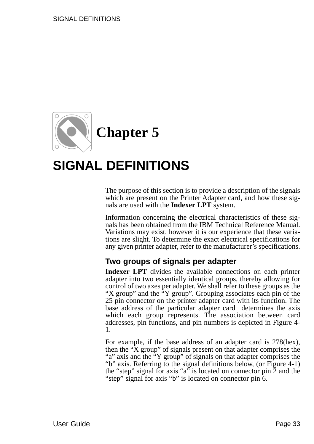

# **SIGNAL DEFINITIONS**

The purpose of this section is to provide a description of the signals which are present on the Printer Adapter card, and how these signals are used with the **Indexer LPT** system.

Information concerning the electrical characteristics of these signals has been obtained from the IBM Technical Reference Manual. Variations may exist, however it is our experience that these variations are slight. To determine the exact electrical specifications for any given printer adapter, refer to the manufacturer's specifications.

#### **Two groups of signals per adapter**

**Indexer LPT** divides the available connections on each printer adapter into two essentially identical groups, thereby allowing for control of two axes per adapter. We shall refer to these groups as the "X group" and the "Y group". Grouping associates each pin of the 25 pin connector on the printer adapter card with its function. The base address of the particular adapter card determines the axis which each group represents. The association between card addresses, pin functions, and pin numbers is depicted in Figure 4- 1.

For example, if the base address of an adapter card is 278(hex), then the "X group" of signals present on that adapter comprises the "a" axis and the "Y group" of signals on that adapter comprises the "b" axis. Referring to the signal definitions below, (or Figure 4-1) the "step" signal for axis "a" is located on connector pin 2 and the "step" signal for axis "b" is located on connector pin 6.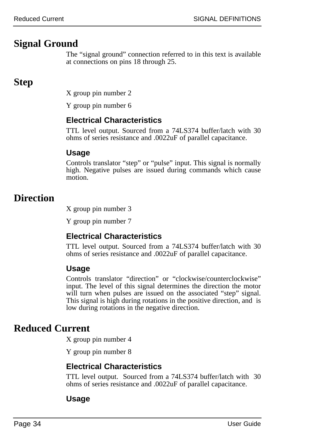# **Signal Ground**

The "signal ground" connection referred to in this text is available at connections on pins 18 through 25.

# **Step**

X group pin number 2

Y group pin number 6

### **Electrical Characteristics**

TTL level output. Sourced from a 74LS374 buffer/latch with 30 ohms of series resistance and .0022uF of parallel capacitance.

#### **Usage**

Controls translator "step" or "pulse" input. This signal is normally high. Negative pulses are issued during commands which cause motion.

# **Direction**

X group pin number 3

Y group pin number 7

### **Electrical Characteristics**

TTL level output. Sourced from a 74LS374 buffer/latch with 30 ohms of series resistance and .0022uF of parallel capacitance.

### **Usage**

Controls translator "direction" or "clockwise/counterclockwise" input. The level of this signal determines the direction the motor will turn when pulses are issued on the associated "step" signal. This signal is high during rotations in the positive direction, and is low during rotations in the negative direction.

# **Reduced Current**

X group pin number 4

Y group pin number 8

### **Electrical Characteristics**

TTL level output. Sourced from a 74LS374 buffer/latch with 30 ohms of series resistance and .0022uF of parallel capacitance.

#### **Usage**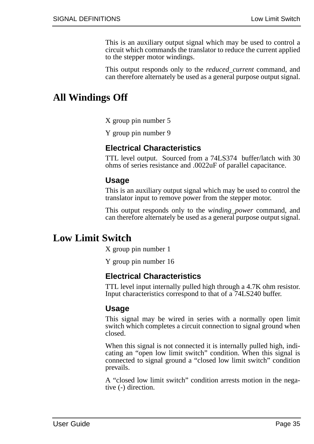This is an auxiliary output signal which may be used to control a circuit which commands the translator to reduce the current applied to the stepper motor windings.

This output responds only to the *reduced\_current* command, and can therefore alternately be used as a general purpose output signal.

## **All Windings Off**

X group pin number 5

Y group pin number 9

#### **Electrical Characteristics**

TTL level output. Sourced from a 74LS374 buffer/latch with 30 ohms of series resistance and .0022uF of parallel capacitance.

#### **Usage**

This is an auxiliary output signal which may be used to control the translator input to remove power from the stepper motor.

This output responds only to the *winding\_power* command, and can therefore alternately be used as a general purpose output signal.

## **Low Limit Switch**

X group pin number 1

Y group pin number 16

#### **Electrical Characteristics**

TTL level input internally pulled high through a 4.7K ohm resistor. Input characteristics correspond to that of a 74LS240 buffer.

#### **Usage**

This signal may be wired in series with a normally open limit switch which completes a circuit connection to signal ground when closed.

When this signal is not connected it is internally pulled high, indicating an "open low limit switch" condition. When this signal is connected to signal ground a "closed low limit switch" condition prevails.

A "closed low limit switch" condition arrests motion in the negative (-) direction.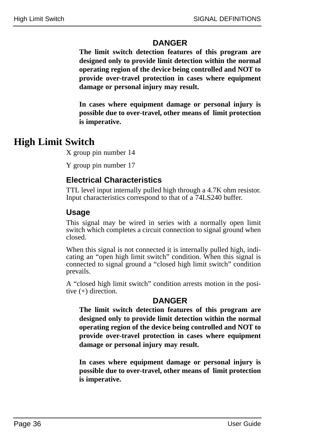#### **DANGER**

**The limit switch detection features of this program are designed only to provide limit detection within the normal operating region of the device being controlled and NOT to provide over-travel protection in cases where equipment damage or personal injury may result.**

**In cases where equipment damage or personal injury is possible due to over-travel, other means of limit protection is imperative.**

# **High Limit Switch**

X group pin number 14

Y group pin number 17

### **Electrical Characteristics**

TTL level input internally pulled high through a 4.7K ohm resistor. Input characteristics correspond to that of a 74LS240 buffer.

### **Usage**

This signal may be wired in series with a normally open limit switch which completes a circuit connection to signal ground when closed.

When this signal is not connected it is internally pulled high, indicating an "open high limit switch" condition. When this signal is connected to signal ground a "closed high limit switch" condition prevails.

A "closed high limit switch" condition arrests motion in the positive (+) direction.

#### **DANGER**

**The limit switch detection features of this program are designed only to provide limit detection within the normal operating region of the device being controlled and NOT to provide over-travel protection in cases where equipment damage or personal injury may result.**

**In cases where equipment damage or personal injury is possible due to over-travel, other means of limit protection is imperative.**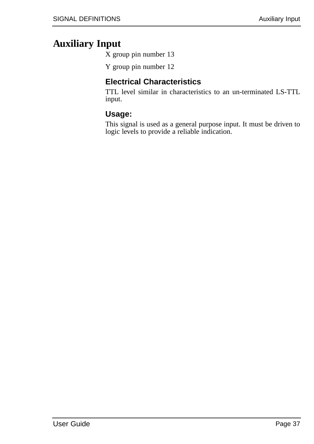# **Auxiliary Input**

X group pin number 13

Y group pin number 12

### **Electrical Characteristics**

TTL level similar in characteristics to an un-terminated LS-TTL input.

#### **Usage:**

This signal is used as a general purpose input. It must be driven to logic levels to provide a reliable indication.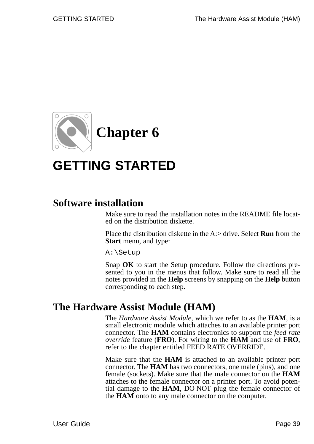

# **GETTING STARTED**

# **Software installation**

Make sure to read the installation notes in the README file located on the distribution diskette.

Place the distribution diskette in the A:> drive. Select **Run** from the **Start** menu, and type:

A:\Setup

Snap **OK** to start the Setup procedure. Follow the directions presented to you in the menus that follow. Make sure to read all the notes provided in the **Help** screens by snapping on the **Help** button corresponding to each step.

# **The Hardware Assist Module (HAM)**

The *Hardware Assist Module*, which we refer to as the **HAM**, is a small electronic module which attaches to an available printer port connector. The **HAM** contains electronics to support the *feed rate override* feature (**FRO**). For wiring to the **HAM** and use of **FRO**, refer to the chapter entitled FEED RATE OVERRIDE.

Make sure that the **HAM** is attached to an available printer port connector. The **HAM** has two connectors, one male (pins), and one female (sockets). Make sure that the male connector on the **HAM** attaches to the female connector on a printer port. To avoid potential damage to the **HAM**, DO NOT plug the female connector of the **HAM** onto to any male connector on the computer.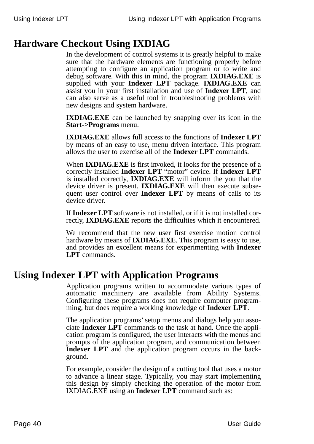# **Hardware Checkout Using IXDIAG**

In the development of control systems it is greatly helpful to make sure that the hardware elements are functioning properly before attempting to configure an application program or to write and debug software. With this in mind, the program **IXDIAG.EXE** is supplied with your **Indexer LPT** package. **IXDIAG.EXE** can assist you in your first installation and use of **Indexer LPT**, and can also serve as a useful tool in troubleshooting problems with new designs and system hardware.

**IXDIAG.EXE** can be launched by snapping over its icon in the **Start->Programs** menu.

**IXDIAG.EXE** allows full access to the functions of **Indexer LPT** by means of an easy to use, menu driven interface. This program allows the user to exercise all of the **Indexer LPT** commands.

When **IXDIAG.EXE** is first invoked, it looks for the presence of a correctly installed **Indexer LPT** "motor" device. If **Indexer LPT** is installed correctly, **IXDIAG.EXE** will inform the you that the device driver is present. **IXDIAG.EXE** will then execute subsequent user control over **Indexer LPT** by means of calls to its device driver.

If **Indexer LPT** software is not installed, or if it is not installed correctly, **IXDIAG.EXE** reports the difficulties which it encountered.

We recommend that the new user first exercise motion control hardware by means of **IXDIAG.EXE**. This program is easy to use, and provides an excellent means for experimenting with **Indexer LPT** commands.

# **Using Indexer LPT with Application Programs**

Application programs written to accommodate various types of automatic machinery are available from Ability Systems. Configuring these programs does not require computer programming, but does require a working knowledge of **Indexer LPT**.

The application programs' setup menus and dialogs help you associate **Indexer LPT** commands to the task at hand. Once the application program is configured, the user interacts with the menus and prompts of the application program, and communication between **Indexer LPT** and the application program occurs in the background.

For example, consider the design of a cutting tool that uses a motor to advance a linear stage. Typically, you may start implementing this design by simply checking the operation of the motor from IXDIAG.EXE using an **Indexer LPT** command such as: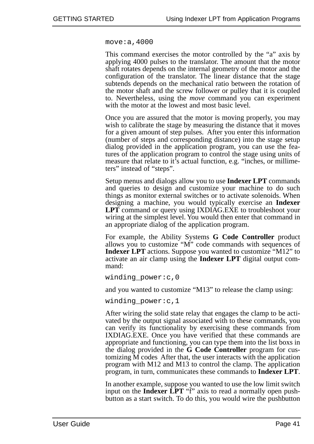move:a,4000

This command exercises the motor controlled by the "a" axis by applying 4000 pulses to the translator. The amount that the motor shaft rotates depends on the internal geometry of the motor and the configuration of the translator. The linear distance that the stage subtends depends on the mechanical ratio between the rotation of the motor shaft and the screw follower or pulley that it is coupled to. Nevertheless, using the *move* command you can experiment with the motor at the lowest and most basic level.

Once you are assured that the motor is moving properly, you may wish to calibrate the stage by measuring the distance that it moves for a given amount of step pulses. After you enter this information (number of steps and corresponding distance) into the stage setup dialog provided in the application program, you can use the features of the application program to control the stage using units of measure that relate to it's actual function, e.g. "inches, or millimeters" instead of "steps".

Setup menus and dialogs allow you to use **Indexer LPT** commands and queries to design and customize your machine to do such things as monitor external switches or to activate solenoids. When designing a machine, you would typically exercise an **Indexer LPT** command or query using IXDIAG.EXE to troubleshoot your wiring at the simplest level. You would then enter that command in an appropriate dialog of the application program.

For example, the Ability Systems **G Code Controller** product allows you to customize "M" code commands with sequences of **Indexer LPT** actions. Suppose you wanted to customize "M12" to activate an air clamp using the **Indexer LPT** digital output command:

winding power:c,0

and you wanted to customize "M13" to release the clamp using:

winding power:c, 1

After wiring the solid state relay that engages the clamp to be activated by the output signal associated with to these commands, you can verify its functionality by exercising these commands from IXDIAG.EXE. Once you have verified that these commands are appropriate and functioning, you can type them into the list boxs in the dialog provided in the **G Code Controller** program for customizing M codes After that, the user interacts with the application program with M12 and M13 to control the clamp. The application program, in turn, communicates these commands to **Indexer LPT**.

In another example, suppose you wanted to use the low limit switch input on the **Indexer LPT** "f" axis to read a normally open pushbutton as a start switch. To do this, you would wire the pushbutton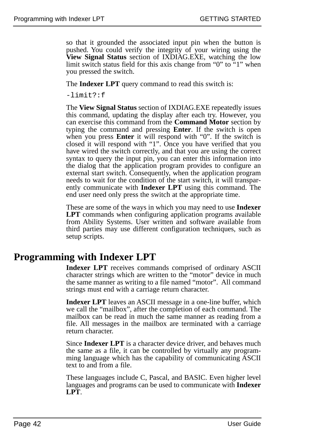so that it grounded the associated input pin when the button is pushed. You could verify the integrity of your wiring using the **View Signal Status** section of IXDIAG.EXE, watching the low limit switch status field for this axis change from "0" to "1" when you pressed the switch.

The **Indexer LPT** query command to read this switch is:

 $-1imif?$ :f

The **View Signal Status** section of IXDIAG.EXE repeatedly issues this command, updating the display after each try. However, you can exercise this command from the **Command Motor** section by typing the command and pressing **Enter**. If the switch is open when you press **Enter** it will respond with "0". If the switch is closed it will respond with "1". Once you have verified that you have wired the switch correctly, and that you are using the correct syntax to query the input pin, you can enter this information into the dialog that the application program provides to configure an external start switch. Consequently, when the application program needs to wait for the condition of the start switch, it will transparently communicate with **Indexer LPT** using this command. The end user need only press the switch at the appropriate time.

These are some of the ways in which you may need to use **Indexer LPT** commands when configuring application programs available from Ability Systems. User written and software available from third parties may use different configuration techniques, such as setup scripts.

# **Programming with Indexer LPT**

**Indexer LPT** receives commands comprised of ordinary ASCII character strings which are written to the "motor" device in much the same manner as writing to a file named "motor". All command strings must end with a carriage return character.

**Indexer LPT** leaves an ASCII message in a one-line buffer, which we call the "mailbox", after the completion of each command. The mailbox can be read in much the same manner as reading from a file. All messages in the mailbox are terminated with a carriage return character.

Since **Indexer LPT** is a character device driver, and behaves much the same as a file, it can be controlled by virtually any programming language which has the capability of communicating ASCII text to and from a file.

These languages include C, Pascal, and BASIC. Even higher level languages and programs can be used to communicate with **Indexer LPT**.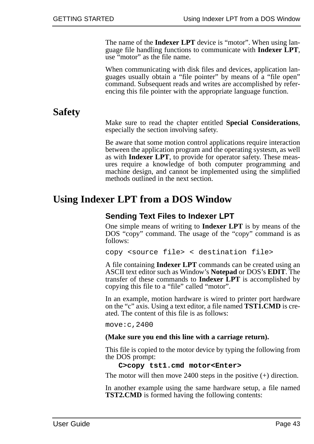The name of the **Indexer LPT** device is "motor". When using language file handling functions to communicate with **Indexer LPT**, use "motor" as the file name.

When communicating with disk files and devices, application languages usually obtain a "file pointer" by means of a "file open" command. Subsequent reads and writes are accomplished by referencing this file pointer with the appropriate language function.

# **Safety**

Make sure to read the chapter entitled **Special Considerations**, especially the section involving safety.

Be aware that some motion control applications require interaction between the application program and the operating systesm, as well as with **Indexer LPT**, to provide for operator safety. These measures require a knowledge of both computer programming and machine design, and cannot be implemented using the simplified methods outlined in the next section.

# **Using Indexer LPT from a DOS Window**

#### **Sending Text Files to Indexer LPT**

One simple means of writing to **Indexer LPT** is by means of the DOS "copy" command. The usage of the "copy" command is as follows:

copy <source file> < destination file>

A file containing **Indexer LPT** commands can be created using an ASCII text editor such as Window's **Notepad** or DOS's **EDIT**. The transfer of these commands to **Indexer LPT** is accomplished by copying this file to a "file" called "motor".

In an example, motion hardware is wired to printer port hardware on the "c" axis. Using a text editor, a file named **TST1.CMD** is created. The content of this file is as follows:

move:c,2400

#### **(Make sure you end this line with a carriage return).**

This file is copied to the motor device by typing the following from the DOS prompt:

#### **C>copy tst1.cmd motor<Enter>**

The motor will then move 2400 steps in the positive (+) direction.

In another example using the same hardware setup, a file named **TST2.CMD** is formed having the following contents: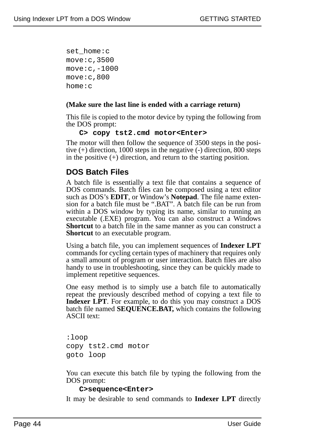set home:c move:c,3500 move:c,-1000 move:c,800 home:c

#### **(Make sure the last line is ended with a carriage return)**

This file is copied to the motor device by typing the following from the DOS prompt:

#### **C> copy tst2.cmd motor<Enter>**

The motor will then follow the sequence of 3500 steps in the positive (+) direction, 1000 steps in the negative (-) direction, 800 steps in the positive  $(+)$  direction, and return to the starting position.

### **DOS Batch Files**

A batch file is essentially a text file that contains a sequence of DOS commands. Batch files can be composed using a text editor such as DOS's **EDIT**, or Window's **Notepad**. The file name extension for a batch file must be ".BAT". A batch file can be run from within a DOS window by typing its name, similar to running an executable (.EXE) program. You can also construct a Windows **Shortcut** to a batch file in the same manner as you can construct a **Shortcut** to an executable program.

Using a batch file, you can implement sequences of **Indexer LPT** commands for cycling certain types of machinery that requires only a small amount of program or user interaction. Batch files are also handy to use in troubleshooting, since they can be quickly made to implement repetitive sequences.

One easy method is to simply use a batch file to automatically repeat the previously described method of copying a text file to **Indexer LPT**. For example, to do this you may construct a DOS batch file named **SEQUENCE.BAT,** which contains the following ASCII text:

:loop copy tst2.cmd motor goto loop

You can execute this batch file by typing the following from the DOS prompt:

#### **C>sequence<Enter>**

It may be desirable to send commands to **Indexer LPT** directly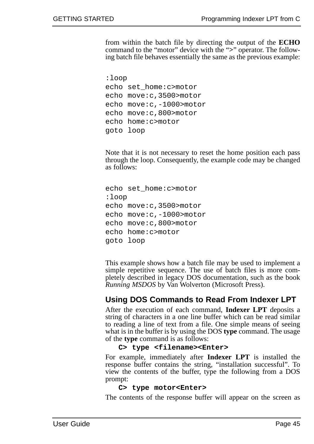from within the batch file by directing the output of the **ECHO** command to the "motor" device with the "**>**" operator. The following batch file behaves essentially the same as the previous example:

```
:loop
echo set_home:c>motor
echo move:c,3500>motor
echo move:c,-1000>motor
echo move:c,800>motor
echo home:c>motor
goto loop
```
Note that it is not necessary to reset the home position each pass through the loop. Consequently, the example code may be changed as follows:

```
echo set_home:c>motor
:loop
echo move:c,3500>motor
echo move:c,-1000>motor
echo move:c,800>motor
echo home:c>motor
goto loop
```
This example shows how a batch file may be used to implement a simple repetitive sequence. The use of batch files is more completely described in legacy DOS documentation, such as the book *Running MSDOS* by Van Wolverton (Microsoft Press).

#### **Using DOS Commands to Read From Indexer LPT**

After the execution of each command, **Indexer LPT** deposits a string of characters in a one line buffer which can be read similar to reading a line of text from a file. One simple means of seeing what is in the buffer is by using the DOS **type** command. The usage of the **type** command is as follows:

#### **C> type <filename><Enter>**

For example, immediately after **Indexer LPT** is installed the response buffer contains the string, "installation successful". To view the contents of the buffer, type the following from a DOS prompt:

#### **C> type motor<Enter>**

The contents of the response buffer will appear on the screen as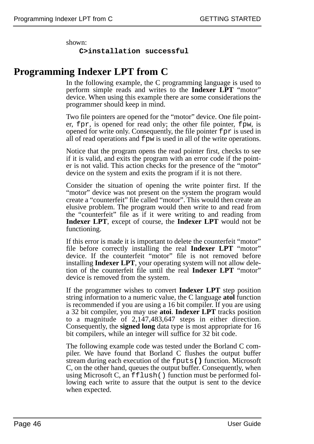shown:

**C>installation successful** 

# **Programming Indexer LPT from C**

In the following example, the C programming language is used to perform simple reads and writes to the **Indexer LPT** "motor" device. When using this example there are some considerations the programmer should keep in mind.

Two file pointers are opened for the "motor" device. One file pointer, fpr, is opened for read only; the other file pointer, fpw, is opened for write only. Consequently, the file pointer fpr is used in all of read operations and fpw is used in all of the write operations.

Notice that the program opens the read pointer first, checks to see if it is valid, and exits the program with an error code if the pointer is not valid. This action checks for the presence of the "motor" device on the system and exits the program if it is not there.

Consider the situation of opening the write pointer first. If the "motor" device was not present on the system the program would create a "counterfeit" file called "motor". This would then create an elusive problem. The program would then write to and read from the "counterfeit" file as if it were writing to and reading from **Indexer LPT**, except of course, the **Indexer LPT** would not be functioning.

If this error is made it is important to delete the counterfeit "motor" file before correctly installing the real **Indexer LPT** "motor" device. If the counterfeit "motor" file is not removed before installing **Indexer LPT**, your operating system will not allow deletion of the counterfeit file until the real **Indexer LPT** "motor" device is removed from the system.

If the programmer wishes to convert **Indexer LPT** step position string information to a numeric value, the C language **atol** function is recommended if you are using a 16 bit compiler. If you are using a 32 bit compiler, you may use **atoi**. **Indexer LPT** tracks position to a magnitude of 2,147,483,647 steps in either direction. Consequently, the **signed long** data type is most appropriate for 16 bit compilers, while an integer will suffice for 32 bit code.

The following example code was tested under the Borland C compiler. We have found that Borland C flushes the output buffer stream during each execution of the fputs**()** function. Microsoft C, on the other hand, queues the output buffer. Consequently, when using Microsoft C, an fflush() function must be performed following each write to assure that the output is sent to the device when expected.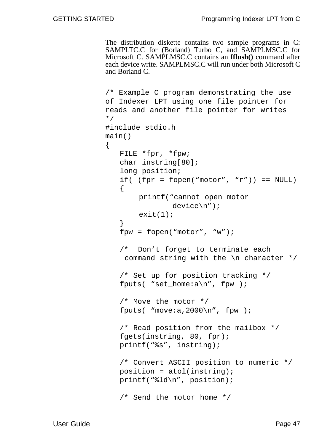The distribution diskette contains two sample programs in C: SAMPLTC.C for (Borland) Turbo C, and SAMPLMSC.C for Microsoft C. SAMPLMSC.C contains an **fflush()** command after each device write. SAMPLMSC.C will run under both Microsoft C and Borland C.

```
/* Example C program demonstrating the use
of Indexer LPT using one file pointer for
reads and another file pointer for writes
*/
#include stdio.h
main() 
{
   FILE *fpr, *fpw;
   char instring[80];
   long position;
   if( (fpr = fopen("motor", "r")) == NULL)
   \left\{ \right.printf("cannot open motor 
                device\n");
        exit(1);}
   fpw = fopen("motor", "w");
   /* Don't forget to terminate each 
    command string with the \n character */
   /* Set up for position tracking */
   fputs( "set_home:a\n", fpw );
   /* Move the motor */
   fputs( "move: a, 2000\n", fpw );
   /* Read position from the mailbox */ 
   fgets(instring, 80, fpr); 
   printf("%s", instring); 
   /* Convert ASCII position to numeric */
   position = atol(instring);printf("%ld\n", position);
   /* Send the motor home */
```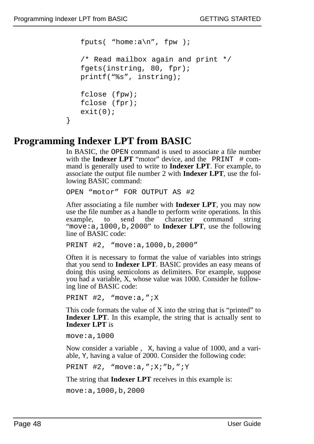}

```
fputs( "home:a \nightharpoonup n", fpw );
/* Read mailbox again and print */ 
fgets(instring, 80, fpr); 
printf("%s", instring);
fclose (fpw);
fclose (fpr);
exit(0);
```
# **Programming Indexer LPT from BASIC**

In BASIC, the OPEN command is used to associate a file number with the **Indexer LPT** "motor" device, and the  $PRINT$   $# comm$ mand is generally used to write to **Indexer LPT**. For example, to associate the output file number 2 with **Indexer LPT**, use the following BASIC command:

```
OPEN "motor" FOR OUTPUT AS #2
```
After associating a file number with **Indexer LPT**, you may now use the file number as a handle to perform write operations. In this example, to send the character command string "move:a,1000,b,2000" to **Indexer LPT**, use the following line of BASIC code:

```
PRINT #2, "move:a,1000,b,2000"
```
Often it is necessary to format the value of variables into strings that you send to **Indexer LPT**. BASIC provides an easy means of doing this using semicolons as delimiters. For example, suppose you had a variable, X, whose value was 1000. Consider he following line of BASIC code:

PRINT #2, "move:a,";X

This code formats the value of X into the string that is "printed" to **Indexer LPT**. In this example, the string that is actually sent to **Indexer LPT** is

move:a,1000

Now consider a variable , X, having a value of 1000, and a variable, Y, having a value of 2000. Consider the following code:

PRINT #2, "move:a,";X;"b,";Y

The string that **Indexer LPT** receives in this example is:

```
move:a,1000,b,2000
```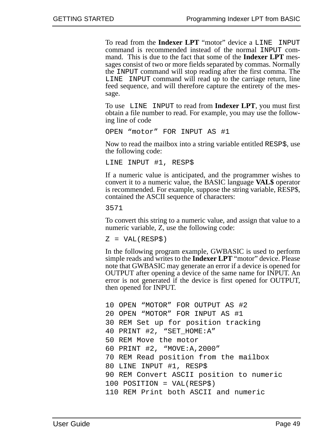To read from the **Indexer LPT** "motor" device a LINE INPUT command is recommended instead of the normal INPUT command. This is due to the fact that some of the **Indexer LPT** messages consist of two or more fields separated by commas. Normally the INPUT command will stop reading after the first comma. The LINE INPUT command will read up to the carriage return, line feed sequence, and will therefore capture the entirety of the message.

To use LINE INPUT to read from **Indexer LPT**, you must first obtain a file number to read. For example, you may use the following line of code

OPEN "motor" FOR INPUT AS #1

Now to read the mailbox into a string variable entitled RESP\$, use the following code:

LINE INPUT #1, RESP\$

If a numeric value is anticipated, and the programmer wishes to convert it to a numeric value, the BASIC language **VAL\$** operator is recommended. For example, suppose the string variable, RESP\$, contained the ASCII sequence of characters:

3571

To convert this string to a numeric value, and assign that value to a numeric variable, Z, use the following code:

 $Z = VAL(RESP<sub>S</sub>)$ 

In the following program example, GWBASIC is used to perform simple reads and writes to the **Indexer LPT** "motor" device. Please note that GWBASIC may generate an error if a device is opened for OUTPUT after opening a device of the same name for INPUT. An error is not generated if the device is first opened for OUTPUT, then opened for INPUT.

```
10 OPEN "MOTOR" FOR OUTPUT AS #2
20 OPEN "MOTOR" FOR INPUT AS #1
30 REM Set up for position tracking
40 PRINT #2, "SET_HOME:A"
50 REM Move the motor
60 PRINT #2, "MOVE:A,2000"
70 REM Read position from the mailbox
80 LINE INPUT #1, RESP$
90 REM Convert ASCII position to numeric
100 POSITION = VAL(RESP$)
110 REM Print both ASCII and numeric
```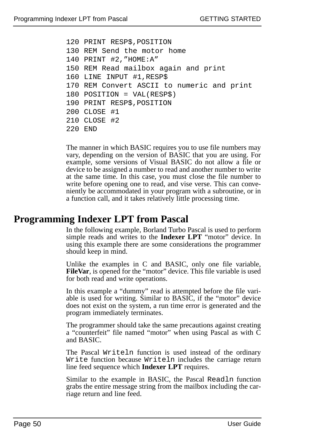```
120 PRINT RESP$,POSITION
130 REM Send the motor home
140 PRINT #2,"HOME:A"
150 REM Read mailbox again and print
160 LINE INPUT #1,RESP$
170 REM Convert ASCII to numeric and print
180 POSITION = VAL(RESP$)
190 PRINT RESP$,POSITION
200 CLOSE #1
210 CLOSE #2
220 END
```
The manner in which BASIC requires you to use file numbers may vary, depending on the version of BASIC that you are using. For example, some versions of Visual BASIC do not allow a file or device to be assigned a number to read and another number to write at the same time. In this case, you must close the file number to write before opening one to read, and vise verse. This can conveniently be accommodated in your program with a subroutine, or in a function call, and it takes relatively little processing time.

### **Programming Indexer LPT from Pascal**

In the following example, Borland Turbo Pascal is used to perform simple reads and writes to the **Indexer LPT** "motor" device. In using this example there are some considerations the programmer should keep in mind.

Unlike the examples in C and BASIC, only one file variable, **FileVar**, is opened for the "motor" device. This file variable is used for both read and write operations.

In this example a "dummy" read is attempted before the file variable is used for writing. Similar to BASIC, if the "motor" device does not exist on the system, a run time error is generated and the program immediately terminates.

The programmer should take the same precautions against creating a "counterfeit" file named "motor" when using Pascal as with C and BASIC.

The Pascal Writeln function is used instead of the ordinary Write function because Writeln includes the carriage return line feed sequence which **Indexer LPT** requires.

Similar to the example in BASIC, the Pascal Readln function grabs the entire message string from the mailbox including the carriage return and line feed.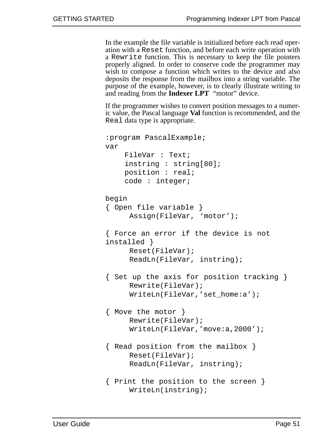In the example the file variable is initialized before each read operation with a Reset function, and before each write operation with a Rewrite function. This is necessary to keep the file pointers properly aligned. In order to conserve code the programmer may wish to compose a function which writes to the device and also deposits the response from the mailbox into a string variable. The purpose of the example, however, is to clearly illustrate writing to and reading from the **Indexer LPT** "motor" device.

If the programmer wishes to convert position messages to a numeric value, the Pascal language **Val** function is recommended, and the Real data type is appropriate.

```
:program PascalExample;
var
    FileVar : Text;
    instring : string[80];
    position : real;
    code : integer;
begin
{ Open file variable }
     Assign(FileVar, 'motor');
{ Force an error if the device is not
installed }
     Reset(FileVar);
     ReadLn(FileVar, instring);
{ Set up the axis for position tracking }
     Rewrite(FileVar);
     WriteLn(FileVar,'set_home:a');
{ Move the motor }
     Rewrite(FileVar);
     WriteLn(FileVar,'move:a,2000');
{ Read position from the mailbox }
     Reset(FileVar);
     ReadLn(FileVar, instring);
{ Print the position to the screen }
     WriteLn(instring);
```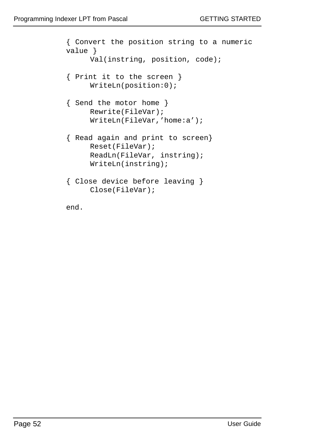```
{ Convert the position string to a numeric
value }
     Val(instring, position, code);
{ Print it to the screen }
     WriteLn(position:0);
{ Send the motor home }
     Rewrite(FileVar);
     WriteLn(FileVar,'home:a');
{ Read again and print to screen}
     Reset(FileVar);
     ReadLn(FileVar, instring);
     WriteLn(instring);
{ Close device before leaving }
     Close(FileVar);
end.
```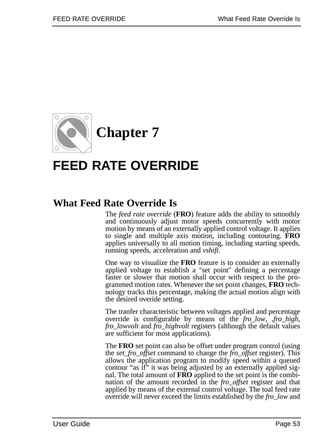

# **FEED RATE OVERRIDE**

# **What Feed Rate Override Is**

The *feed rate override* (**FRO**) feature adds the ability to smoothly and continuously adjust motor speeds concurrently with motor motion by means of an externally applied control voltage. It applies to single and multiple axis motion, including contouring. **FRO** applies universally to all motion timing, including starting speeds, running speeds, acceleration and *vshift*.

One way to visualize the **FRO** feature is to consider an externally applied voltage to establish a "set point" defining a percentage faster or slower that motion shall occur with respect to the programmed motion rates. Whenever the set point changes, **FRO** technology tracks this percentage, making the actual motion align with the desired overide setting.

The tranfer characteristic between voltages applied and percentage override is configurable by means of the *fro\_low*, ,*fro\_high*, *fro\_lowvolt* and *fro\_highvolt* registers (although the default values are sufficient for most applications).

The **FRO** set point can also be offset under program control (using the *set\_fro\_offset* command to change the *fro\_offset* register). This allows the application program to modify speed within a queued contour "as if" it was being adjusted by an externally applied signal. The total amount of **FRO** applied to the set point is the combination of the amount recorded in the *fro\_offset* register and that applied by means of the external control voltage. The toal feed rate override will never exceed the limits established by the *fro\_low* and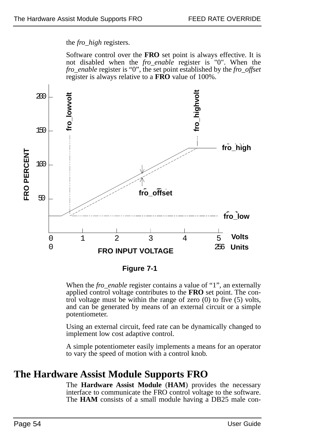the *fro\_high* registers.

Software control over the **FRO** set point is always effective. It is not disabled when the *fro\_enable* register is "0". When the *fro\_enable* register is "0", the set point established by the *fro\_offset* register is always relative to a **FRO** value of 100%.



**Figure 7-1**

When the *fro\_enable* register contains a value of "1", an externally applied control voltage contributes to the **FRO** set point. The control voltage must be within the range of zero (0) to five (5) volts, and can be generated by means of an external circuit or a simple potentiometer.

Using an external circuit, feed rate can be dynamically changed to implement low cost adaptive control.

A simple potentiometer easily implements a means for an operator to vary the speed of motion with a control knob.

## **The Hardware Assist Module Supports FRO**

The **Hardware Assist Module** (**HAM**) provides the necessary interface to communicate the FRO control voltage to the software. The **HAM** consists of a small module having a DB25 male con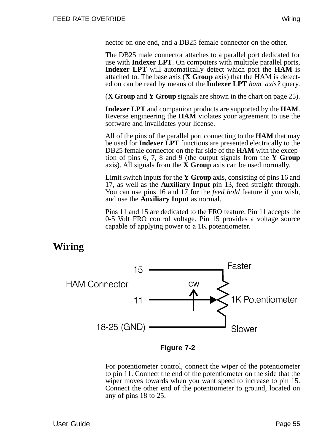nector on one end, and a DB25 female connector on the other.

The DB25 male connector attaches to a parallel port dedicated for use with **Indexer LPT**. On computers with multiple parallel ports, **Indexer LPT** will automatically detect which port the **HAM** is attached to. The base axis (**X Group** axis) that the HAM is detected on can be read by means of the **Indexer LPT** *ham\_axis?* query.

(**X Group** and **Y Group** signals are shown in the chart on page 25).

**Indexer LPT** and companion products are supported by the **HAM**. Reverse engineering the **HAM** violates your agreement to use the software and invalidates your license.

All of the pins of the parallel port connecting to the **HAM** that may be used for **Indexer LPT** functions are presented electrically to the DB25 female connector on the far side of the **HAM** with the exception of pins 6, 7, 8 and 9 (the output signals from the **Y Group** axis). All signals from the **X Group** axis can be used normally.

Limit switch inputs for the **Y Group** axis, consisting of pins 16 and 17, as well as the **Auxiliary Input** pin 13, feed straight through. You can use pins 16 and 17 for the *feed hold* feature if you wish, and use the **Auxiliary Input** as normal.

Pins 11 and 15 are dedicated to the FRO feature. Pin 11 accepts the 0-5 Volt FRO control voltage. Pin 15 provides a voltage source capable of applying power to a 1K potentiometer.

# **Wiring**



**Figure 7-2**

For potentiometer control, connect the wiper of the potentiometer to pin 11. Connect the end of the potentiometer on the side that the wiper moves towards when you want speed to increase to pin 15. Connect the other end of the potentiometer to ground, located on any of pins 18 to 25.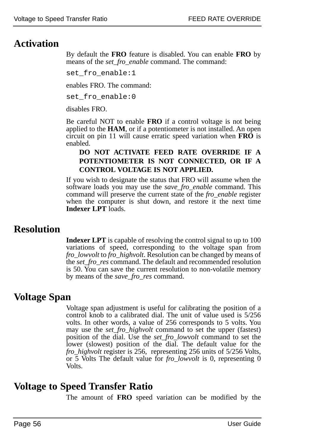# **Activation**

By default the **FRO** feature is disabled. You can enable **FRO** by means of the *set\_fro\_enable* command. The command:

set\_fro\_enable:1

enables FRO. The command:

set fro enable:0

disables FRO.

Be careful NOT to enable **FRO** if a control voltage is not being applied to the **HAM**, or if a potentiometer is not installed. An open circuit on pin 11 will cause erratic speed variation when **FRO** is enabled.

#### **DO NOT ACTIVATE FEED RATE OVERRIDE IF A POTENTIOMETER IS NOT CONNECTED, OR IF A CONTROL VOLTAGE IS NOT APPLIED.**

If you wish to designate the status that FRO will assume when the software loads you may use the *save\_fro\_enable* command. This command will preserve the current state of the *fro\_enable* register when the computer is shut down, and restore it the next time **Indexer LPT** loads.

## **Resolution**

**Indexer LPT** is capable of resolving the control signal to up to 100 variations of speed, corresponding to the voltage span from *fro\_lowvolt* to *fro\_highvolt*. Resolution can be changed by means of the *set\_fro\_res* command. The default and recommended resolution is 50. You can save the current resolution to non-volatile memory by means of the *save\_fro\_res* command.

## **Voltage Span**

Voltage span adjustment is useful for calibrating the position of a control knob to a calibrated dial. The unit of value used is 5/256 volts. In other words, a value of 256 corresponds to 5 volts. You may use the *set\_fro\_highvolt* command to set the upper (fastest) position of the dial. Use the *set\_fro\_lowvolt* command to set the lower (slowest) position of the dial. The default value for the *fro\_highvolt* register is 256, representing 256 units of 5/256 Volts, or 5 Volts The default value for *fro\_lowvolt* is 0, representing 0 Volts.

# **Voltage to Speed Transfer Ratio**

The amount of **FRO** speed variation can be modified by the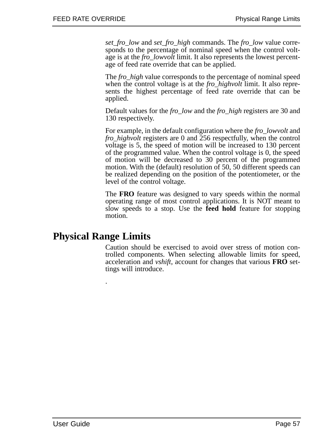*set\_fro\_low* and *set\_fro\_high* commands. The *fro\_low* value corresponds to the percentage of nominal speed when the control voltage is at the *fro\_lowvolt* limit. It also represents the lowest percentage of feed rate override that can be applied.

The *fro\_high* value corresponds to the percentage of nominal speed when the control voltage is at the *fro\_highvolt* limit. It also represents the highest percentage of feed rate override that can be applied.

Default values for the *fro\_low* and the *fro\_high* registers are 30 and 130 respectively.

For example, in the default configuration where the *fro\_lowvolt* and *fro\_highvolt* registers are 0 and 256 respectfully, when the control voltage is 5, the speed of motion will be increased to 130 percent of the programmed value. When the control voltage is 0, the speed of motion will be decreased to 30 percent of the programmed motion. With the (default) resolution of 50, 50 different speeds can be realized depending on the position of the potentiometer, or the level of the control voltage.

The **FRO** feature was designed to vary speeds within the normal operating range of most control applications. It is NOT meant to slow speeds to a stop. Use the **feed hold** feature for stopping motion.

### **Physical Range Limits**

.

Caution should be exercised to avoid over stress of motion controlled components. When selecting allowable limits for speed, acceleration and *vshift*, account for changes that various **FRO** settings will introduce.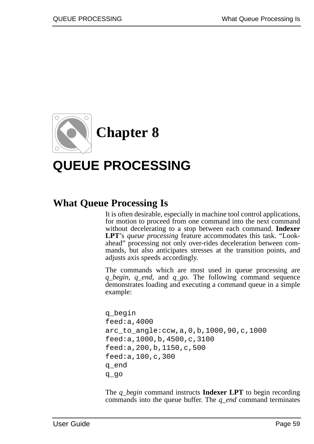

# **QUEUE PROCESSING**

# **What Queue Processing Is**

It is often desirable, especially in machine tool control applications, for motion to proceed from one command into the next command without decelerating to a stop between each command. **Indexer LPT**'s *queue processing* feature accommodates this task. "Lookahead" processing not only over-rides deceleration between commands, but also anticipates stresses at the transition points, and adjusts axis speeds accordingly.

The commands which are most used in queue processing are *q\_begin*, *q\_end,* and *q\_go.* The following command sequence demonstrates loading and executing a command queue in a simple example:

```
q_begin
feed:a,4000
arc_to_angle:ccw,a,0,b,1000,90,c,1000
feed:a,1000,b,4500,c,3100
feed:a,200,b,1150,c,500
feed:a,100,c,300
q_end
q_go
```
The *q\_begin* command instructs **Indexer LPT** to begin recording commands into the queue buffer. The *q\_end* command terminates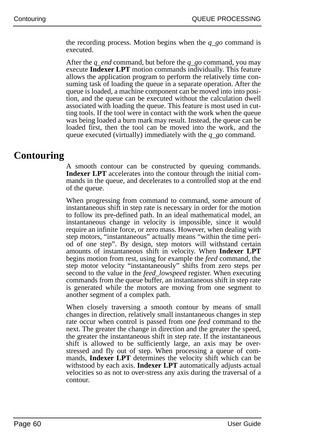the recording process. Motion begins when the *q\_go* command is executed.

After the *q\_end* command, but before the *q\_go* command, you may execute **Indexer LPT** motion commands individually. This feature allows the application program to perform the relatively time consuming task of loading the queue in a separate operation. After the queue is loaded, a machine component can be moved into into position, and the queue can be executed without the calculation dwell associated with loading the queue. This feature is most used in cutting tools. If the tool were in contact with the work when the queue was being loaded a burn mark may result. Instead, the queue can be loaded first, then the tool can be moved into the work, and the queue executed (virtually) immediately with the *q\_go* command.

## **Contouring**

A smooth contour can be constructed by queuing commands. **Indexer LPT** accelerates into the contour through the initial commands in the queue, and decelerates to a controlled stop at the end of the queue.

When progressing from command to command, some amount of instantaneous shift in step rate is necessary in order for the motion to follow its pre-defined path. In an ideal mathematical model, an instantaneous change in velocity is impossible, since it would require an infinite force, or zero mass. However, when dealing with step motors, "instantaneous" actually means "within the time period of one step". By design, step motors will withstand certain amounts of instantaneous shift in velocity. When **Indexer LPT** begins motion from rest, using for example the *feed* command, the step motor velocity "instantaneously" shifts from zero steps per second to the value in the *feed\_lowspeed* register. When executing commands from the queue buffer, an instantaneous shift in step rate is generated while the motors are moving from one segment to another segment of a complex path.

When closely traversing a smooth contour by means of small changes in direction, relatively small instantaneous changes in step rate occur when control is passed from one *feed* command to the next. The greater the change in direction and the greater the speed, the greater the instantaneous shift in step rate. If the instantaneous shift is allowed to be sufficiently large, an axis may be overstressed and fly out of step. When processing a queue of commands, **Indexer LPT** determines the velocity shift which can be withstood by each axis. **Indexer LPT** automatically adjusts actual velocities so as not to over-stress any axis during the traversal of a contour.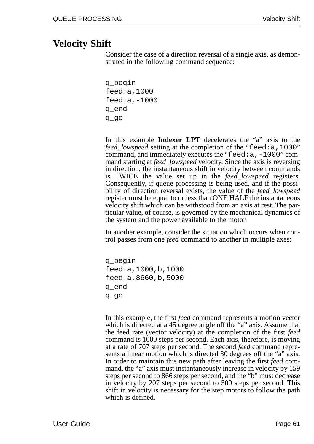# **Velocity Shift**

Consider the case of a direction reversal of a single axis, as demonstrated in the following command sequence:

```
q_begin
feed:a,1000
feed:a,-1000
q_end
q_go
```
In this example **Indexer LPT** decelerates the "a" axis to the *feed\_lowspeed* setting at the completion of the "feed:a,1000" command, and immediately executes the "feed:a,-1000" command starting at *feed\_lowspeed* velocity. Since the axis is reversing in direction, the instantaneous shift in velocity between commands is TWICE the value set up in the *feed\_lowspeed* registers. Consequently, if queue processing is being used, and if the possibility of direction reversal exists, the value of the *feed\_lowspeed* register must be equal to or less than ONE HALF the instantaneous velocity shift which can be withstood from an axis at rest. The particular value, of course, is governed by the mechanical dynamics of the system and the power available to the motor.

In another example, consider the situation which occurs when control passes from one *feed* command to another in multiple axes:

q\_begin feed:a,1000,b,1000 feed:a,8660,b,5000 q\_end q\_go

In this example, the first *feed* command represents a motion vector which is directed at a 45 degree angle off the "a" axis. Assume that the feed rate (vector velocity) at the completion of the first *feed* command is 1000 steps per second. Each axis, therefore, is moving at a rate of 707 steps per second. The second *feed* command represents a linear motion which is directed 30 degrees off the "a" axis. In order to maintain this new path after leaving the first *feed* command, the "a" axis must instantaneously increase in velocity by 159 steps per second to 866 steps per second, and the "b" must decrease in velocity by 207 steps per second to 500 steps per second. This shift in velocity is necessary for the step motors to follow the path which is defined.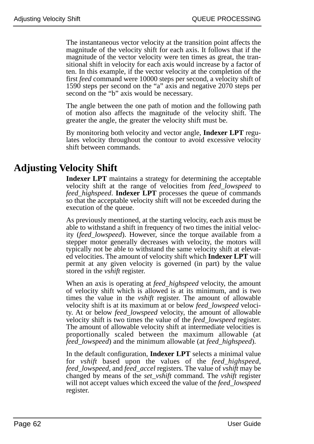The instantaneous vector velocity at the transition point affects the magnitude of the velocity shift for each axis. It follows that if the magnitude of the vector velocity were ten times as great, the transitional shift in velocity for each axis would increase by a factor of ten. In this example, if the vector velocity at the completion of the first *feed* command were 10000 steps per second, a velocity shift of 1590 steps per second on the "a" axis and negative 2070 steps per second on the "b" axis would be necessary.

The angle between the one path of motion and the following path of motion also affects the magnitude of the velocity shift. The greater the angle, the greater the velocity shift must be.

By monitoring both velocity and vector angle, **Indexer LPT** regulates velocity throughout the contour to avoid excessive velocity shift between commands.

# **Adjusting Velocity Shift**

**Indexer LPT** maintains a strategy for determining the acceptable velocity shift at the range of velocities from *feed\_lowspeed* to *feed\_highspeed*. **Indexer LPT** processes the queue of commands so that the acceptable velocity shift will not be exceeded during the execution of the queue.

As previously mentioned, at the starting velocity, each axis must be able to withstand a shift in frequency of two times the initial velocity (*feed\_lowspeed*). However, since the torque available from a stepper motor generally decreases with velocity, the motors will typically not be able to withstand the same velocity shift at elevated velocities. The amount of velocity shift which **Indexer LPT** will permit at any given velocity is governed (in part) by the value stored in the *vshift* register.

When an axis is operating at *feed\_highspeed* velocity, the amount of velocity shift which is allowed is at its minimum, and is two times the value in the *vshift* register. The amount of allowable velocity shift is at its maximum at or below *feed\_lowspeed* velocity. At or below *feed\_lowspeed* velocity, the amount of allowable velocity shift is two times the value of the *feed\_lowspeed* register. The amount of allowable velocity shift at intermediate velocities is proportionally scaled between the maximum allowable (at *feed\_lowspeed*) and the minimum allowable (at *feed\_highspeed*).

In the default configuration, **Indexer LPT** selects a minimal value for *vshift* based upon the values of the *feed\_highspeed*, *feed\_lowspeed*, and *feed\_accel* registers. The value of *vshift* may be changed by means of the *set\_vshift* command. The *vshift* register will not accept values which exceed the value of the *feed\_lowspeed* register.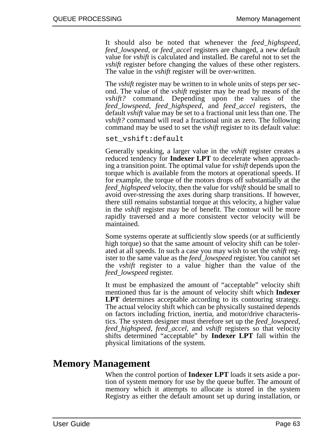It should also be noted that whenever the *feed\_highspeed*, *feed\_lowspeed*, or *feed\_accel* registers are changed, a new default value for *vshift* is calculated and installed. Be careful not to set the *vshift* register before changing the values of these other registers. The value in the *vshift* register will be over-written.

The *vshift* register may be written to in whole units of steps per second. The value of the *vshift* register may be read by means of the *vshift?* command. Depending upon the values of the *feed\_lowspeed*, *feed\_highspeed*, and *feed\_accel* registers, the default *vshift* value may be set to a fractional unit less than one. The *vshift?* command will read a fractional unit as zero. The following command may be used to set the *vshift* register to its default value:

set\_vshift:default

Generally speaking, a larger value in the *vshift* register creates a reduced tendency for **Indexer LPT** to decelerate when approaching a transition point. The optimal value for *vshift* depends upon the torque which is available from the motors at operational speeds. If for example, the torque of the motors drops off substantially at the *feed\_highspeed* velocity, then the value for *vshift* should be small to avoid over-stressing the axes during sharp transitions. If however, there still remains substantial torque at this velocity, a higher value in the *vshift* register may be of benefit. The contour will be more rapidly traversed and a more consistent vector velocity will be maintained.

Some systems operate at sufficiently slow speeds (or at sufficiently high torque) so that the same amount of velocity shift can be tolerated at all speeds. In such a case you may wish to set the *vshift* register to the same value as the *feed\_lowspeed* register. You cannot set the *vshift* register to a value higher than the value of the *feed\_lowspeed* register.

It must be emphasized the amount of "acceptable" velocity shift mentioned thus far is the amount of velocity shift which **Indexer LPT** determines acceptable according to its contouring strategy. The actual velocity shift which can be physically sustained depends on factors including friction, inertia, and motor/drive characteristics. The system designer must therefore set up the *feed\_lowspeed*, *feed\_highspeed*, *feed\_accel*, and *vshift* registers so that velocity shifts determined "acceptable" by **Indexer LPT** fall within the physical limitations of the system.

## **Memory Management**

When the control portion of **Indexer LPT** loads it sets aside a portion of system memory for use by the queue buffer. The amount of memory which it attempts to allocate is stored in the system Registry as either the default amount set up during installation, or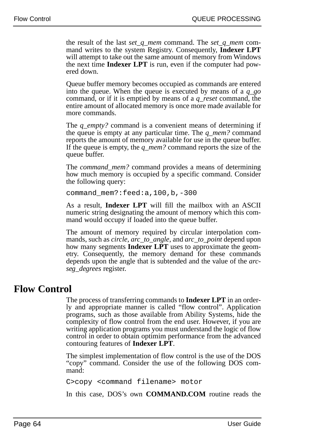the result of the last *set\_q\_mem* command. The *set\_q\_mem* command writes to the system Registry. Consequently, **Indexer LPT** will attempt to take out the same amount of memory from Windows the next time **Indexer LPT** is run, even if the computer had powered down.

Queue buffer memory becomes occupied as commands are entered into the queue. When the queue is executed by means of a *q\_go* command, or if it is emptied by means of a *q\_reset* command, the entire amount of allocated memory is once more made available for more commands.

The *q\_empty?* command is a convenient means of determining if the queue is empty at any particular time. The *q\_mem?* command reports the amount of memory available for use in the queue buffer. If the queue is empty, the *q\_mem?* command reports the size of the queue buffer.

The *command\_mem?* command provides a means of determining how much memory is occupied by a specific command. Consider the following query:

command\_mem?:feed:a,100,b,-300

As a result, **Indexer LPT** will fill the mailbox with an ASCII numeric string designating the amount of memory which this command would occupy if loaded into the queue buffer.

The amount of memory required by circular interpolation commands, such as *circle*, *arc\_to\_angle*, and *arc\_to\_point* depend upon how many segments **Indexer LPT** uses to approximate the geometry. Consequently, the memory demand for these commands depends upon the angle that is subtended and the value of the *arcseg\_degrees* register.

# **Flow Control**

The process of transferring commands to **Indexer LPT** in an orderly and appropriate manner is called "flow control". Application programs, such as those available from Ability Systems, hide the complexity of flow control from the end user. However, if you are writing application programs you must understand the logic of flow control in order to obtain optimim performance from the advanced contouring features of **Indexer LPT**.

The simplest implementation of flow control is the use of the DOS "copy" command. Consider the use of the following DOS command:

```
C>copy <command filename> motor
```
In this case, DOS's own **COMMAND.COM** routine reads the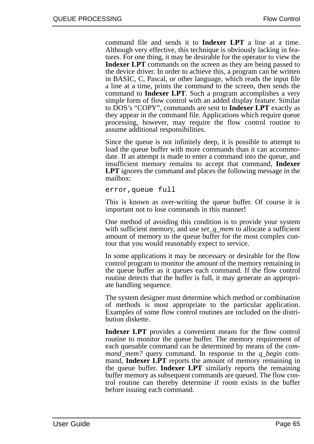command file and sends it to **Indexer LPT** a line at a time. Although very effective, this technique is obviously lacking in features. For one thing, it may be desirable for the operator to view the **Indexer LPT** commands on the screen as they are being passed to the device driver. In order to achieve this, a program can be written in BASIC, C, Pascal, or other language, which reads the input file a line at a time, prints the command to the screen, then sends the command to **Indexer LPT**. Such a program accomplishes a very simple form of flow control with an added display feature. Similar to DOS's "COPY", commands are sent to **Indexer LPT** exactly as they appear in the command file. Applications which require queue processing, however, may require the flow control routine to assume additional responsibilities.

Since the queue is not infinitely deep, it is possible to attempt to load the queue buffer with more commands than it can accommodate. If an attempt is made to enter a command into the queue, and insufficient memory remains to accept that command, **Indexer LPT** ignores the command and places the following message in the mailbox:

error,queue full

This is known as over-writing the queue buffer. Of course it is important not to lose commands in this manner!

One method of avoiding this condition is to provide your system with sufficient memory, and use *set\_q\_mem* to allocate a sufficient amount of memory to the queue buffer for the most complex contour that you would reasonably expect to service.

In some applications it may be necessary or desirable for the flow control program to monitor the amount of the memory remaining in the queue buffer as it queues each command. If the flow control routine detects that the buffer is full, it may generate an appropriate handling sequence.

The system designer must determine which method or combination of methods is most appropriate to the particular application. Examples of some flow control routines are included on the distribution diskette.

**Indexer LPT** provides a convenient means for the flow control routine to monitor the queue buffer. The memory requirement of each queuable command can be determined by means of the *command\_mem?* query command. In response to the *q\_begin* command, **Indexer LPT** reports the amount of memory remaining in the queue buffer. **Indexer LPT** similarly reports the remaining buffer memory as subsequent commands are queued. The flow control routine can thereby determine if room exists in the buffer before issuing each command.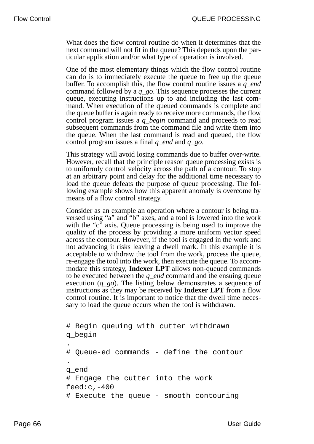What does the flow control routine do when it determines that the next command will not fit in the queue? This depends upon the particular application and/or what type of operation is involved.

One of the most elementary things which the flow control routine can do is to immediately execute the queue to free up the queue buffer. To accomplish this, the flow control routine issues a *q\_end* command followed by a *q\_go*. This sequence processes the current queue, executing instructions up to and including the last command. When execution of the queued commands is complete and the queue buffer is again ready to receive more commands, the flow control program issues a *q\_begin* command and proceeds to read subsequent commands from the command file and write them into the queue. When the last command is read and queued, the flow control program issues a final *q\_end* and *q\_go*.

This strategy will avoid losing commands due to buffer over-write. However, recall that the principle reason queue processing exists is to uniformly control velocity across the path of a contour. To stop at an arbitrary point and delay for the additional time necessary to load the queue defeats the purpose of queue processing. The following example shows how this apparent anomaly is overcome by means of a flow control strategy.

Consider as an example an operation where a contour is being traversed using "a" and "b" axes, and a tool is lowered into the work with the "c" axis. Queue processing is being used to improve the quality of the process by providing a more uniform vector speed across the contour. However, if the tool is engaged in the work and not advancing it risks leaving a dwell mark. In this example it is acceptable to withdraw the tool from the work, process the queue, re-engage the tool into the work, then execute the queue. To accommodate this strategy, **Indexer LPT** allows non-queued commands to be executed between the *q\_end* command and the ensuing queue execution (*q\_go*). The listing below demonstrates a sequence of instructions as they may be received by **Indexer LPT** from a flow control routine. It is important to notice that the dwell time necessary to load the queue occurs when the tool is withdrawn.

```
# Begin queuing with cutter withdrawn
q_begin
.
# Queue-ed commands - define the contour
.
q_end
# Engage the cutter into the work
feed:c, -400# Execute the queue - smooth contouring
```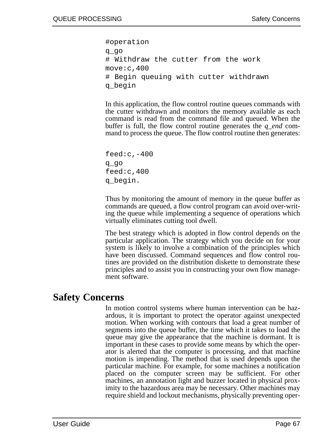#operation q\_go # Withdraw the cutter from the work move:c,400 # Begin queuing with cutter withdrawn q\_begin

In this application, the flow control routine queues commands with the cutter withdrawn and monitors the memory available as each command is read from the command file and queued. When the buffer is full, the flow control routine generates the *q\_end* command to process the queue. The flow control routine then generates:

feed $:c$ ,  $-400$ q\_go feed:c,400 q\_begin.

Thus by monitoring the amount of memory in the queue buffer as commands are queued, a flow control program can avoid over-writing the queue while implementing a sequence of operations which virtually eliminates cutting tool dwell.

The best strategy which is adopted in flow control depends on the particular application. The strategy which you decide on for your system is likely to involve a combination of the principles which have been discussed. Command sequences and flow control routines are provided on the distribution diskette to demonstrate these principles and to assist you in constructing your own flow management software.

#### **Safety Concerns**

In motion control systems where human intervention can be hazardous, it is important to protect the operator against unexpected motion. When working with contours that load a great number of segments into the queue buffer, the time which it takes to load the queue may give the appearance that the machine is dormant. It is important in these cases to provide some means by which the operator is alerted that the computer is processing, and that machine motion is impending. The method that is used depends upon the particular machine. For example, for some machines a notification placed on the computer screen may be sufficient. For other machines, an annotation light and buzzer located in physical proximity to the hazardous area may be necessary. Other machines may require shield and lockout mechanisms, physically preventing oper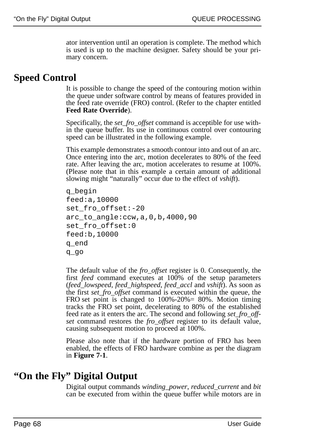ator intervention until an operation is complete. The method which is used is up to the machine designer. Safety should be your primary concern.

# **Speed Control**

It is possible to change the speed of the contouring motion within the queue under software control by means of features provided in the feed rate override (FRO) control. (Refer to the chapter entitled **Feed Rate Override**).

Specifically, the *set\_fro\_offset* command is acceptible for use within the queue buffer. Its use in continuous control over contouring speed can be illustrated in the following example.

This example demonstrates a smooth contour into and out of an arc. Once entering into the arc, motion decelerates to 80% of the feed rate. After leaving the arc, motion accelerates to resume at 100%. (Please note that in this example a certain amount of additional slowing might "naturally" occur due to the effect of *vshift*).

```
q_begin
feed:a,10000
set fro offset:-20
arc_to_angle:ccw,a,0,b,4000,90
set fro offset:0
feed:b,10000
q_end
q_go
```
The default value of the *fro\_offset* register is 0. Consequently, the first *feed* command executes at 100% of the setup parameters (*feed\_lowspeed*, *feed\_highspeed*, *feed\_accl* and *vshift*). As soon as the first *set\_fro\_offset* command is executed within the queue, the FRO set point is changed to 100%-20%= 80%. Motion timing tracks the FRO set point, decelerating to 80% of the established feed rate as it enters the arc. The second and following *set\_fro\_offset* command restores the *fro\_offset* register to its default value, causing subsequent motion to proceed at 100%.

Please also note that if the hardware portion of FRO has been enabled, the effects of FRO hardware combine as per the diagram in **Figure 7-1**.

# **"On the Fly" Digital Output**

Digital output commands *winding\_power*, *reduced\_current* and *bit* can be executed from within the queue buffer while motors are in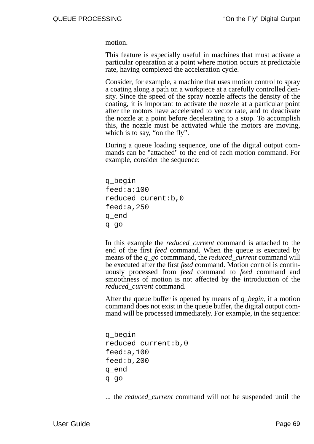motion.

This feature is especially useful in machines that must activate a particular opearation at a point where motion occurs at predictable rate, having completed the acceleration cycle.

Consider, for example, a machine that uses motion control to spray a coating along a path on a workpiece at a carefully controlled density. Since the speed of the spray nozzle affects the density of the coating, it is important to activate the nozzle at a particular point after the motors have accelerated to vector rate, and to deactivate the nozzle at a point before decelerating to a stop. To accomplish this, the nozzle must be activated while the motors are moving, which is to say, "on the fly".

During a queue loading sequence, one of the digital output commands can be "attached" to the end of each motion command. For example, consider the sequence:

```
q_begin
feed:a:100
reduced_curent:b,0
feed:a,250
q_end
q_go
```
In this example the *reduced\_current* command is attached to the end of the first *feed* command. When the queue is executed by means of the *q\_go* commmand, the *reduced\_current* command will be executed after the first *feed* command. Motion control is continuously processed from *feed* command to *feed* command and smoothness of motion is not affected by the introduction of the *reduced\_current* command.

After the queue buffer is opened by means of *q\_begin*, if a motion command does not exist in the queue buffer, the digital output command will be processed immediately. For example, in the sequence:

```
q_begin
reduced_current:b,0
feed:a,100
feed:b,200
q_end
q_go
```
... the *reduced\_current* command will not be suspended until the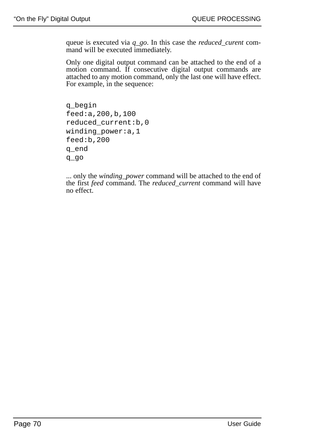queue is executed via *q\_go*. In this case the *reduced\_curent* command will be executed immediately.

Only one digital output command can be attached to the end of a motion command. If consecutive digital output commands are attached to any motion command, only the last one will have effect. For example, in the sequence:

```
q_begin
feed:a,200,b,100
reduced_current:b,0
winding power:a,1
feed:b,200
q_end
q_go
```
... only the *winding\_power* command will be attached to the end of the first *feed* command. The *reduced\_current* command will have no effect.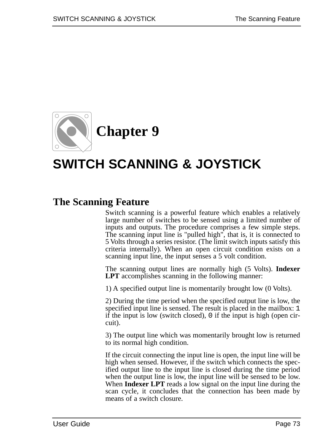

# **SWITCH SCANNING & JOYSTICK**

# **The Scanning Feature**

Switch scanning is a powerful feature which enables a relatively large number of switches to be sensed using a limited number of inputs and outputs. The procedure comprises a few simple steps. The scanning input line is "pulled high", that is, it is connected to 5 Volts through a series resistor. (The limit switch inputs satisfy this criteria internally). When an open circuit condition exists on a scanning input line, the input senses a 5 volt condition.

The scanning output lines are normally high (5 Volts). **Indexer LPT** accomplishes scanning in the following manner:

1) A specified output line is momentarily brought low (0 Volts).

2) During the time period when the specified output line is low, the specified input line is sensed. The result is placed in the mailbox: 1 if the input is low (switch closed), 0 if the input is high (open circuit).

3) The output line which was momentarily brought low is returned to its normal high condition.

If the circuit connecting the input line is open, the input line will be high when sensed. However, if the switch which connects the specified output line to the input line is closed during the time period when the output line is low, the input line will be sensed to be low. When **Indexer LPT** reads a low signal on the input line during the scan cycle, it concludes that the connection has been made by means of a switch closure.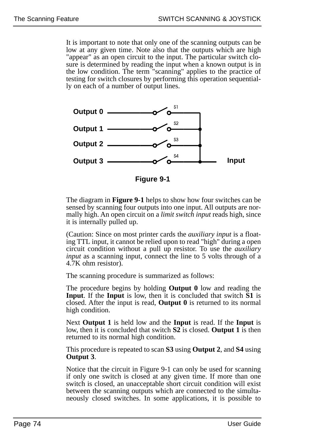It is important to note that only one of the scanning outputs can be low at any given time. Note also that the outputs which are high "appear" as an open circuit to the input. The particular switch closure is determined by reading the input when a known output is in the low condition. The term "scanning" applies to the practice of testing for switch closures by performing this operation sequentially on each of a number of output lines.



**Figure 9-1**

The diagram in **Figure 9-1** helps to show how four switches can be sensed by scanning four outputs into one input. All outputs are normally high. An open circuit on a *limit switch input* reads high, since it is internally pulled up.

(Caution: Since on most printer cards the *auxiliary input* is a floating TTL input, it cannot be relied upon to read "high" during a open circuit condition without a pull up resistor. To use the *auxiliary input* as a scanning input, connect the line to 5 volts through of a 4.7K ohm resistor).

The scanning procedure is summarized as follows:

The procedure begins by holding **Output 0** low and reading the **Input**. If the **Input** is low, then it is concluded that switch **S1** is closed. After the input is read, **Output 0** is returned to its normal high condition.

Next **Output 1** is held low and the **Input** is read. If the **Input** is low, then it is concluded that switch **S2** is closed. **Output 1** is then returned to its normal high condition.

This procedure is repeated to scan **S3** using **Output 2**, and **S4** using **Output 3**.

Notice that the circuit in Figure 9-1 can only be used for scanning if only one switch is closed at any given time. If more than one switch is closed, an unacceptable short circuit condition will exist between the scanning outputs which are connected to the simultaneously closed switches. In some applications, it is possible to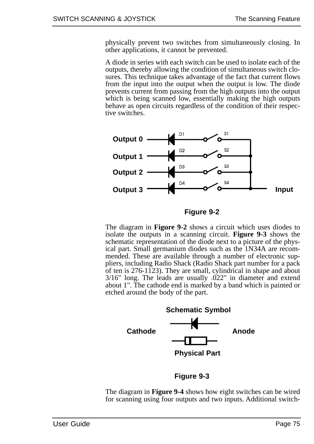physically prevent two switches from simultaneously closing. In other applications, it cannot be prevented.

A diode in series with each switch can be used to isolate each of the outputs, thereby allowing the condition of simultaneous switch closures. This technique takes advantage of the fact that current flows from the input into the output when the output is low. The diode prevents current from passing from the high outputs into the output which is being scanned low, essentially making the high outputs behave as open circuits regardless of the condition of their respective switches.



**Figure 9-2**

The diagram in **Figure 9-2** shows a circuit which uses diodes to isolate the outputs in a scanning circuit. **Figure 9-3** shows the schematic representation of the diode next to a picture of the physical part. Small germanium diodes such as the 1N34A are recommended. These are available through a number of electronic suppliers, including Radio Shack (Radio Shack part number for a pack of ten is 276-1123). They are small, cylindrical in shape and about 3/16" long. The leads are usually .022" in diameter and extend about 1". The cathode end is marked by a band which is painted or etched around the body of the part.



The diagram in **Figure 9-4** shows how eight switches can be wired for scanning using four outputs and two inputs. Additional switch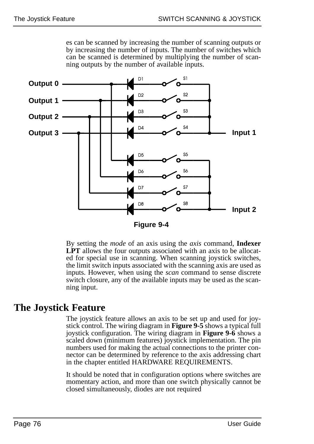**Output 0** D<sub>2</sub> **Output 1** D<sub>3</sub> **Output 2** Output 3  $\longrightarrow$   $\longrightarrow$   $\longrightarrow$   $\longrightarrow$   $\longrightarrow$   $\longrightarrow$   $\longrightarrow$  Input 1 **Input 2**

es can be scanned by increasing the number of scanning outputs or by increasing the number of inputs. The number of switches which can be scanned is determined by multiplying the number of scanning outputs by the number of available inputs.

**Figure 9-4**

By setting the *mode* of an axis using the *axis* command, **Indexer LPT** allows the four outputs associated with an axis to be allocated for special use in scanning. When scanning joystick switches, the limit switch inputs associated with the scanning axis are used as inputs. However, when using the *scan* command to sense discrete switch closure, any of the available inputs may be used as the scanning input.

# **The Joystick Feature**

The joystick feature allows an axis to be set up and used for joystick control. The wiring diagram in **Figure 9-5** shows a typical full joystick configuration. The wiring diagram in **Figure 9-6** shows a scaled down (minimum features) joystick implementation. The pin numbers used for making the actual connections to the printer connector can be determined by reference to the axis addressing chart in the chapter entitled HARDWARE REQUIREMENTS.

It should be noted that in configuration options where switches are momentary action, and more than one switch physically cannot be closed simultaneously, diodes are not required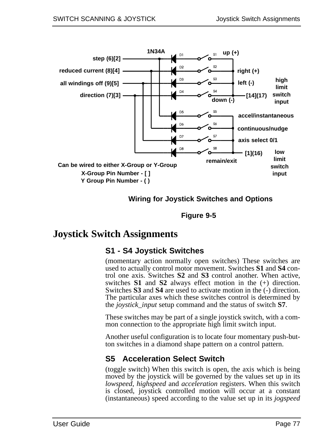

**Wiring for Joystick Switches and Options**

**Figure 9-5**

# **Joystick Switch Assignments**

## **S1 - S4 Joystick Switches**

(momentary action normally open switches) These switches are used to actually control motor movement. Switches **S1** and **S4** control one axis. Switches **S2** and **S3** control another. When active, switches **S1** and **S2** always effect motion in the (+) direction. Switches **S3** and **S4** are used to activate motion in the (-) direction. The particular axes which these switches control is determined by the *joystick\_input* setup command and the status of switch **S7**.

These switches may be part of a single joystick switch, with a common connection to the appropriate high limit switch input.

Another useful configuration is to locate four momentary push-button switches in a diamond shape pattern on a control pattern.

## **S5 Acceleration Select Switch**

(toggle switch) When this switch is open, the axis which is being moved by the joystick will be governed by the values set up in its *lowspeed*, *highspeed* and *acceleration* registers. When this switch is closed, joystick controlled motion will occur at a constant (instantaneous) speed according to the value set up in its *jogspeed*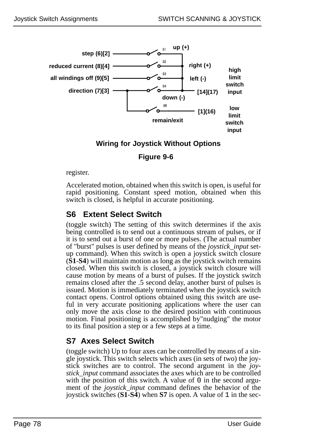

#### **Wiring for Joystick Without Options**

**Figure 9-6**

register.

Accelerated motion, obtained when this switch is open, is useful for rapid positioning. Constant speed motion, obtained when this switch is closed, is helpful in accurate positioning.

## **S6 Extent Select Switch**

(toggle switch) The setting of this switch determines if the axis being controlled is to send out a continuous stream of pulses, or if it is to send out a burst of one or more pulses. (The actual number of "burst" pulses is user defined by means of the *joystick\_input* setup command). When this switch is open a joystick switch closure (**S1**-**S4**) will maintain motion as long as the joystick switch remains closed. When this switch is closed, a joystick switch closure will cause motion by means of a burst of pulses. If the joystick switch remains closed after the .5 second delay, another burst of pulses is issued. Motion is immediately terminated when the joystick switch contact opens. Control options obtained using this switch are useful in very accurate positioning applications where the user can only move the axis close to the desired position with continuous motion. Final positioning is accomplished by"nudging" the motor to its final position a step or a few steps at a time.

## **S7 Axes Select Switch**

(toggle switch) Up to four axes can be controlled by means of a single joystick. This switch selects which axes (in sets of two) the joystick switches are to control. The second argument in the *joystick\_input* command associates the axes which are to be controlled with the position of this switch. A value of 0 in the second argument of the *joystick\_input* command defines the behavior of the joystick switches (**S1**-**S4**) when **S7** is open. A value of 1 in the sec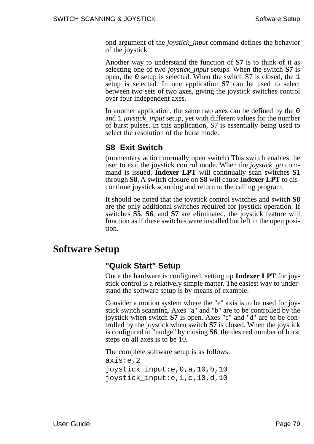ond argument of the *joystick\_input* command defines the behavior of the joystick

Another way to understand the function of **S7** is to think of it as selecting one of two *joystick\_input* setups. When the switch **S7** is open, the 0 setup is selected. When the switch S7 is closed, the 1 setup is selected. In one application **S7** can be used to select between two sets of two axes, giving the joystick switches control over four independent axes.

In another application, the same two axes can be defined by the 0 and 1 *joystick\_input* setup, yet with different values for the number of burst pulses. In this application, S7 is essentially being used to select the resolution of the burst mode.

#### **S8 Exit Switch**

(momentary action normally open switch) This switch enables the user to exit the joystick control mode. When the *joystick\_go* command is issued, **Indexer LPT** will continually scan switches **S1** through **S8**. A switch closure on **S8** will cause **Indexer LPT** to discontinue joystick scanning and return to the calling program.

It should be noted that the joystick control switches and switch **S8** are the only additional switches required for joystick operation. If switches **S5**, **S6**, and **S7** are eliminated, the joystick feature will function as if these switches were installed but left in the open position.

# **Software Setup**

#### **"Quick Start" Setup**

Once the hardware is configured, setting up **Indexer LPT** for joystick control is a relatively simple matter. The easiest way to understand the software setup is by means of example.

Consider a motion system where the "e" axis is to be used for joystick switch scanning. Axes "a" and "b" are to be controlled by the joystick when switch **S7** is open. Axes "c" and "d" are to be controlled by the joystick when switch **S7** is closed. When the joystick is configured to "nudge" by closing **S6**, the desired number of burst steps on all axes is to be 10.

The complete software setup is as follows:

axis:e,2 joystick\_input:e,0,a,10,b,10 joystick\_input:e,1,c,10,d,10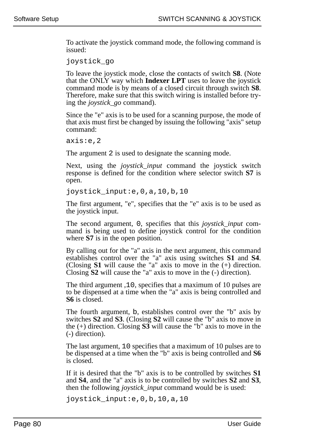To activate the joystick command mode, the following command is issued:

joystick\_go

To leave the joystick mode, close the contacts of switch **S8**. (Note that the ONLY way which **Indexer LPT** uses to leave the joystick command mode is by means of a closed circuit through switch **S8**. Therefore, make sure that this switch wiring is installed before trying the *joystick\_go* command).

Since the "e" axis is to be used for a scanning purpose, the mode of that axis must first be changed by issuing the following "axis" setup command:

axis:e,2

The argument 2 is used to designate the scanning mode.

Next, using the *joystick\_input* command the joystick switch response is defined for the condition where selector switch **S7** is open.

joystick\_input:e,0,a,10,b,10

The first argument, "e", specifies that the "e" axis is to be used as the joystick input.

The second argument, 0, specifies that this *joystick\_input* command is being used to define joystick control for the condition where **S7** is in the open position.

By calling out for the "a" axis in the next argument, this command establishes control over the "a" axis using switches **S1** and **S4**. (Closing **S1** will cause the "a" axis to move in the (+) direction. Closing **S2** will cause the "a" axis to move in the (-) direction).

The third argument ,10, specifies that a maximum of 10 pulses are to be dispensed at a time when the "a" axis is being controlled and **S6** is closed.

The fourth argument, b, establishes control over the "b" axis by switches **S2** and **S3**. (Closing **S2** will cause the "b" axis to move in the (+) direction. Closing **S3** will cause the "b" axis to move in the (-) direction).

The last argument, 10 specifies that a maximum of 10 pulses are to be dispensed at a time when the "b" axis is being controlled and **S6** is closed.

If it is desired that the "b" axis is to be controlled by switches **S1** and **S4**, and the "a" axis is to be controlled by switches **S2** and **S3**, then the following *joystick\_input* command would be is used:

joystick\_input:e,0,b,10,a,10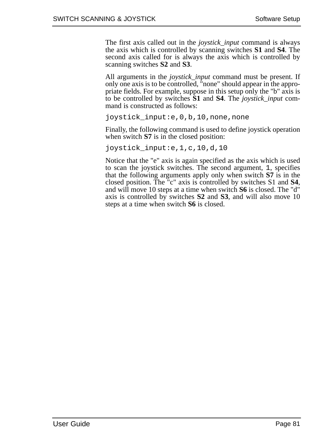The first axis called out in the *joystick\_input* command is always the axis which is controlled by scanning switches **S1** and **S4**. The second axis called for is always the axis which is controlled by scanning switches **S2** and **S3**.

All arguments in the *joystick\_input* command must be present. If only one axis is to be controlled, "none" should appear in the appropriate fields. For example, suppose in this setup only the "b" axis is to be controlled by switches **S1** and **S4**. The *joystick\_input* command is constructed as follows:

joystick\_input:e,0,b,10,none,none

Finally, the following command is used to define joystick operation when switch **S7** is in the closed position:

joystick\_input:e,1,c,10,d,10

Notice that the "e" axis is again specified as the axis which is used to scan the joystick switches. The second argument, 1, specifies that the following arguments apply only when switch **S7** is in the closed position. The "c" axis is controlled by switches S1 and **S4**, and will move 10 steps at a time when switch **S6** is closed. The "d" axis is controlled by switches **S2** and **S3**, and will also move 10 steps at a time when switch **S6** is closed.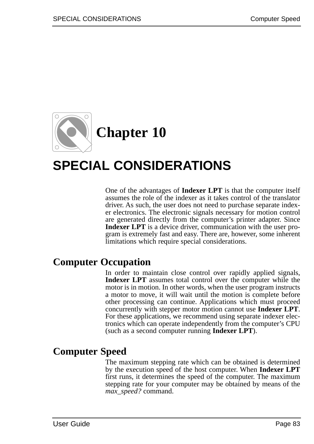

# **SPECIAL CONSIDERATIONS**

One of the advantages of **Indexer LPT** is that the computer itself assumes the role of the indexer as it takes control of the translator driver. As such, the user does not need to purchase separate indexer electronics. The electronic signals necessary for motion control are generated directly from the computer's printer adapter. Since **Indexer LPT** is a device driver, communication with the user program is extremely fast and easy. There are, however, some inherent limitations which require special considerations.

## **Computer Occupation**

In order to maintain close control over rapidly applied signals, **Indexer LPT** assumes total control over the computer while the motor is in motion. In other words, when the user program instructs a motor to move, it will wait until the motion is complete before other processing can continue. Applications which must proceed concurrently with stepper motor motion cannot use **Indexer LPT**. For these applications, we recommend using separate indexer electronics which can operate independently from the computer's CPU (such as a second computer running **Indexer LPT**).

# **Computer Speed**

The maximum stepping rate which can be obtained is determined by the execution speed of the host computer. When **Indexer LPT** first runs, it determines the speed of the computer. The maximum stepping rate for your computer may be obtained by means of the *max\_speed?* command.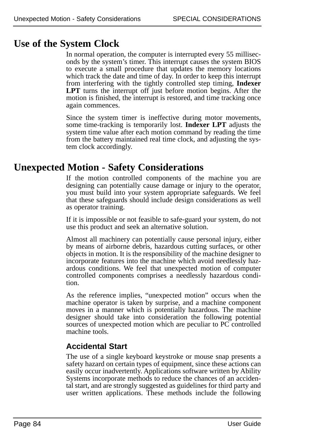# **Use of the System Clock**

In normal operation, the computer is interrupted every 55 milliseconds by the system's timer. This interrupt causes the system BIOS to execute a small procedure that updates the memory locations which track the date and time of day. In order to keep this interrupt from interfering with the tightly controlled step timing, **Indexer LPT** turns the interrupt off just before motion begins. After the motion is finished, the interrupt is restored, and time tracking once again commences.

Since the system timer is ineffective during motor movements, some time-tracking is temporarily lost. **Indexer LPT** adjusts the system time value after each motion command by reading the time from the battery maintained real time clock, and adjusting the system clock accordingly.

# **Unexpected Motion - Safety Considerations**

If the motion controlled components of the machine you are designing can potentially cause damage or injury to the operator, you must build into your system appropriate safeguards. We feel that these safeguards should include design considerations as well as operator training.

If it is impossible or not feasible to safe-guard your system, do not use this product and seek an alternative solution.

Almost all machinery can potentially cause personal injury, either by means of airborne debris, hazardous cutting surfaces, or other objects in motion. It is the responsibility of the machine designer to incorporate features into the machine which avoid needlessly hazardous conditions. We feel that unexpected motion of computer controlled components comprises a needlessly hazardous condition.

As the reference implies, "unexpected motion" occurs when the machine operator is taken by surprise, and a machine component moves in a manner which is potentially hazardous. The machine designer should take into consideration the following potential sources of unexpected motion which are peculiar to PC controlled machine tools.

## **Accidental Start**

The use of a single keyboard keystroke or mouse snap presents a safety hazard on certain types of equipment, since these actions can easily occur inadvertently. Applications software written by Ability Systems incorporate methods to reduce the chances of an accidental start, and are strongly suggested as guidelines for third party and user written applications. These methods include the following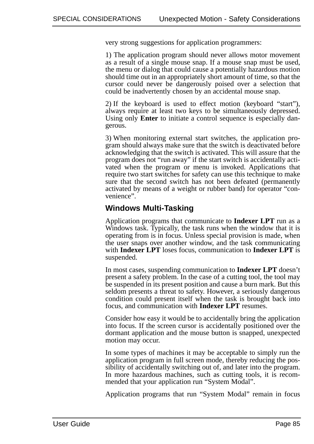very strong suggestions for application programmers:

1) The application program should never allows motor movement as a result of a single mouse snap. If a mouse snap must be used, the menu or dialog that could cause a potentially hazardous motion should time out in an appropriately short amount of time, so that the cursor could never be dangerously poised over a selection that could be inadvertently chosen by an accidental mouse snap.

2) If the keyboard is used to effect motion (keyboard "start"), always require at least two keys to be simultaneously depressed. Using only **Enter** to initiate a control sequence is especially dangerous.

3) When monitoring external start switches, the application program should always make sure that the switch is deactivated before acknowledging that the switch is activated. This will assure that the program does not "run away" if the start switch is accidentally activated when the program or menu is invoked. Applications that require two start switches for safety can use this technique to make sure that the second switch has not been defeated (permanently activated by means of a weight or rubber band) for operator "convenience".

#### **Windows Multi-Tasking**

Application programs that communicate to **Indexer LPT** run as a Windows task. Typically, the task runs when the window that it is operating from is in focus. Unless special provision is made, when the user snaps over another window, and the task communicating with **Indexer LPT** loses focus, communication to **Indexer LPT** is suspended.

In most cases, suspending communication to **Indexer LPT** doesn't present a safety problem. In the case of a cutting tool, the tool may be suspended in its present position and cause a burn mark. But this seldom presents a threat to safety. However, a seriously dangerous condition could present itself when the task is brought back into focus, and communication with **Indexer LPT** resumes.

Consider how easy it would be to accidentally bring the application into focus. If the screen cursor is accidentally positioned over the dormant application and the mouse button is snapped, unexpected motion may occur.

In some types of machines it may be acceptable to simply run the application program in full screen mode, thereby reducing the possibility of accidentally switching out of, and later into the program. In more hazardous machines, such as cutting tools, it is recommended that your application run "System Modal".

Application programs that run "System Modal" remain in focus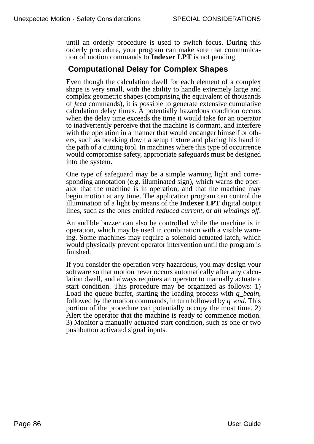until an orderly procedure is used to switch focus. During this orderly procedure, your program can make sure that communication of motion commands to **Indexer LPT** is not pending.

#### **Computational Delay for Complex Shapes**

Even though the calculation dwell for each element of a complex shape is very small, with the ability to handle extremely large and complex geometric shapes (comprising the equivalent of thousands of *feed* commands), it is possible to generate extensive cumulative calculation delay times. A potentially hazardous condition occurs when the delay time exceeds the time it would take for an operator to inadvertently perceive that the machine is dormant, and interfere with the operation in a manner that would endanger himself or others, such as breaking down a setup fixture and placing his hand in the path of a cutting tool. In machines where this type of occurrence would compromise safety, appropriate safeguards must be designed into the system.

One type of safeguard may be a simple warning light and corresponding annotation (e.g. illuminated sign), which warns the operator that the machine is in operation, and that the machine may begin motion at any time. The application program can control the illumination of a light by means of the **Indexer LPT** digital output lines, such as the ones entitled *reduced current*, or *all windings off*.

An audible buzzer can also be controlled while the machine is in operation, which may be used in combination with a visible warning. Some machines may require a solenoid actuated latch, which would physically prevent operator intervention until the program is finished.

If you consider the operation very hazardous, you may design your software so that motion never occurs automatically after any calculation dwell, and always requires an operator to manually actuate a start condition. This procedure may be organized as follows: 1) Load the queue buffer, starting the loading process with *q\_begin*, followed by the motion commands, in turn followed by *q\_end*. This portion of the procedure can potentially occupy the most time. 2) Alert the operator that the machine is ready to commence motion. 3) Monitor a manually actuated start condition, such as one or two pushbutton activated signal inputs.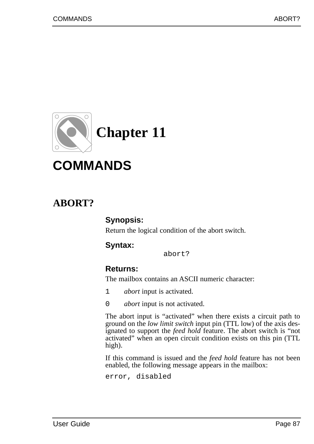

# **COMMANDS**

# **ABORT?**

#### **Synopsis:**

Return the logical condition of the abort switch.

#### **Syntax:**

abort?

#### **Returns:**

The mailbox contains an ASCII numeric character:

- 1 *abort* input is activated.
- 0 *abort* input is not activated.

The abort input is "activated" when there exists a circuit path to ground on the *low limit switch* input pin (TTL low) of the axis designated to support the *feed hold* feature. The abort switch is "not activated" when an open circuit condition exists on this pin (TTL high).

If this command is issued and the *feed hold* feature has not been enabled, the following message appears in the mailbox:

error, disabled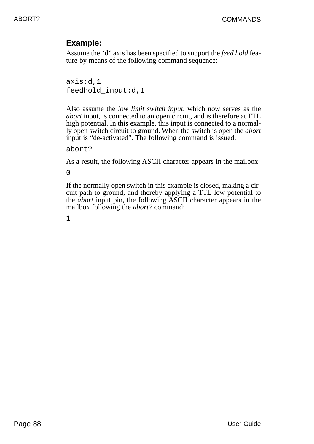#### **Example:**

Assume the "d" axis has been specified to support the *feed hold* feature by means of the following command sequence:

axis:d,1 feedhold\_input:d,1

Also assume the *low limit switch input*, which now serves as the *abort* input, is connected to an open circuit, and is therefore at TTL high potential. In this example, this input is connected to a normally open switch circuit to ground. When the switch is open the *abort* input is "de-activated". The following command is issued:

abort?

As a result, the following ASCII character appears in the mailbox:

 $\Omega$ 

If the normally open switch in this example is closed, making a circuit path to ground, and thereby applying a TTL low potential to the *abort* input pin, the following ASCII character appears in the mailbox following the *abort?* command: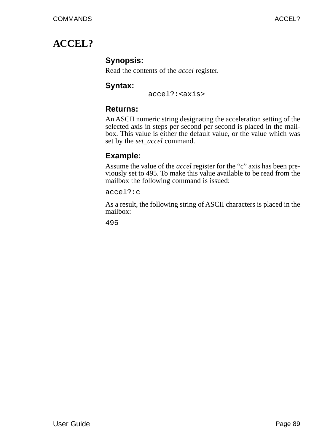# **ACCEL?**

### **Synopsis:**

Read the contents of the *accel* register.

#### **Syntax:**

accel?:<axis>

### **Returns:**

An ASCII numeric string designating the acceleration setting of the selected axis in steps per second per second is placed in the mailbox. This value is either the default value, or the value which was set by the *set\_accel* command.

## **Example:**

Assume the value of the *accel* register for the "c" axis has been previously set to 495. To make this value available to be read from the mailbox the following command is issued:

accel?:c

As a result, the following string of ASCII characters is placed in the mailbox: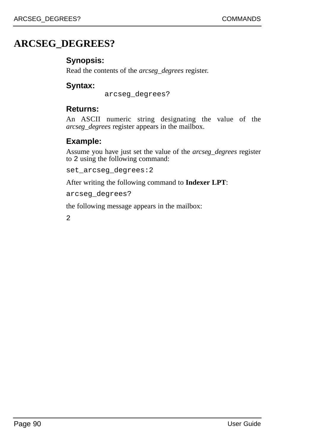# **ARCSEG\_DEGREES?**

#### **Synopsis:**

Read the contents of the *arcseg\_degrees* register.

### **Syntax:**

arcseg\_degrees?

#### **Returns:**

An ASCII numeric string designating the value of the *arcseg\_degrees* register appears in the mailbox.

## **Example:**

Assume you have just set the value of the *arcseg\_degrees* register to 2 using the following command:

set\_arcseg\_degrees:2

After writing the following command to **Indexer LPT**:

arcseg\_degrees?

the following message appears in the mailbox: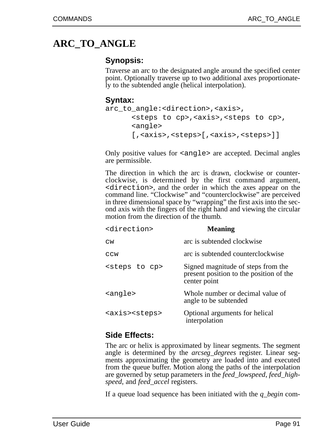# **ARC\_TO\_ANGLE**

#### **Synopsis:**

Traverse an arc to the designated angle around the specified center point. Optionally traverse up to two additional axes proportionately to the subtended angle (helical interpolation).

#### **Syntax:**

```
arc_to_angle:<direction>,<axis>,
      <steps to cp>,<axis>,<steps to cp>,
      <angle>
      [,<axis>,<steps>[,<axis>,<steps>]]
```
Only positive values for <angle> are accepted. Decimal angles are permissible.

The direction in which the arc is drawn, clockwise or counterclockwise, is determined by the first command argument, <direction>, and the order in which the axes appear on the command line. "Clockwise" and "counterclockwise" are perceived in three dimensional space by "wrapping" the first axis into the second axis with the fingers of the right hand and viewing the circular motion from the direction of the thumb.

| <direction></direction>      | <b>Meaning</b>                                                                                |
|------------------------------|-----------------------------------------------------------------------------------------------|
| CW                           | arc is subtended clockwise                                                                    |
| CCW                          | arc is subtended counterclockwise                                                             |
| <steps cp="" to=""></steps>  | Signed magnitude of steps from the<br>present position to the position of the<br>center point |
| <angle></angle>              | Whole number or decimal value of<br>angle to be subtended                                     |
| <axis><steps></steps></axis> | Optional arguments for helical<br>interpolation                                               |

#### **Side Effects:**

The arc or helix is approximated by linear segments. The segment angle is determined by the *arcseg\_degrees* register. Linear segments approximating the geometry are loaded into and executed from the queue buffer. Motion along the paths of the interpolation are governed by setup parameters in the *feed\_lowspeed*, *feed\_highspeed*, and *feed\_accel* registers.

If a queue load sequence has been initiated with the *q\_begin* com-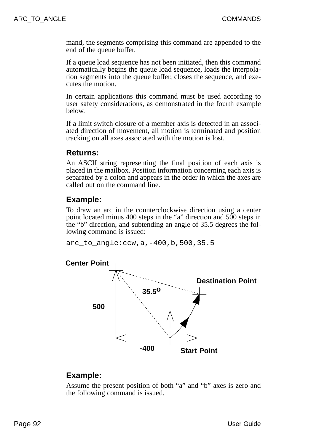mand, the segments comprising this command are appended to the end of the queue buffer.

If a queue load sequence has not been initiated, then this command automatically begins the queue load sequence, loads the interpolation segments into the queue buffer, closes the sequence, and executes the motion.

In certain applications this command must be used according to user safety considerations, as demonstrated in the fourth example below.

If a limit switch closure of a member axis is detected in an associated direction of movement, all motion is terminated and position tracking on all axes associated with the motion is lost.

#### **Returns:**

An ASCII string representing the final position of each axis is placed in the mailbox. Position information concerning each axis is separated by a colon and appears in the order in which the axes are called out on the command line.

#### **Example:**

To draw an arc in the counterclockwise direction using a center point located minus 400 steps in the "a" direction and 500 steps in the "b" direction, and subtending an angle of 35.5 degrees the following command is issued:

arc to  $angle:ccw,a,-400,b,500,35.5$ 



#### **Example:**

Assume the present position of both "a" and "b" axes is zero and the following command is issued.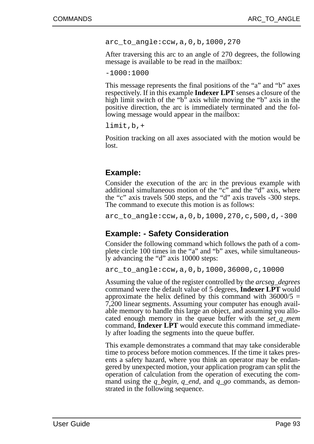arc\_to\_angle:ccw,a,0,b,1000,270

After traversing this arc to an angle of 270 degrees, the following message is available to be read in the mailbox:

-1000:1000

This message represents the final positions of the "a" and "b" axes respectively. If in this example **Indexer LPT** senses a closure of the high limit switch of the " $b$ " axis while moving the " $b$ " axis in the positive direction, the arc is immediately terminated and the following message would appear in the mailbox:

limit,b,+

Position tracking on all axes associated with the motion would be lost.

#### **Example:**

Consider the execution of the arc in the previous example with additional simultaneous motion of the "c" and the "d" axis, where the "c" axis travels 500 steps, and the "d" axis travels -300 steps. The command to execute this motion is as follows:

arc\_to\_angle:ccw,a,0,b,1000,270,c,500,d,-300

#### **Example: - Safety Consideration**

Consider the following command which follows the path of a complete circle 100 times in the "a" and "b" axes, while simultaneously advancing the "d" axis 10000 steps:

arc\_to\_angle:ccw,a,0,b,1000,36000,c,10000

Assuming the value of the register controlled by the *arcseg\_degrees* command were the default value of 5 degrees, **Indexer LPT** would approximate the helix defined by this command with  $36000/5 =$ 7,200 linear segments. Assuming your computer has enough available memory to handle this large an object, and assuming you allocated enough memory in the queue buffer with the *set\_q\_mem* command, **Indexer LPT** would execute this command immediately after loading the segments into the queue buffer.

This example demonstrates a command that may take considerable time to process before motion commences. If the time it takes presents a safety hazard, where you think an operator may be endangered by unexpected motion, your application program can split the operation of calculation from the operation of executing the command using the *q\_begin*, *q\_end*, and *q\_go* commands, as demonstrated in the following sequence.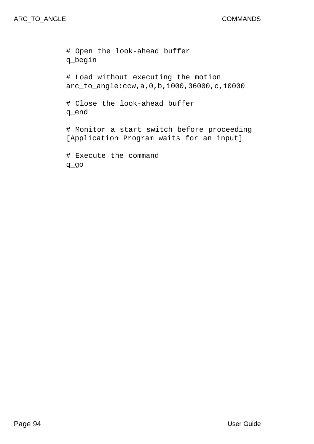# Open the look-ahead buffer q\_begin # Load without executing the motion arc\_to\_angle:ccw,a,0,b,1000,36000,c,10000 # Close the look-ahead buffer q\_end # Monitor a start switch before proceeding [Application Program waits for an input] # Execute the command q\_go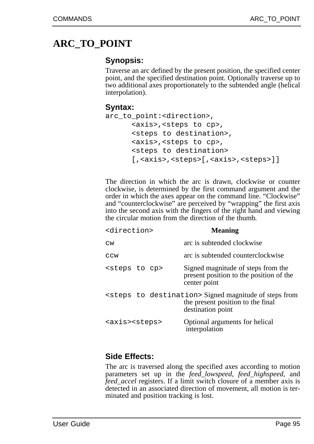# **ARC\_TO\_POINT**

#### **Synopsis:**

Traverse an arc defined by the present position, the specified center point, and the specified destination point. Optionally traverse up to two additional axes proportionately to the subtended angle (helical interpolation).

#### **Syntax:**

```
arc to point:<direction>,
      <axis>,<steps to cp>,
      <steps to destination>,
      <axis>,<steps to cp>,
      <steps to destination>
      [, <axis>, <steps>[, <axis>, <steps>]]
```
The direction in which the arc is drawn, clockwise or counter clockwise, is determined by the first command argument and the order in which the axes appear on the command line. "Clockwise" and "counterclockwise" are perceived by "wrapping" the first axis into the second axis with the fingers of the right hand and viewing the circular motion from the direction of the thumb.

| <direction></direction>      | <b>Meaning</b>                                                                                                                  |
|------------------------------|---------------------------------------------------------------------------------------------------------------------------------|
| $\texttt{cw}$                | arc is subtended clockwise                                                                                                      |
| CCW                          | arc is subtended counterclockwise                                                                                               |
| <steps cp="" to=""></steps>  | Signed magnitude of steps from the<br>present position to the position of the<br>center point                                   |
|                              | <steps destination="" to=""> Signed magnitude of steps from<br/>the present position to the final<br/>destination point</steps> |
| <axis><steps></steps></axis> | Optional arguments for helical<br>interpolation                                                                                 |

#### **Side Effects:**

The arc is traversed along the specified axes according to motion parameters set up in the *feed\_lowspeed*, *feed\_highspeed*, and *feed accel* registers. If a limit switch closure of a member axis is detected in an associated direction of movement, all motion is terminated and position tracking is lost.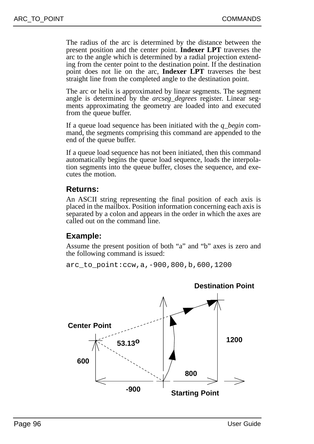The radius of the arc is determined by the distance between the present position and the center point. **Indexer LPT** traverses the arc to the angle which is determined by a radial projection extending from the center point to the destination point. If the destination point does not lie on the arc, **Indexer LPT** traverses the best straight line from the completed angle to the destination point.

The arc or helix is approximated by linear segments. The segment angle is determined by the *arcseg\_degrees* register. Linear segments approximating the geometry are loaded into and executed from the queue buffer.

If a queue load sequence has been initiated with the *q\_begin* command, the segments comprising this command are appended to the end of the queue buffer.

If a queue load sequence has not been initiated, then this command automatically begins the queue load sequence, loads the interpolation segments into the queue buffer, closes the sequence, and executes the motion.

#### **Returns:**

An ASCII string representing the final position of each axis is placed in the mailbox. Position information concerning each axis is separated by a colon and appears in the order in which the axes are called out on the command line.

#### **Example:**

Assume the present position of both "a" and "b" axes is zero and the following command is issued:

arc\_to\_point:ccw,a,-900,800,b,600,1200

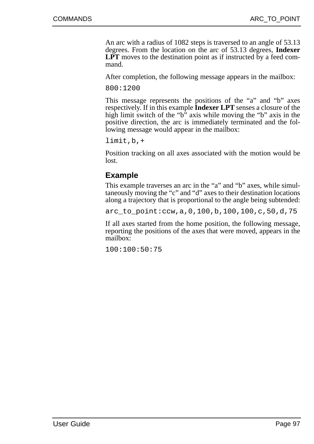An arc with a radius of 1082 steps is traversed to an angle of 53.13 degrees. From the location on the arc of 53.13 degrees, **Indexer** LPT moves to the destination point as if instructed by a feed command.

After completion, the following message appears in the mailbox:

800:1200

This message represents the positions of the "a" and "b" axes respectively. If in this example **Indexer LPT** senses a closure of the high limit switch of the "b" axis while moving the "b" axis in the positive direction, the arc is immediately terminated and the following message would appear in the mailbox:

limit,b,+

Position tracking on all axes associated with the motion would be lost.

#### **Example**

This example traverses an arc in the "a" and "b" axes, while simultaneously moving the "c" and "d" axes to their destination locations along a trajectory that is proportional to the angle being subtended:

arc\_to\_point:ccw,a,0,100,b,100,100,c,50,d,75

If all axes started from the home position, the following message, reporting the positions of the axes that were moved, appears in the mailbox:

100:100:50:75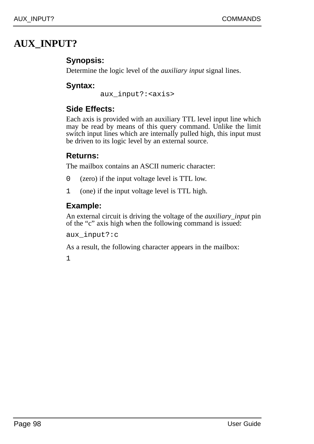# **AUX\_INPUT?**

## **Synopsis:**

Determine the logic level of the *auxiliary input* signal lines.

### **Syntax:**

aux\_input?:<axis>

### **Side Effects:**

Each axis is provided with an auxiliary TTL level input line which may be read by means of this query command. Unlike the limit switch input lines which are internally pulled high, this input must be driven to its logic level by an external source.

## **Returns:**

The mailbox contains an ASCII numeric character:

- 0 (zero) if the input voltage level is TTL low.
- 1 (one) if the input voltage level is TTL high.

## **Example:**

An external circuit is driving the voltage of the *auxiliary\_input* pin of the "c" axis high when the following command is issued:

aux\_input?:c

As a result, the following character appears in the mailbox: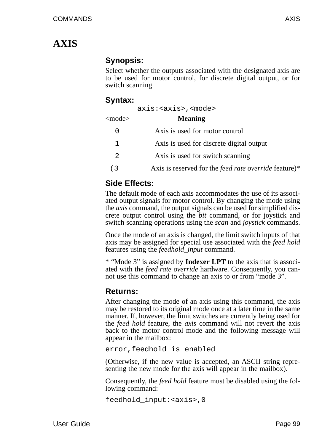# **AXIS**

#### **Synopsis:**

Select whether the outputs associated with the designated axis are to be used for motor control, for discrete digital output, or for switch scanning

#### **Syntax:**

|                  | $axis: < x is > x mod e$                                     |
|------------------|--------------------------------------------------------------|
| <mode></mode>    | <b>Meaning</b>                                               |
| $\left( \right)$ | Axis is used for motor control                               |
| 1.               | Axis is used for discrete digital output                     |
| 2                | Axis is used for switch scanning                             |
| (3               | Axis is reserved for the <i>feed rate override</i> feature)* |
|                  |                                                              |

## **Side Effects:**

The default mode of each axis accommodates the use of its associated output signals for motor control. By changing the mode using the *axis* command, the output signals can be used for simplified discrete output control using the *bit* command, or for joystick and switch scanning operations using the *scan* and *joystick* commands.

Once the mode of an axis is changed, the limit switch inputs of that axis may be assigned for special use associated with the *feed hold* features using the *feedhold\_input* command.

\* "Mode 3" is assigned by **Indexer LPT** to the axis that is associated with the *feed rate override* hardware. Consequently, you cannot use this command to change an axis to or from "mode 3".

#### **Returns:**

After changing the mode of an axis using this command, the axis may be restored to its original mode once at a later time in the same manner. If, however, the limit switches are currently being used for the *feed hold* feature, the *axis* command will not revert the axis back to the motor control mode and the following message will appear in the mailbox:

error,feedhold is enabled

(Otherwise, if the new value is accepted, an ASCII string representing the new mode for the axis will appear in the mailbox).

Consequently, the *feed hold* feature must be disabled using the following command:

feedhold\_input:<axis>,0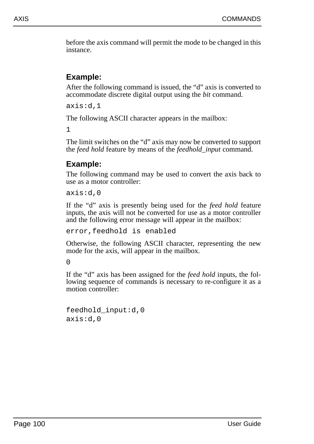before the axis command will permit the mode to be changed in this instance.

## **Example:**

After the following command is issued, the "d" axis is converted to accommodate discrete digital output using the *bit* command.

axis:d,1

The following ASCII character appears in the mailbox:

1

The limit switches on the "d" axis may now be converted to support the *feed hold* feature by means of the *feedhold\_input* command.

## **Example:**

The following command may be used to convert the axis back to use as a motor controller:

axis:d,0

If the "d" axis is presently being used for the *feed hold* feature inputs, the axis will not be converted for use as a motor controller and the following error message will appear in the mailbox:

error,feedhold is enabled

Otherwise, the following ASCII character, representing the new mode for the axis, will appear in the mailbox.

 $\Omega$ 

If the "d" axis has been assigned for the *feed hold* inputs, the following sequence of commands is necessary to re-configure it as a motion controller:

```
feedhold_input:d,0
axis:d,0
```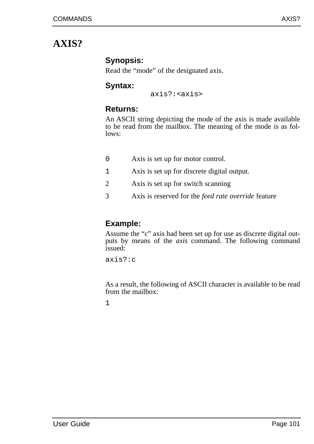# **AXIS?**

### **Synopsis:**

Read the "mode" of the designated axis.

### **Syntax:**

axis?:<axis>

### **Returns:**

An ASCII string depicting the mode of the axis is made available to be read from the mailbox. The meaning of the mode is as follows:

- 0 Axis is set up for motor control.
- 1 Axis is set up for discrete digital output.
- 2 Axis is set up for switch scanning
- 3 Axis is reserved for the *feed rate override* feature

## **Example:**

Assume the "c" axis had been set up for use as discrete digital outputs by means of the *axis* command. The following command issued:

axis?:c

As a result, the following of ASCII character is available to be read from the mailbox: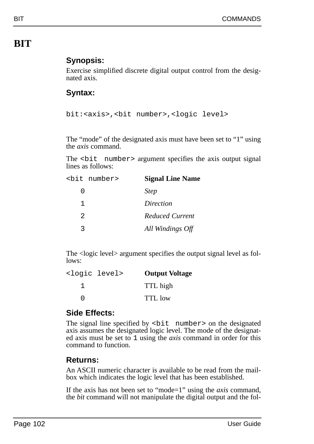# **BIT**

## **Synopsis:**

Exercise simplified discrete digital output control from the designated axis.

## **Syntax:**

```
bit:<axis>,<bit number>,<logic level>
```
The "mode" of the designated axis must have been set to "1" using the *axis* command.

The <br />bit number> argument specifies the axis output signal lines as follows:

|   | <bit number=""></bit> | <b>Signal Line Name</b> |
|---|-----------------------|-------------------------|
| O |                       | <b>Step</b>             |
| 1 |                       | Direction               |
| 2 |                       | Reduced Current         |
| っ |                       | All Windings Off        |

The <logic level> argument specifies the output signal level as follows:

| <logic level=""></logic> | <b>Output Voltage</b> |
|--------------------------|-----------------------|
|                          | TTL high              |
|                          | <b>TTL</b> low        |

### **Side Effects:**

The signal line specified by  $\text{shift}$  number > on the designated axis assumes the designated logic level. The mode of the designated axis must be set to 1 using the *axis* command in order for this command to function.

### **Returns:**

An ASCII numeric character is available to be read from the mailbox which indicates the logic level that has been established.

If the axis has not been set to "mode=1" using the *axis* command, the *bit* command will not manipulate the digital output and the fol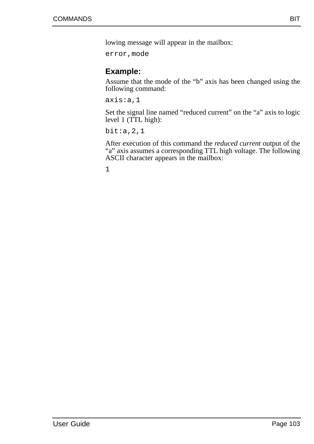lowing message will appear in the mailbox:

error,mode

### **Example:**

Assume that the mode of the "b" axis has been changed using the following command:

axis:a,1

Set the signal line named "reduced current" on the "a" axis to logic level 1 (TTL high):

bit:a,2,1

After execution of this command the *reduced current* output of the "a" axis assumes a corresponding TTL high voltage. The following ASCII character appears in the mailbox: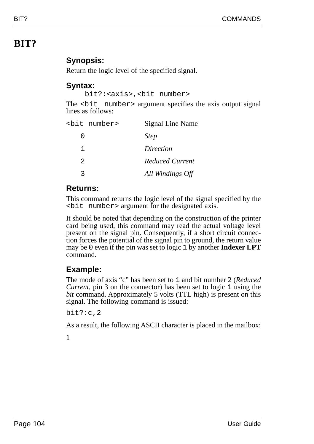# **BIT?**

## **Synopsis:**

Return the logic level of the specified signal.

### **Syntax:**

bit?:<axis>,<bit number>

The <br />bit number> argument specifies the axis output signal lines as follows:

|                | <bit number=""></bit> | Signal Line Name |
|----------------|-----------------------|------------------|
| ი              |                       | <b>Step</b>      |
| 1              |                       | Direction        |
| $\mathfrak{D}$ |                       | Reduced Current  |
|                |                       | All Windings Off |

### **Returns:**

This command returns the logic level of the signal specified by the <bit number> argument for the designated axis.

It should be noted that depending on the construction of the printer card being used, this command may read the actual voltage level present on the signal pin. Consequently, if a short circuit connection forces the potential of the signal pin to ground, the return value may be 0 even if the pin was set to logic 1 by another **Indexer LPT** command.

## **Example:**

The mode of axis "c" has been set to 1 and bit number 2 (*Reduced Current*, pin 3 on the connector) has been set to logic 1 using the *bit* command. Approximately 5 volts (TTL high) is present on this signal. The following command is issued:

bit?:c,2

As a result, the following ASCII character is placed in the mailbox: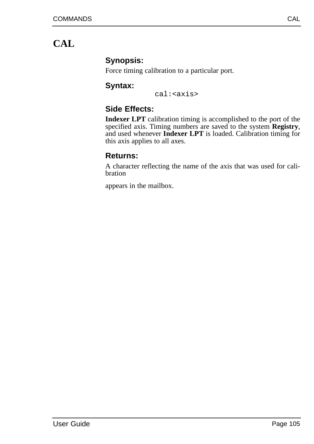# **CAL**

## **Synopsis:**

Force timing calibration to a particular port.

## **Syntax:**

cal:<axis>

## **Side Effects:**

**Indexer LPT** calibration timing is accomplished to the port of the specified axis. Timing numbers are saved to the system **Registry**, and used whenever **Indexer LPT** is loaded. Calibration timing for this axis applies to all axes.

## **Returns:**

A character reflecting the name of the axis that was used for calibration

appears in the mailbox.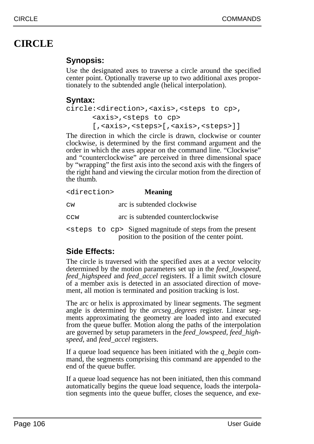# **CIRCLE**

## **Synopsis:**

Use the designated axes to traverse a circle around the specified center point. Optionally traverse up to two additional axes proportionately to the subtended angle (helical interpolation).

## **Syntax:**

```
circle:<direction>,<axis>,<steps to cp>,
<axis>,<steps to cp>
[,<axis>,<steps>[,<axis>,<steps>]]
```
The direction in which the circle is drawn, clockwise or counter clockwise, is determined by the first command argument and the order in which the axes appear on the command line. "Clockwise" and "counterclockwise" are perceived in three dimensional space by "wrapping" the first axis into the second axis with the fingers of the right hand and viewing the circular motion from the direction of the thumb.

| <direction></direction> | <b>Meaning</b>                                                                                                           |  |
|-------------------------|--------------------------------------------------------------------------------------------------------------------------|--|
| $\texttt{cw}$           | arc is subtended clockwise                                                                                               |  |
| CCW                     | arc is subtended counterclockwise                                                                                        |  |
|                         | <steps cp="" to=""> Signed magnitude of steps from the present<br/>position to the position of the center point.</steps> |  |

## **Side Effects:**

The circle is traversed with the specified axes at a vector velocity determined by the motion parameters set up in the *feed\_lowspeed*, *feed\_highspeed* and *feed\_accel* registers. If a limit switch closure of a member axis is detected in an associated direction of movement, all motion is terminated and position tracking is lost.

The arc or helix is approximated by linear segments. The segment angle is determined by the *arcseg\_degrees* register. Linear segments approximating the geometry are loaded into and executed from the queue buffer. Motion along the paths of the interpolation are governed by setup parameters in the *feed\_lowspeed*, *feed\_highspeed*, and *feed\_accel* registers.

If a queue load sequence has been initiated with the *q\_begin* command, the segments comprising this command are appended to the end of the queue buffer.

If a queue load sequence has not been initiated, then this command automatically begins the queue load sequence, loads the interpolation segments into the queue buffer, closes the sequence, and exe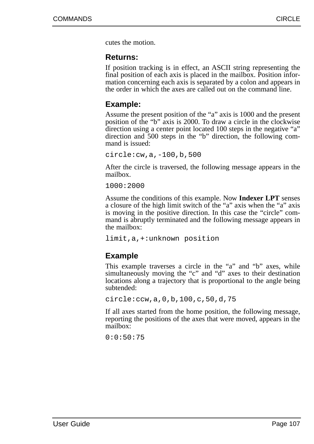cutes the motion.

#### **Returns:**

If position tracking is in effect, an ASCII string representing the final position of each axis is placed in the mailbox. Position information concerning each axis is separated by a colon and appears in the order in which the axes are called out on the command line.

### **Example:**

Assume the present position of the "a" axis is 1000 and the present position of the "b" axis is 2000. To draw a circle in the clockwise direction using a center point located 100 steps in the negative "a" direction and 500 steps in the "b" direction, the following command is issued:

circle:cw,a,-100,b,500

After the circle is traversed, the following message appears in the mailbox.

1000:2000

Assume the conditions of this example. Now **Indexer LPT** senses a closure of the high limit switch of the "a" axis when the "a" axis is moving in the positive direction. In this case the "circle" command is abruptly terminated and the following message appears in the mailbox:

limit,a,+:unknown position

### **Example**

This example traverses a circle in the "a" and "b" axes, while simultaneously moving the "c" and "d" axes to their destination locations along a trajectory that is proportional to the angle being subtended:

```
circle:ccw,a,0,b,100,c,50,d,75
```
If all axes started from the home position, the following message, reporting the positions of the axes that were moved, appears in the mailbox:

0:0:50:75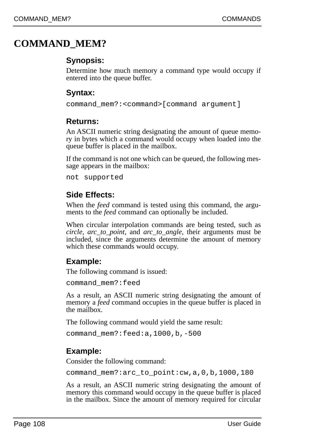## **COMMAND\_MEM?**

## **Synopsis:**

Determine how much memory a command type would occupy if entered into the queue buffer.

### **Syntax:**

```
command_mem?:<command>[command argument]
```
### **Returns:**

An ASCII numeric string designating the amount of queue memory in bytes which a command would occupy when loaded into the queue buffer is placed in the mailbox.

If the command is not one which can be queued, the following message appears in the mailbox:

```
not supported
```
## **Side Effects:**

When the *feed* command is tested using this command, the arguments to the *feed* command can optionally be included.

When circular interpolation commands are being tested, such as *circle*, *arc\_to\_point*, and *arc\_to\_angle*, their arguments must be included, since the arguments determine the amount of memory which these commands would occupy.

## **Example:**

The following command is issued:

command\_mem?:feed

As a result, an ASCII numeric string designating the amount of memory a *feed* command occupies in the queue buffer is placed in the mailbox.

The following command would yield the same result:

command\_mem?:feed:a,1000,b,-500

## **Example:**

Consider the following command:

command\_mem?:arc\_to\_point:cw,a,0,b,1000,180

As a result, an ASCII numeric string designating the amount of memory this command would occupy in the queue buffer is placed in the mailbox. Since the amount of memory required for circular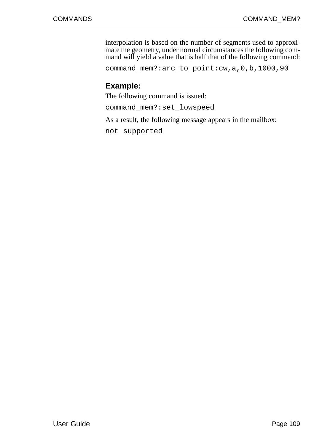interpolation is based on the number of segments used to approximate the geometry, under normal circumstances the following command will yield a value that is half that of the following command:

command\_mem?:arc\_to\_point:cw,a,0,b,1000,90

### **Example:**

The following command is issued:

command\_mem?:set\_lowspeed

As a result, the following message appears in the mailbox:

not supported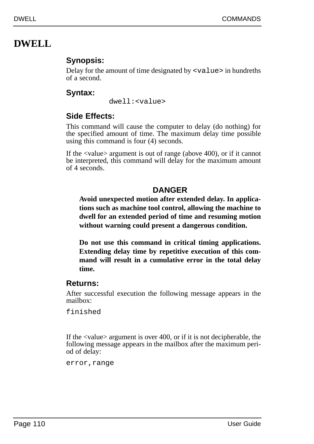# **DWELL**

## **Synopsis:**

Delay for the amount of time designated by  $\langle \text{value}\rangle$  in hundreths of a second.

## **Syntax:**

dwell:<value>

## **Side Effects:**

This command will cause the computer to delay (do nothing) for the specified amount of time. The maximum delay time possible using this command is four (4) seconds.

If the <value> argument is out of range (above 400), or if it cannot be interpreted, this command will delay for the maximum amount of 4 seconds.

### **DANGER**

**Avoid unexpected motion after extended delay. In applications such as machine tool control, allowing the machine to dwell for an extended period of time and resuming motion without warning could present a dangerous condition.**

**Do not use this command in critical timing applications. Extending delay time by repetitive execution of this command will result in a cumulative error in the total delay time.**

### **Returns:**

After successful execution the following message appears in the mailbox:

finished

If the <value> argument is over 400, or if it is not decipherable, the following message appears in the mailbox after the maximum period of delay:

error, range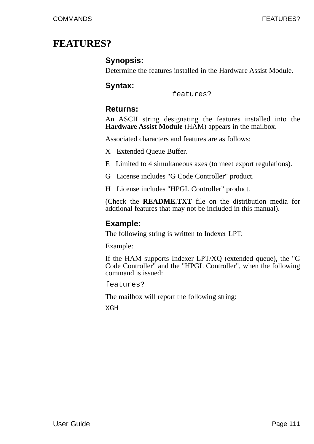## **FEATURES?**

### **Synopsis:**

Determine the features installed in the Hardware Assist Module.

### **Syntax:**

features?

### **Returns:**

An ASCII string designating the features installed into the **Hardware Assist Module** (HAM) appears in the mailbox.

Associated characters and features are as follows:

- X Extended Queue Buffer.
- E Limited to 4 simultaneous axes (to meet export regulations).
- G License includes "G Code Controller" product.
- H License includes "HPGL Controller" product.

(Check the **README.TXT** file on the distribution media for addtional features that may not be included in this manual).

#### **Example:**

The following string is written to Indexer LPT:

Example:

If the HAM supports Indexer LPT/XQ (extended queue), the "G Code Controller" and the "HPGL Controller", when the following command is issued:

features?

The mailbox will report the following string:

XGH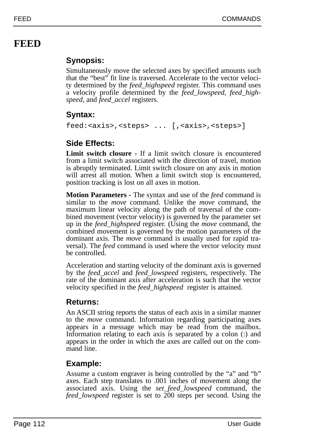# **FEED**

## **Synopsis:**

Simultaneously move the selected axes by specified amounts such that the "best" fit line is traversed. Accelerate to the vector velocity determined by the *feed\_highspeed* register. This command uses a velocity profile determined by the *feed\_lowspeed*, *feed\_highspeed*, and *feed\_accel* registers.

## **Syntax:**

feed:<axis>,<steps> ... [,<axis>,<steps>]

## **Side Effects:**

**Limit switch closure -** If a limit switch closure is encountered from a limit switch associated with the direction of travel, motion is abruptly terminated. Limit switch closure on any axis in motion will arrest all motion. When a limit switch stop is encountered, position tracking is lost on all axes in motion.

**Motion Parameters -** The syntax and use of the *feed* command is similar to the *move* command. Unlike the *move* command, the maximum linear velocity along the path of traversal of the combined movement (vector velocity) is governed by the parameter set up in the *feed\_highspeed* register. (Using the *move* command, the combined movement is governed by the motion parameters of the dominant axis. The *move* command is usually used for rapid traversal). The *feed* command is used where the vector velocity must be controlled.

Acceleration and starting velocity of the dominant axis is governed by the *feed\_accel* and *feed\_lowspeed* registers, respectively. The rate of the dominant axis after acceleration is such that the vector velocity specified in the *feed\_highspeed* register is attained.

## **Returns:**

An ASCII string reports the status of each axis in a similar manner to the *move* command. Information regarding participating axes appears in a message which may be read from the mailbox. Information relating to each axis is separated by a colon (:) and appears in the order in which the axes are called out on the command line.

## **Example:**

Assume a custom engraver is being controlled by the "a" and "b" axes. Each step translates to .001 inches of movement along the associated axis. Using the *set\_feed\_lowspeed* command, the *feed\_lowspeed* register is set to 200 steps per second. Using the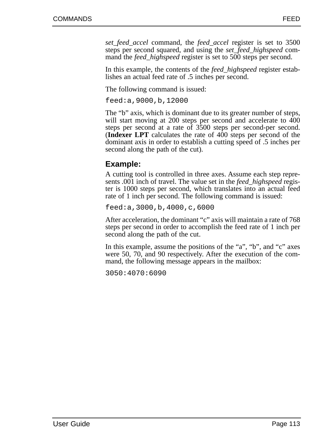*set\_feed\_accel* command, the *feed\_accel* register is set to 3500 steps per second squared, and using the *set\_feed\_highspeed* command the *feed* highspeed register is set to 500 steps per second.

In this example, the contents of the *feed\_highspeed* register establishes an actual feed rate of .5 inches per second.

The following command is issued:

feed:a,9000,b,12000

The "b" axis, which is dominant due to its greater number of steps, will start moving at 200 steps per second and accelerate to 400 steps per second at a rate of 3500 steps per second-per second. (**Indexer LPT** calculates the rate of 400 steps per second of the dominant axis in order to establish a cutting speed of .5 inches per second along the path of the cut).

## **Example:**

A cutting tool is controlled in three axes. Assume each step represents .001 inch of travel. The value set in the *feed\_highspeed* register is 1000 steps per second, which translates into an actual feed rate of 1 inch per second. The following command is issued:

feed:a,3000,b,4000,c,6000

After acceleration, the dominant "c" axis will maintain a rate of 768 steps per second in order to accomplish the feed rate of 1 inch per second along the path of the cut.

In this example, assume the positions of the "a", "b", and "c" axes were 50, 70, and 90 respectively. After the execution of the command, the following message appears in the mailbox:

3050:4070:6090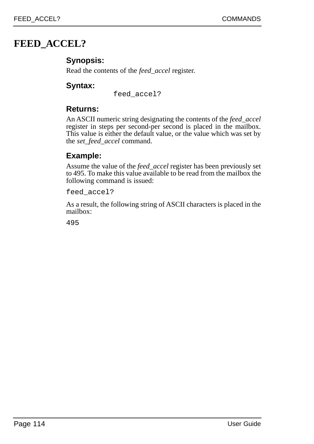## **FEED\_ACCEL?**

### **Synopsis:**

Read the contents of the *feed\_accel* register.

### **Syntax:**

feed\_accel?

### **Returns:**

An ASCII numeric string designating the contents of the *feed\_accel* register in steps per second-per second is placed in the mailbox. This value is either the default value, or the value which was set by the *set\_feed\_accel* command.

### **Example:**

Assume the value of the *feed\_accel* register has been previously set to 495. To make this value available to be read from the mailbox the following command is issued:

feed\_accel?

As a result, the following string of ASCII characters is placed in the mailbox: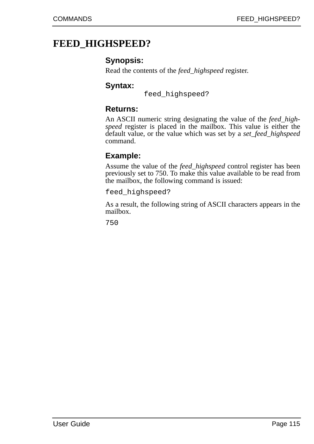## **FEED\_HIGHSPEED?**

### **Synopsis:**

Read the contents of the *feed\_highspeed* register.

### **Syntax:**

feed\_highspeed?

### **Returns:**

An ASCII numeric string designating the value of the *feed\_highspeed* register is placed in the mailbox. This value is either the default value, or the value which was set by a *set\_feed\_highspeed* command.

## **Example:**

Assume the value of the *feed\_highspeed* control register has been previously set to 750. To make this value available to be read from the mailbox, the following command is issued:

feed\_highspeed?

As a result, the following string of ASCII characters appears in the mailbox.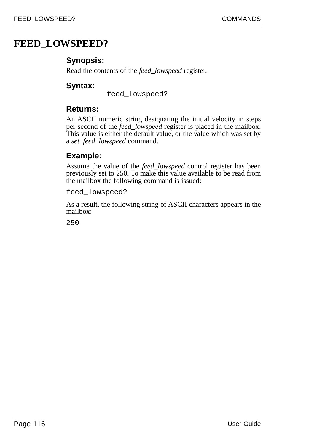## **FEED\_LOWSPEED?**

## **Synopsis:**

Read the contents of the *feed\_lowspeed* register.

### **Syntax:**

feed\_lowspeed?

### **Returns:**

An ASCII numeric string designating the initial velocity in steps per second of the *feed\_lowspeed* register is placed in the mailbox. This value is either the default value, or the value which was set by a *set\_feed\_lowspeed* command.

## **Example:**

Assume the value of the *feed\_lowspeed* control register has been previously set to 250. To make this value available to be read from the mailbox the following command is issued:

feed\_lowspeed?

As a result, the following string of ASCII characters appears in the mailbox: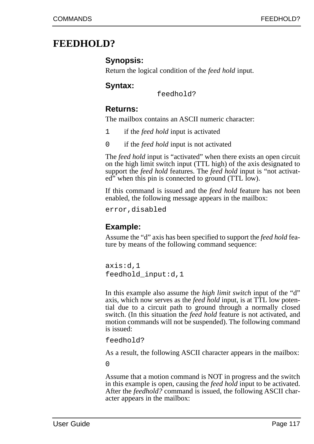## **FEEDHOLD?**

### **Synopsis:**

Return the logical condition of the *feed hold* input.

### **Syntax:**

feedhold?

### **Returns:**

The mailbox contains an ASCII numeric character:

- 1 if the *feed hold* input is activated
- 0 if the *feed hold* input is not activated

The *feed hold* input is "activated" when there exists an open circuit on the high limit switch input (TTL high) of the axis designated to support the *feed hold* features. The *feed hold* input is "not activated" when this pin is connected to ground (TTL low).

If this command is issued and the *feed hold* feature has not been enabled, the following message appears in the mailbox:

error,disabled

### **Example:**

Assume the "d" axis has been specified to support the *feed hold* feature by means of the following command sequence:

axis:d,1 feedhold\_input:d,1

In this example also assume the *high limit switch* input of the "d" axis, which now serves as the *feed hold* input, is at TTL low potential due to a circuit path to ground through a normally closed switch. (In this situation the *feed hold* feature is not activated, and motion commands will not be suspended). The following command is issued:

feedhold?

As a result, the following ASCII character appears in the mailbox:

 $\Omega$ 

Assume that a motion command is NOT in progress and the switch in this example is open, causing the *feed hold* input to be activated. After the *feedhold?* command is issued, the following ASCII character appears in the mailbox: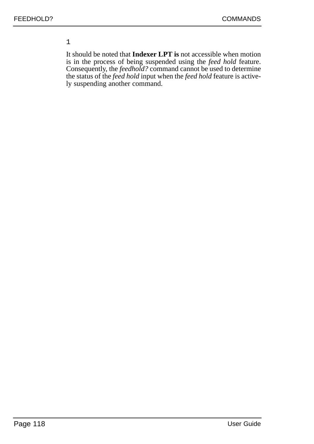#### 1

It should be noted that **Indexer LPT is** not accessible when motion is in the process of being suspended using the *feed hold* feature. Consequently, the *feedhold?* command cannot be used to determine the status of the *feed hold* input when the *feed hold* feature is actively suspending another command.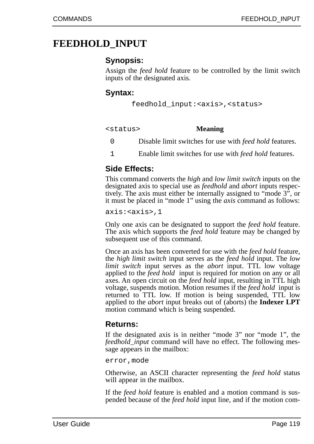## **FEEDHOLD\_INPUT**

### **Synopsis:**

Assign the *feed hold* feature to be controlled by the limit switch inputs of the designated axis.

#### **Syntax:**

```
feedhold_input:<axis>,<status>
```
<status> **Meaning**

- 0 Disable limit switches for use with *feed hold* features.
- 1 Enable limit switches for use with *feed hold* features.

### **Side Effects:**

This command converts the *high* and *low limit switch* inputs on the designated axis to special use as *feedhold* and *abort* inputs respectively. The axis must either be internally assigned to "mode 3", or it must be placed in "mode 1" using the *axis* command as follows:

axis:<axis>,1

Only one axis can be designated to support the *feed hold* feature. The axis which supports the *feed hold* feature may be changed by subsequent use of this command.

Once an axis has been converted for use with the *feed hold* feature, the *high limit switch* input serves as the *feed hold* input. The *low limit switch* input serves as the *abort* input. TTL low voltage applied to the *feed hold* input is required for motion on any or all axes. An open circuit on the *feed hold* input, resulting in TTL high voltage, suspends motion. Motion resumes if the *feed hold* input is returned to TTL low. If motion is being suspended, TTL low applied to the *abort* input breaks out of (aborts) the **Indexer LPT** motion command which is being suspended.

#### **Returns:**

If the designated axis is in neither "mode 3" nor "mode 1", the *feedhold\_input* command will have no effect. The following message appears in the mailbox:

error,mode

Otherwise, an ASCII character representing the *feed hold* status will appear in the mailbox.

If the *feed hold* feature is enabled and a motion command is suspended because of the *feed hold* input line, and if the motion com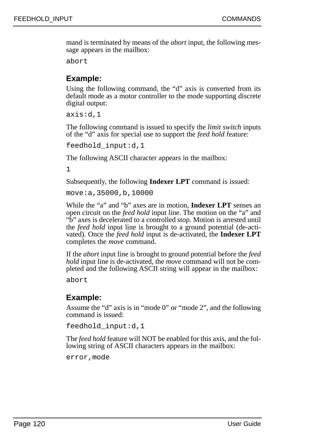mand is terminated by means of the *abort* input, the following message appears in the mailbox:

abort

### **Example:**

Using the following command, the "d" axis is converted from its default mode as a motor controller to the mode supporting discrete digital output:

axis:d,1

The following command is issued to specify the *limit switch* inputs of the "d" axis for special use to support the *feed hold* feature:

feedhold\_input:d,1

The following ASCII character appears in the mailbox:

1

Subsequently, the following **Indexer LPT** command is issued:

move:a,35000,b,10000

While the "a" and "b" axes are in motion, **Indexer LPT** senses an open circuit on the *feed hold* input line. The motion on the "a" and "b" axes is decelerated to a controlled stop. Motion is arrested until the *feed hold* input line is brought to a ground potential (de-activated). Once the *feed hold* input is de-activated, the **Indexer LPT** completes the *move* command.

If the *abort* input line is brought to ground potential before the *feed hold* input line is de-activated, the *move* command will not be completed and the following ASCII string will appear in the mailbox:

abort

### **Example:**

Assume the "d" axis is in "mode 0" or "mode 2", and the following command is issued:

feedhold\_input:d,1

The *feed hold* feature will NOT be enabled for this axis, and the following string of ASCII characters appears in the mailbox:

error,mode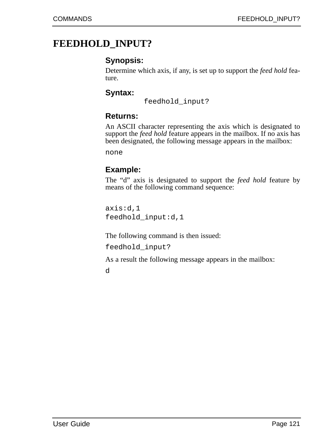## **FEEDHOLD\_INPUT?**

### **Synopsis:**

Determine which axis, if any, is set up to support the *feed hold* feature.

### **Syntax:**

feedhold\_input?

#### **Returns:**

An ASCII character representing the axis which is designated to support the *feed hold* feature appears in the mailbox. If no axis has been designated, the following message appears in the mailbox:

none

### **Example:**

The "d" axis is designated to support the *feed hold* feature by means of the following command sequence:

axis:d,1 feedhold\_input:d,1

The following command is then issued:

feedhold\_input?

As a result the following message appears in the mailbox:

d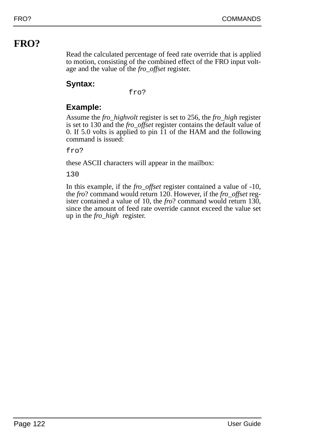# **FRO?**

Read the calculated percentage of feed rate override that is applied to motion, consisting of the combined effect of the FRO input voltage and the value of the *fro\_offset* register.

## **Syntax:**

fro?

## **Example:**

Assume the *fro\_highvolt* register is set to 256, the *fro\_high* register is set to 130 and the *fro\_offset* register contains the default value of 0. If 5.0 volts is applied to pin 11 of the HAM and the following command is issued:

fro?

these ASCII characters will appear in the mailbox:

130

In this example, if the *fro\_offset* register contained a value of -10, the *fro*? command would return 120. However, if the *fro\_offset* register contained a value of 10, the *fro*? command would return 130, since the amount of feed rate override cannot exceed the value set up in the *fro\_high* register.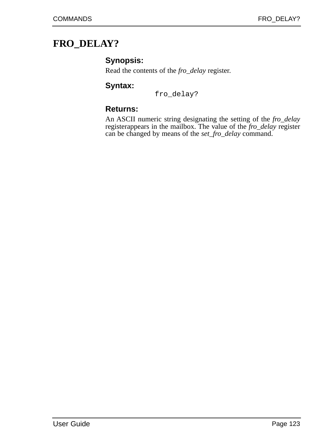# **FRO\_DELAY?**

### **Synopsis:**

Read the contents of the *fro\_delay* register.

### **Syntax:**

fro\_delay?

### **Returns:**

An ASCII numeric string designating the setting of the *fro\_delay* registerappears in the mailbox. The value of the *fro\_delay* register can be changed by means of the *set\_fro\_delay* command.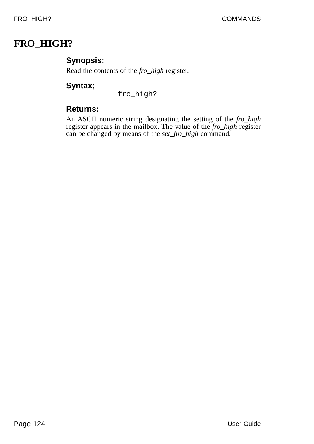# **FRO\_HIGH?**

### **Synopsis:**

Read the contents of the *fro\_high* register.

### **Syntax;**

fro\_high?

### **Returns:**

An ASCII numeric string designating the setting of the *fro\_high* register appears in the mailbox. The value of the *fro\_high* register can be changed by means of the *set\_fro\_high* command.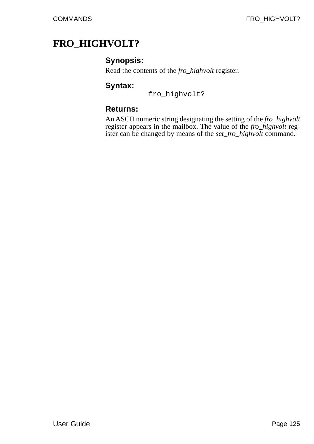# **FRO\_HIGHVOLT?**

### **Synopsis:**

Read the contents of the *fro\_highvolt* register.

### **Syntax:**

fro\_highvolt?

### **Returns:**

An ASCII numeric string designating the setting of the *fro\_highvolt* register appears in the mailbox. The value of the *fro\_highvolt* register can be changed by means of the *set\_fro\_highvolt* command.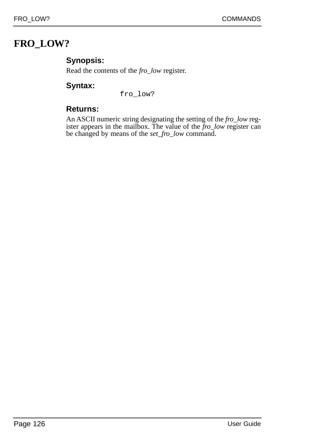# **FRO\_LOW?**

## **Synopsis:**

Read the contents of the *fro\_low* register.

### **Syntax:**

fro\_low?

### **Returns:**

An ASCII numeric string designating the setting of the *fro\_low* register appears in the mailbox. The value of the *fro\_low* register can be changed by means of the *set\_fro\_low* command.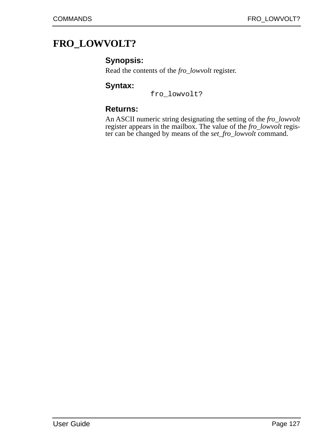# **FRO\_LOWVOLT?**

### **Synopsis:**

Read the contents of the *fro\_lowvolt* register.

#### **Syntax:**

fro\_lowvolt?

### **Returns:**

An ASCII numeric string designating the setting of the *fro\_lowvolt* register appears in the mailbox. The value of the *fro\_lowvolt* register can be changed by means of the *set\_fro\_lowvolt* command.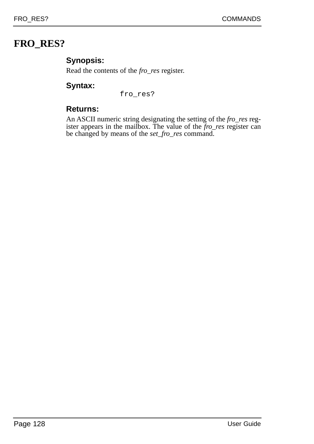# **FRO\_RES?**

### **Synopsis:**

Read the contents of the *fro\_res* register.

### **Syntax:**

fro\_res?

### **Returns:**

An ASCII numeric string designating the setting of the *fro\_res* register appears in the mailbox. The value of the *fro\_res* register can be changed by means of the *set\_fro\_res* command.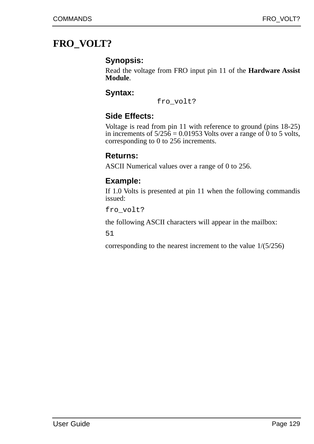# **FRO\_VOLT?**

### **Synopsis:**

Read the voltage from FRO input pin 11 of the **Hardware Assist Module**.

### **Syntax:**

fro\_volt?

### **Side Effects:**

Voltage is read from pin 11 with reference to ground (pins 18-25) in increments of  $5/256 = 0.01953$  Volts over a range of 0 to 5 volts, corresponding to 0 to 256 increments.

### **Returns:**

ASCII Numerical values over a range of 0 to 256.

### **Example:**

If 1.0 Volts is presented at pin 11 when the following commandis issued:

fro\_volt?

the following ASCII characters will appear in the mailbox:

51

corresponding to the nearest increment to the value 1/(5/256)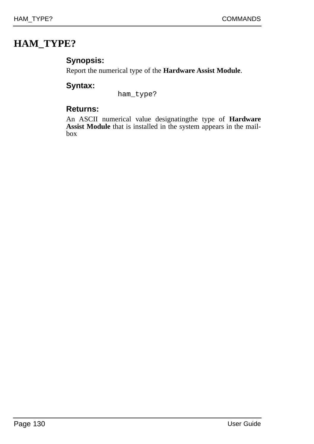# **HAM\_TYPE?**

## **Synopsis:**

Report the numerical type of the **Hardware Assist Module**.

## **Syntax:**

ham\_type?

### **Returns:**

An ASCII numerical value designatingthe type of **Hardware Assist Module** that is installed in the system appears in the mailbox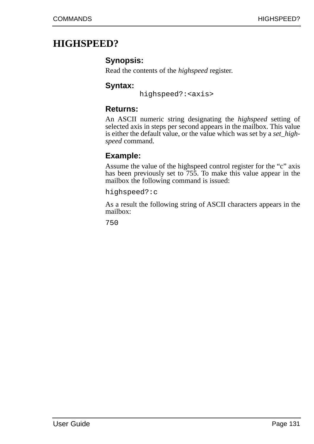## **HIGHSPEED?**

### **Synopsis:**

Read the contents of the *highspeed* register.

### **Syntax:**

highspeed?:<axis>

### **Returns:**

An ASCII numeric string designating the *highspeed* setting of selected axis in steps per second appears in the mailbox. This value is either the default value, or the value which was set by a *set\_highspeed* command.

## **Example:**

Assume the value of the highspeed control register for the "c" axis has been previously set to 755. To make this value appear in the mailbox the following command is issued:

highspeed?:c

As a result the following string of ASCII characters appears in the mailbox: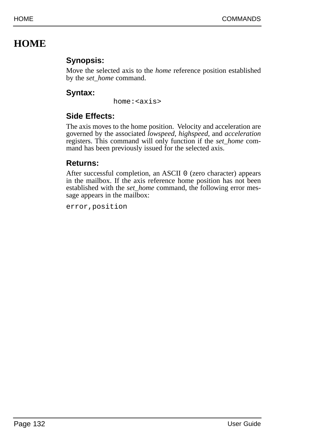# **HOME**

## **Synopsis:**

Move the selected axis to the *home* reference position established by the *set\_home* command.

## **Syntax:**

home:<axis>

## **Side Effects:**

The axis moves to the home position. Velocity and acceleration are governed by the associated *lowspeed*, *highspeed*, and *acceleration* registers. This command will only function if the *set\_home* command has been previously issued for the selected axis.

## **Returns:**

After successful completion, an ASCII 0 (zero character) appears in the mailbox. If the axis reference home position has not been established with the *set\_home* command, the following error message appears in the mailbox:

error,position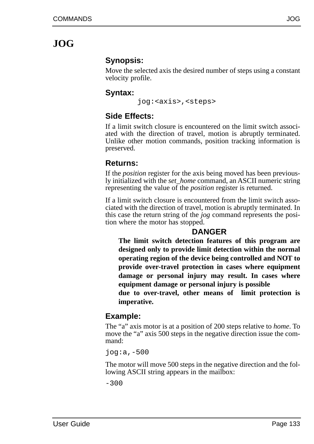# **JOG**

### **Synopsis:**

Move the selected axis the desired number of steps using a constant velocity profile.

### **Syntax:**

jog:<axis>,<steps>

## **Side Effects:**

If a limit switch closure is encountered on the limit switch associated with the direction of travel, motion is abruptly terminated. Unlike other motion commands, position tracking information is preserved.

### **Returns:**

If the *position* register for the axis being moved has been previously initialized with the *set\_home* command, an ASCII numeric string representing the value of the *position* register is returned.

If a limit switch closure is encountered from the limit switch associated with the direction of travel, motion is abruptly terminated. In this case the return string of the *jog* command represents the position where the motor has stopped.

### **DANGER**

**The limit switch detection features of this program are designed only to provide limit detection within the normal operating region of the device being controlled and NOT to provide over-travel protection in cases where equipment damage or personal injury may result. In cases where equipment damage or personal injury is possible** 

**due to over-travel, other means of limit protection is imperative.**

### **Example:**

The "a" axis motor is at a position of 200 steps relative to *home*. To move the "a" axis 500 steps in the negative direction issue the command:

jog:a,-500

The motor will move 500 steps in the negative direction and the following ASCII string appears in the mailbox:

 $-300$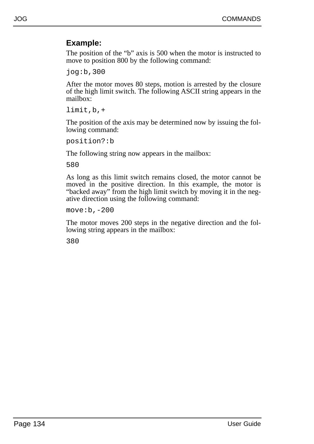### **Example:**

The position of the "b" axis is 500 when the motor is instructed to move to position 800 by the following command:

jog:b,300

After the motor moves 80 steps, motion is arrested by the closure of the high limit switch. The following ASCII string appears in the mailbox:

limit,b,+

The position of the axis may be determined now by issuing the following command:

position?:b

The following string now appears in the mailbox:

580

As long as this limit switch remains closed, the motor cannot be moved in the positive direction. In this example, the motor is "backed away" from the high limit switch by moving it in the negative direction using the following command:

move:b,-200

The motor moves 200 steps in the negative direction and the following string appears in the mailbox: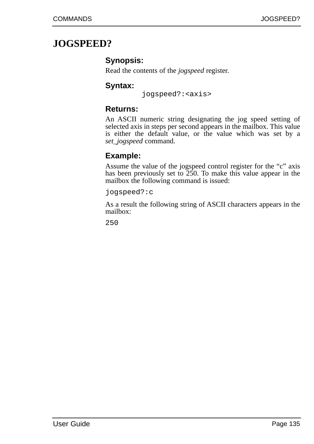## **JOGSPEED?**

### **Synopsis:**

Read the contents of the *jogspeed* register.

### **Syntax:**

jogspeed?:<axis>

### **Returns:**

An ASCII numeric string designating the jog speed setting of selected axis in steps per second appears in the mailbox. This value is either the default value, or the value which was set by a *set\_jogspeed* command.

### **Example:**

Assume the value of the jogspeed control register for the "c" axis has been previously set to 250. To make this value appear in the mailbox the following command is issued:

jogspeed?:c

As a result the following string of ASCII characters appears in the mailbox: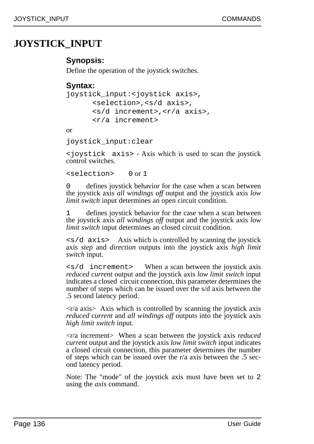## **JOYSTICK\_INPUT**

### **Synopsis:**

Define the operation of the joystick switches.

### **Syntax:**

```
joystick_input:<joystick axis>,
<selection>,<s/d axis>,
<s/d increment>,<r/a axis>,
<r/a increment>
```
or

joystick\_input:clear

<joystick axis> - Axis which is used to scan the joystick control switches.

<selection> 0 or 1

defines joystick behavior for the case when a scan between the joystick axis *all windings off* output and the joystick axis *low limit switch* input determines an open circuit condition.

1 defines joystick behavior for the case when a scan between the joystick axis *all windings off* output and the joystick axis *low limit switch* input determines an closed circuit condition.

 $\langle s/d \rangle$  axis axis which is controlled by scanning the joystick axis *step* and *direction* outputs into the joystick axis *high limit switch* input.

 $\langle s/d \rangle$  increment When a scan between the joystick axis *reduced current* output and the joystick axis *low limit switch* input indicates a closed circuit connection, this parameter determines the number of steps which can be issued over the s/d axis between the .5 second latency period.

 $\langle \text{r/a axis} \rangle$  Axis which is controlled by scanning the joystick axis *reduced current* and *all windings off* outputs into the joystick axis *high limit switch* input.

<r/a increment> When a scan between the joystick axis *reduced current* output and the joystick axis *low limit switch* input indicates a closed circuit connection, this parameter determines the number of steps which can be issued over the r/a axis between the .5 second latency period.

Note: The "mode" of the joystick axis must have been set to 2 using the *axis* command.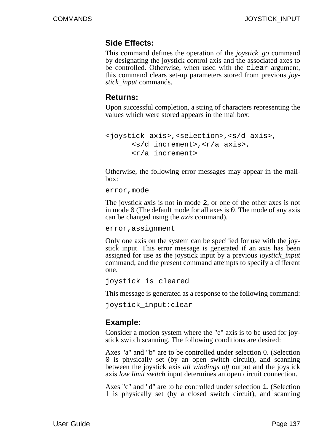#### **Side Effects:**

This command defines the operation of the *joystick\_go* command by designating the joystick control axis and the associated axes to be controlled. Otherwise, when used with the clear argument, this command clears set-up parameters stored from previous *joystick\_input* commands.

#### **Returns:**

Upon successful completion, a string of characters representing the values which were stored appears in the mailbox:

```
<joystick axis>,<selection>,<s/d axis>,
      <s/d increment>,<r/a axis>,
      <r/a increment>
```
Otherwise, the following error messages may appear in the mailbox:

error,mode

The joystick axis is not in mode 2, or one of the other axes is not in mode 0 (The default mode for all axes is 0. The mode of any axis can be changed using the *axis* command).

error,assignment

Only one axis on the system can be specified for use with the joystick input. This error message is generated if an axis has been assigned for use as the joystick input by a previous *joystick\_input* command, and the present command attempts to specify a different one.

joystick is cleared

This message is generated as a response to the following command:

joystick\_input:clear

#### **Example:**

Consider a motion system where the "e" axis is to be used for joystick switch scanning. The following conditions are desired:

Axes "a" and "b" are to be controlled under selection 0. (Selection 0 is physically set (by an open switch circuit), and scanning between the joystick axis *all windings off* output and the joystick axis *low limit switch* input determines an open circuit connection.

Axes "c" and "d" are to be controlled under selection 1. (Selection 1 is physically set (by a closed switch circuit), and scanning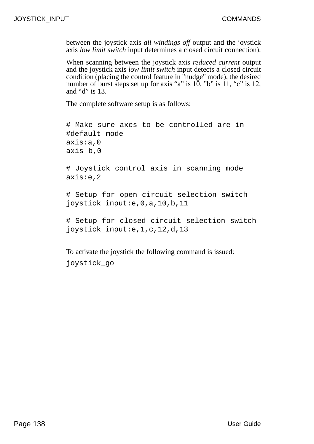between the joystick axis *all windings off* output and the joystick axis *low limit switch* input determines a closed circuit connection).

When scanning between the joystick axis *reduced current* output and the joystick axis *low limit switch* input detects a closed circuit condition (placing the control feature in "nudge" mode), the desired number of burst steps set up for axis "a" is 10, "b" is 11, "c" is 12, and "d" is 13.

The complete software setup is as follows:

```
# Make sure axes to be controlled are in
#default mode
axis:a,0
axis b,0
# Joystick control axis in scanning mode
axis:e,2
# Setup for open circuit selection switch
joystick_input:e,0,a,10,b,11
# Setup for closed circuit selection switch
joystick_input:e,1,c,12,d,13
```
To activate the joystick the following command is issued: joystick\_go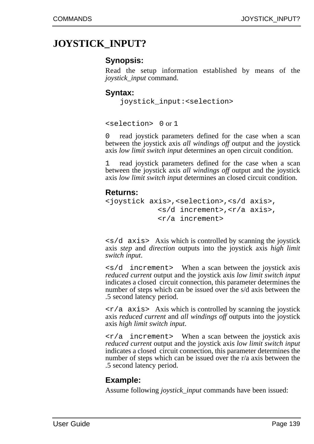# **JOYSTICK\_INPUT?**

#### **Synopsis:**

Read the setup information established by means of the *joystick\_input* command.

#### **Syntax:**

```
joystick_input:<selection>
```
<selection> 0 or 1

0 read joystick parameters defined for the case when a scan between the joystick axis *all windings off* output and the joystick axis *low limit switch input* determines an open circuit condition.

1 read joystick parameters defined for the case when a scan between the joystick axis *all windings off* output and the joystick axis *low limit switch input* determines an closed circuit condition.

#### **Returns:**

```
<joystick axis>,<selection>,<s/d axis>,
            <s/d increment>,<r/a axis>,
            <r/a increment>
```
 $\langle s/d \rangle$  axis Axis which is controlled by scanning the joystick axis *step* and *direction* outputs into the joystick axis *high limit switch input*.

<s/d increment> When a scan between the joystick axis *reduced current* output and the joystick axis *low limit switch input* indicates a closed circuit connection, this parameter determines the number of steps which can be issued over the s/d axis between the .5 second latency period.

 $\langle \nabla \rangle$  axis> Axis which is controlled by scanning the joystick axis *reduced current* and *all windings off* outputs into the joystick axis *high limit switch input*.

 $\langle r/a \rangle$  increment > When a scan between the joystick axis *reduced current* output and the joystick axis *low limit switch input* indicates a closed circuit connection, this parameter determines the number of steps which can be issued over the r/a axis between the .5 second latency period.

#### **Example:**

Assume following *joystick\_input* commands have been issued: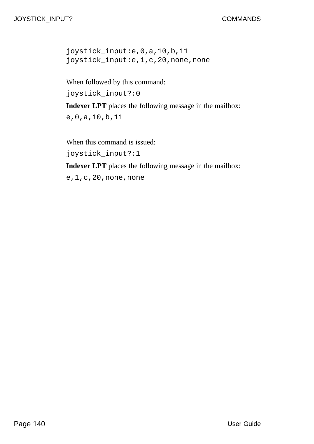joystick\_input:e,0,a,10,b,11 joystick\_input:e,1,c,20,none,none

When followed by this command: joystick\_input?:0 **Indexer LPT** places the following message in the mailbox:

e,0,a,10,b,11

When this command is issued: joystick\_input?:1

**Indexer LPT** places the following message in the mailbox:

e,1,c,20,none,none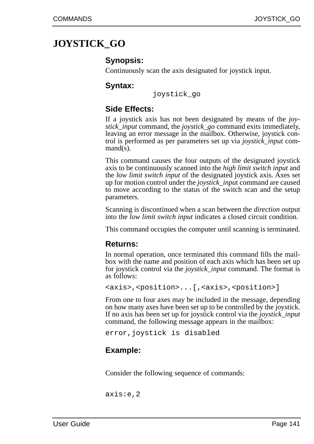# **JOYSTICK\_GO**

#### **Synopsis:**

Continuously scan the axis designated for joystick input.

#### **Syntax:**

joystick\_go

## **Side Effects:**

If a joystick axis has not been designated by means of the *joystick\_input* command, the *joystick\_go* command exits immediately, leaving an error message in the mailbox. Otherwise, joystick control is performed as per parameters set up via *joystick\_input* command(s).

This command causes the four outputs of the designated joystick axis to be continuously scanned into the *high limit switch input* and the *low limit switch input* of the designated joystick axis. Axes set up for motion control under the *joystick\_inpu*t command are caused to move according to the status of the switch scan and the setup parameters.

Scanning is discontinued when a scan between the *direction* output into the *low limit switch input* indicates a closed circuit condition.

This command occupies the computer until scanning is terminated.

#### **Returns:**

In normal operation, once terminated this command fills the mailbox with the name and position of each axis which has been set up for joystick control via the *joystick\_input* command. The format is as follows:

```
<axis>,<position>...[,<axis>,<position>]
```
From one to four axes may be included in the message, depending on how many axes have been set up to be controlled by the joystick. If no axis has been set up for joystick control via the *joystick\_input* command, the following message appears in the mailbox:

```
error,joystick is disabled
```
## **Example:**

Consider the following sequence of commands:

axis:e,2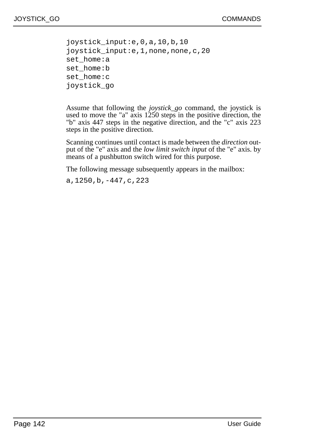joystick\_input:e,0,a,10,b,10 joystick\_input:e,1,none,none,c,20 set\_home:a set\_home:b set\_home:c joystick\_go

Assume that following the *joystick\_go* command, the joystick is used to move the "a" axis 1250 steps in the positive direction, the "b" axis 447 steps in the negative direction, and the "c" axis 223 steps in the positive direction.

Scanning continues until contact is made between the *direction* output of the "e" axis and the *low limit switch input* of the "e" axis. by means of a pushbutton switch wired for this purpose.

The following message subsequently appears in the mailbox:

a,1250,b,-447,c,223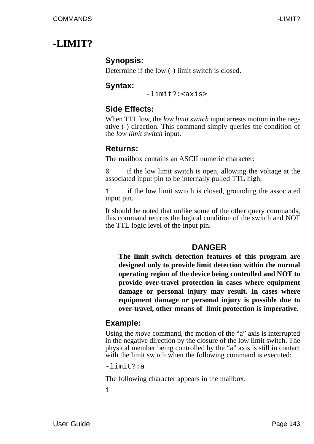# **-LIMIT?**

## **Synopsis:**

Determine if the low (-) limit switch is closed.

## **Syntax:**

-limit?:<axis>

## **Side Effects:**

When TTL low, the *low limit switch* input arrests motion in the negative (-) direction. This command simply queries the condition of the *low limit switch* input.

#### **Returns:**

The mailbox contains an ASCII numeric character:

0 if the low limit switch is open, allowing the voltage at the associated input pin to be internally pulled TTL high.

1 if the low limit switch is closed, grounding the associated input pin.

It should be noted that unlike some of the other query commands, this command returns the logical condition of the switch and NOT the TTL logic level of the input pin.

## **DANGER**

**The limit switch detection features of this program are designed only to provide limit detection within the normal operating region of the device being controlled and NOT to provide over-travel protection in cases where equipment damage or personal injury may result. In cases where equipment damage or personal injury is possible due to over-travel, other means of limit protection is imperative.** 

## **Example:**

Using the *move* command, the motion of the "a" axis is interrupted in the negative direction by the closure of the low limit switch. The physical member being controlled by the "a" axis is still in contact with the limit switch when the following command is executed:

-limit?:a

The following character appears in the mailbox: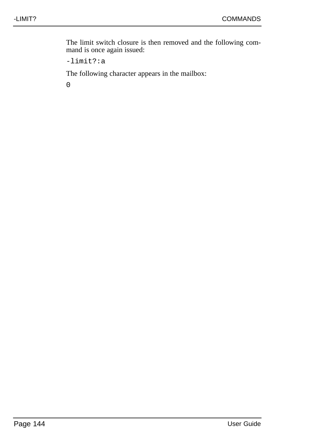The limit switch closure is then removed and the following command is once again issued:

-limit?:a

The following character appears in the mailbox: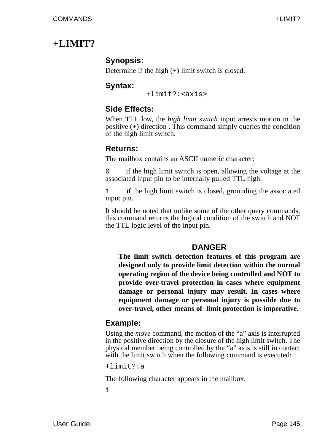# **+LIMIT?**

## **Synopsis:**

Determine if the high (+) limit switch is closed.

## **Syntax:**

+limit?:<axis>

## **Side Effects:**

When TTL low, the *high limit switch* input arrests motion in the positive (+) direction . This command simply queries the condition of the high limit switch.

## **Returns:**

The mailbox contains an ASCII numeric character:

0 if the high limit switch is open, allowing the voltage at the associated input pin to be internally pulled TTL high.

1 if the high limit switch is closed, grounding the associated input pin.

It should be noted that unlike some of the other query commands, this command returns the logical condition of the switch and NOT the TTL logic level of the input pin.

## **DANGER**

**The limit switch detection features of this program are designed only to provide limit detection within the normal operating region of the device being controlled and NOT to provide over-travel protection in cases where equipment damage or personal injury may result. In cases where equipment damage or personal injury is possible due to over-travel, other means of limit protection is imperative.** 

## **Example:**

Using the *move* command, the motion of the "a" axis is interrupted in the positive direction by the closure of the high limit switch. The physical member being controlled by the "a" axis is still in contact with the limit switch when the following command is executed:

+limit?:a

The following character appears in the mailbox: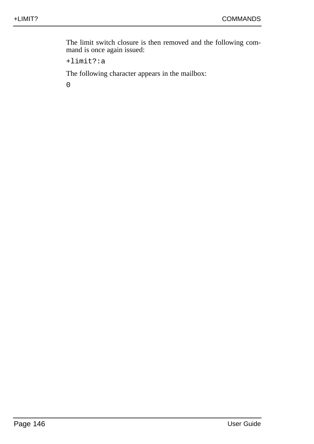The limit switch closure is then removed and the following command is once again issued:

+limit?:a

The following character appears in the mailbox: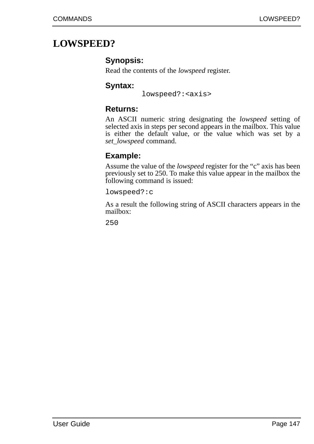## **LOWSPEED?**

## **Synopsis:**

Read the contents of the *lowspeed* register.

## **Syntax:**

lowspeed?:<axis>

### **Returns:**

An ASCII numeric string designating the *lowspeed* setting of selected axis in steps per second appears in the mailbox. This value is either the default value, or the value which was set by a *set\_lowspeed* command.

## **Example:**

Assume the value of the *lowspeed* register for the "c" axis has been previously set to 250. To make this value appear in the mailbox the following command is issued:

lowspeed?:c

As a result the following string of ASCII characters appears in the mailbox: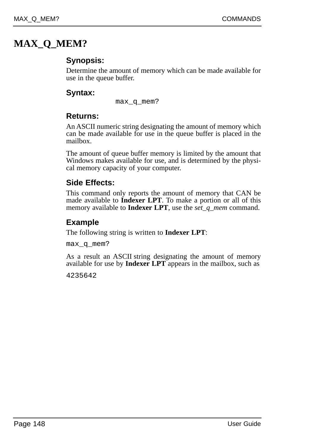# **MAX\_Q\_MEM?**

## **Synopsis:**

Determine the amount of memory which can be made available for use in the queue buffer.

## **Syntax:**

max\_q\_mem?

## **Returns:**

An ASCII numeric string designating the amount of memory which can be made available for use in the queue buffer is placed in the mailbox.

The amount of queue buffer memory is limited by the amount that Windows makes available for use, and is determined by the physical memory capacity of your computer.

## **Side Effects:**

This command only reports the amount of memory that CAN be made available to **Indexer LPT**. To make a portion or all of this memory available to **Indexer LPT**, use the *set\_q\_mem* command.

## **Example**

The following string is written to **Indexer LPT**:

max\_q\_mem?

As a result an ASCII string designating the amount of memory available for use by **Indexer LPT** appears in the mailbox, such as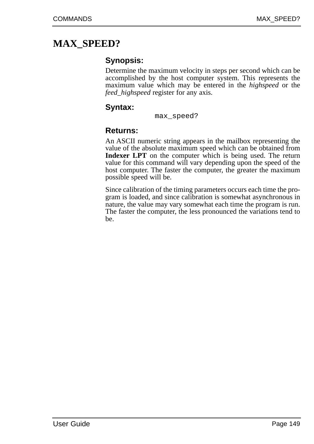# **MAX\_SPEED?**

## **Synopsis:**

Determine the maximum velocity in steps per second which can be accomplished by the host computer system. This represents the maximum value which may be entered in the *highspeed* or the *feed\_highspeed* register for any axis.

## **Syntax:**

```
max_speed?
```
#### **Returns:**

An ASCII numeric string appears in the mailbox representing the value of the absolute maximum speed which can be obtained from **Indexer LPT** on the computer which is being used. The return value for this command will vary depending upon the speed of the host computer. The faster the computer, the greater the maximum possible speed will be.

Since calibration of the timing parameters occurs each time the program is loaded, and since calibration is somewhat asynchronous in nature, the value may vary somewhat each time the program is run. The faster the computer, the less pronounced the variations tend to be.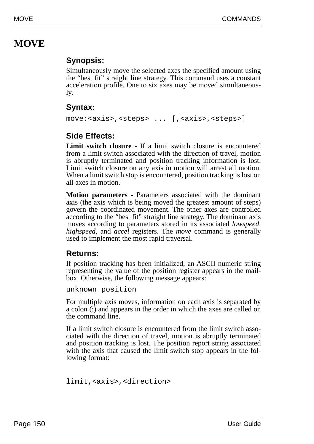# **MOVE**

## **Synopsis:**

Simultaneously move the selected axes the specified amount using the "best fit" straight line strategy. This command uses a constant acceleration profile. One to six axes may be moved simultaneously.

## **Syntax:**

move:<axis>,<steps> ... [,<axis>,<steps>]

## **Side Effects:**

**Limit switch closure -** If a limit switch closure is encountered from a limit switch associated with the direction of travel, motion is abruptly terminated and position tracking information is lost. Limit switch closure on any axis in motion will arrest all motion. When a limit switch stop is encountered, position tracking is lost on all axes in motion.

**Motion parameters -** Parameters associated with the dominant axis (the axis which is being moved the greatest amount of steps) govern the coordinated movement. The other axes are controlled according to the "best fit" straight line strategy. The dominant axis moves according to parameters stored in its associated *lowspeed, highspeed*, and *accel* registers. The *move* command is generally used to implement the most rapid traversal.

## **Returns:**

If position tracking has been initialized, an ASCII numeric string representing the value of the position register appears in the mailbox. Otherwise, the following message appears:

unknown position

For multiple axis moves, information on each axis is separated by a colon (:) and appears in the order in which the axes are called on the command line.

If a limit switch closure is encountered from the limit switch associated with the direction of travel, motion is abruptly terminated and position tracking is lost. The position report string associated with the axis that caused the limit switch stop appears in the following format:

```
limit,<axis>,<direction>
```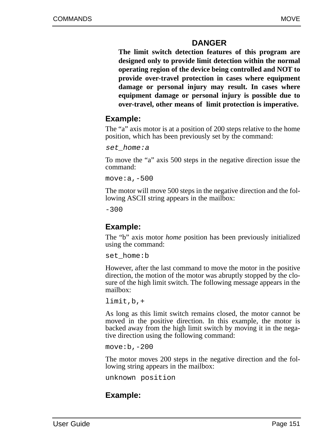## **DANGER**

**The limit switch detection features of this program are designed only to provide limit detection within the normal operating region of the device being controlled and NOT to provide over-travel protection in cases where equipment damage or personal injury may result. In cases where equipment damage or personal injury is possible due to over-travel, other means of limit protection is imperative.**

## **Example:**

The "a" axis motor is at a position of 200 steps relative to the home position, which has been previously set by the command:

set home:a

To move the "a" axis 500 steps in the negative direction issue the command:

move:a,-500

The motor will move 500 steps in the negative direction and the following ASCII string appears in the mailbox:

 $-300$ 

#### **Example:**

The "b" axis motor *home* position has been previously initialized using the command:

set home:b

However, after the last command to move the motor in the positive direction, the motion of the motor was abruptly stopped by the closure of the high limit switch. The following message appears in the mailbox:

limit,b,+

As long as this limit switch remains closed, the motor cannot be moved in the positive direction. In this example, the motor is backed away from the high limit switch by moving it in the negative direction using the following command:

move:b,-200

The motor moves 200 steps in the negative direction and the following string appears in the mailbox:

unknown position

## **Example:**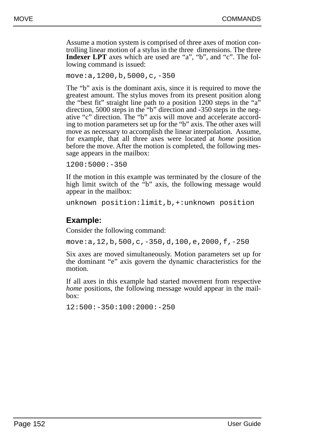Assume a motion system is comprised of three axes of motion controlling linear motion of a stylus in the three dimensions. The three **Indexer LPT** axes which are used are "a", "b", and "c". The following command is issued:

```
move:a,1200,b,5000,c,-350
```
The "b" axis is the dominant axis, since it is required to move the greatest amount. The stylus moves from its present position along the "best fit" straight line path to a position 1200 steps in the "a" direction, 5000 steps in the "b" direction and -350 steps in the negative "c" direction. The "b" axis will move and accelerate according to motion parameters set up for the "b" axis. The other axes will move as necessary to accomplish the linear interpolation. Assume, for example, that all three axes were located at *home* position before the move. After the motion is completed, the following message appears in the mailbox:

1200:5000:-350

If the motion in this example was terminated by the closure of the high limit switch of the "b" axis, the following message would appear in the mailbox:

```
unknown position:limit,b,+:unknown position
```
## **Example:**

Consider the following command:

move:a,12,b,500,c,-350,d,100,e,2000,f,-250

Six axes are moved simultaneously. Motion parameters set up for the dominant "e" axis govern the dynamic characteristics for the motion.

If all axes in this example had started movement from respective *home* positions, the following message would appear in the mailbox:

12:500:-350:100:2000:-250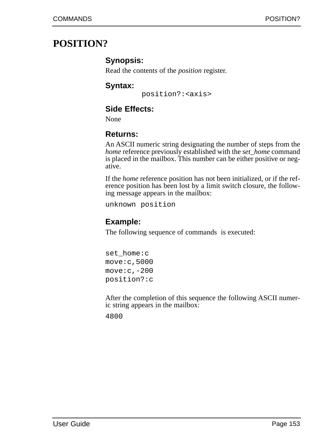## **POSITION?**

## **Synopsis:**

Read the contents of the *position* register.

## **Syntax:**

position?:<axis>

## **Side Effects:**

None

## **Returns:**

An ASCII numeric string designating the number of steps from the *home* reference previously established with the *set home* command is placed in the mailbox. This number can be either positive or negative.

If the *home* reference position has not been initialized, or if the reference position has been lost by a limit switch closure, the following message appears in the mailbox:

unknown position

## **Example:**

The following sequence of commands is executed:

set\_home:c move:c,5000 move:c,-200 position?:c

After the completion of this sequence the following ASCII numeric string appears in the mailbox: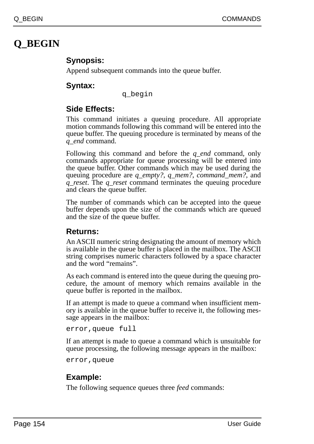# **Q\_BEGIN**

## **Synopsis:**

Append subsequent commands into the queue buffer.

## **Syntax:**

q\_begin

## **Side Effects:**

This command initiates a queuing procedure. All appropriate motion commands following this command will be entered into the queue buffer. The queuing procedure is terminated by means of the *q\_end* command.

Following this command and before the *q\_end* command, only commands appropriate for queue processing will be entered into the queue buffer. Other commands which may be used during the queuing procedure are *q\_empty?*, *q\_mem?*, *command\_mem?*, and *q\_reset*. The *q\_reset* command terminates the queuing procedure and clears the queue buffer.

The number of commands which can be accepted into the queue buffer depends upon the size of the commands which are queued and the size of the queue buffer.

## **Returns:**

An ASCII numeric string designating the amount of memory which is available in the queue buffer is placed in the mailbox. The ASCII string comprises numeric characters followed by a space character and the word "remains".

As each command is entered into the queue during the queuing procedure, the amount of memory which remains available in the queue buffer is reported in the mailbox.

If an attempt is made to queue a command when insufficient memory is available in the queue buffer to receive it, the following message appears in the mailbox:

```
error,queue full
```
If an attempt is made to queue a command which is unsuitable for queue processing, the following message appears in the mailbox:

error,queue

## **Example:**

The following sequence queues three *feed* commands: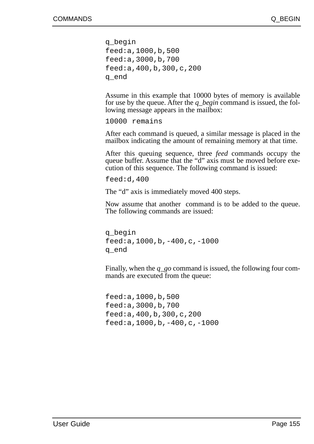```
q_begin
feed:a,1000,b,500
feed:a,3000,b,700
feed:a,400,b,300,c,200
q_end
```
Assume in this example that 10000 bytes of memory is available for use by the queue. After the *q\_begin* command is issued, the following message appears in the mailbox:

10000 remains

After each command is queued, a similar message is placed in the mailbox indicating the amount of remaining memory at that time.

After this queuing sequence, three *feed* commands occupy the queue buffer. Assume that the "d" axis must be moved before execution of this sequence. The following command is issued:

feed:d,400

The "d" axis is immediately moved 400 steps.

Now assume that another command is to be added to the queue. The following commands are issued:

q\_begin feed:a,1000,b,-400,c,-1000 q\_end

Finally, when the *q\_go* command is issued, the following four commands are executed from the queue:

feed:a,1000,b,500 feed:a,3000,b,700 feed:a,400,b,300,c,200 feed:a,1000,b,-400,c,-1000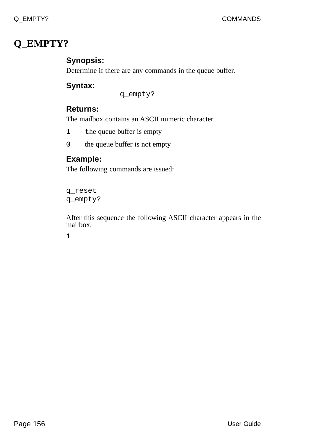# **Q\_EMPTY?**

## **Synopsis:**

Determine if there are any commands in the queue buffer.

## **Syntax:**

q\_empty?

## **Returns:**

The mailbox contains an ASCII numeric character

1 the queue buffer is empty

0 the queue buffer is not empty

## **Example:**

The following commands are issued:

q\_reset q\_empty?

After this sequence the following ASCII character appears in the mailbox: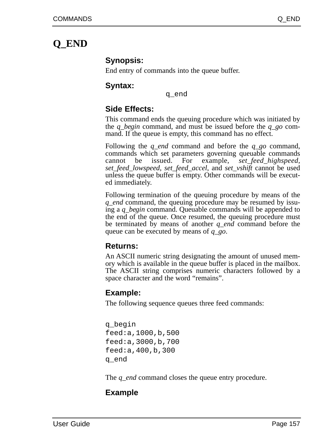# **Q\_END**

#### **Synopsis:**

End entry of commands into the queue buffer.

#### **Syntax:**

q\_end

## **Side Effects:**

This command ends the queuing procedure which was initiated by the *q\_begin* command, and must be issued before the *q\_go* command. If the queue is empty, this command has no effect.

Following the *q\_end* command and before the *q\_go* command, commands which set parameters governing queuable commands cannot be issued. For example, *set\_feed\_highspeed*, *set\_feed\_lowspeed*, *set\_feed\_accel*, and *set\_vshift* cannot be used unless the queue buffer is empty. Other commands will be executed immediately.

Following termination of the queuing procedure by means of the *q\_end* command, the queuing procedure may be resumed by issuing a *q\_begin* command. Queuable commands will be appended to the end of the queue. Once resumed, the queuing procedure must be terminated by means of another *q\_end* command before the queue can be executed by means of *q\_go*.

#### **Returns:**

An ASCII numeric string designating the amount of unused memory which is available in the queue buffer is placed in the mailbox. The ASCII string comprises numeric characters followed by a space character and the word "remains".

## **Example:**

The following sequence queues three feed commands:

q\_begin feed:a,1000,b,500 feed:a,3000,b,700 feed:a,400,b,300 q\_end

The *q\_end* command closes the queue entry procedure.

## **Example**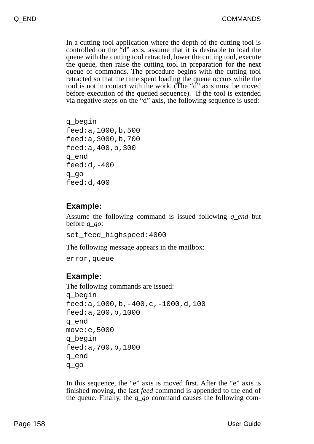In a cutting tool application where the depth of the cutting tool is controlled on the "d" axis, assume that it is desirable to load the queue with the cutting tool retracted, lower the cutting tool, execute the queue, then raise the cutting tool in preparation for the next queue of commands. The procedure begins with the cutting tool retracted so that the time spent loading the queue occurs while the tool is not in contact with the work. (The "d" axis must be moved before execution of the queued sequence). If the tool is extended via negative steps on the "d" axis, the following sequence is used:

```
q_begin
feed:a,1000,b,500
feed:a,3000,b,700
feed:a,400,b,300
q_end
feed:d,-400
q_go
feed:d,400
```
## **Example:**

Assume the following command is issued following *q end* but before *q\_go*:

set feed highspeed:4000

The following message appears in the mailbox:

error,queue

## **Example:**

```
The following commands are issued:
q_begin
feed:a,1000,b,-400,c,-1000,d,100
feed:a,200,b,1000
q_end
move:e,5000
q_begin
feed:a,700,b,1800
q_end
q_go
```
In this sequence, the "e" axis is moved first. After the "e" axis is finished moving, the last *feed* command is appended to the end of the queue. Finally, the *q\_go* command causes the following com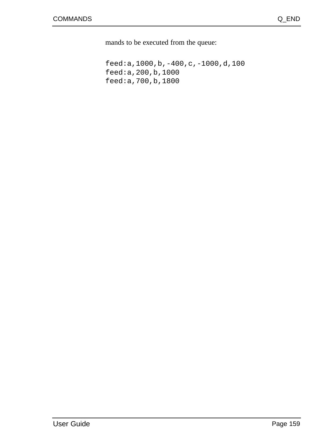mands to be executed from the queue:

feed:a,1000,b,-400,c,-1000,d,100 feed:a,200,b,1000 feed:a,700,b,1800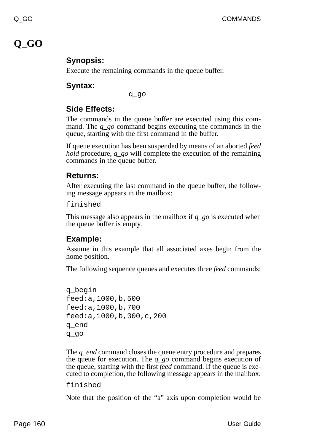# **Q\_GO**

## **Synopsis:**

Execute the remaining commands in the queue buffer.

## **Syntax:**

q\_go

## **Side Effects:**

The commands in the queue buffer are executed using this command. The *q\_go* command begins executing the commands in the queue, starting with the first command in the buffer.

If queue execution has been suspended by means of an aborted *feed hold* procedure, *q\_go* will complete the execution of the remaining commands in the queue buffer.

## **Returns:**

After executing the last command in the queue buffer, the following message appears in the mailbox:

finished

This message also appears in the mailbox if *q\_go* is executed when the queue buffer is empty.

## **Example:**

Assume in this example that all associated axes begin from the home position.

The following sequence queues and executes three *feed* commands:

```
q_begin
feed:a,1000,b,500
feed:a,1000,b,700
feed:a,1000,b,300,c,200
q_end
q_go
```
The *q\_end* command closes the queue entry procedure and prepares the queue for execution. The *q\_go* command begins execution of the queue, starting with the first *feed* command. If the queue is executed to completion, the following message appears in the mailbox:

```
finished
```
Note that the position of the "a" axis upon completion would be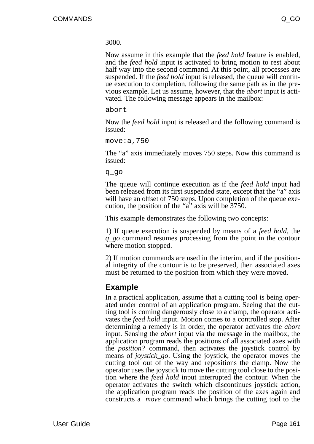3000.

Now assume in this example that the *feed hold* feature is enabled, and the *feed hold* input is activated to bring motion to rest about half way into the second command. At this point, all processes are suspended. If the *feed hold* input is released, the queue will continue execution to completion, following the same path as in the previous example. Let us assume, however, that the *abort* input is activated. The following message appears in the mailbox:

abort

Now the *feed hold* input is released and the following command is issued:

move:a,750

The "a" axis immediately moves 750 steps. Now this command is issued:

q\_go

The queue will continue execution as if the *feed hold* input had been released from its first suspended state, except that the "a" axis will have an offset of 750 steps. Upon completion of the queue execution, the position of the "a" axis will be 3750.

This example demonstrates the following two concepts:

1) If queue execution is suspended by means of a *feed hold*, the *q\_go* command resumes processing from the point in the contour where motion stopped.

2) If motion commands are used in the interim, and if the positional integrity of the contour is to be preserved, then associated axes must be returned to the position from which they were moved.

#### **Example**

In a practical application, assume that a cutting tool is being operated under control of an application program. Seeing that the cutting tool is coming dangerously close to a clamp, the operator activates the *feed hold* input. Motion comes to a controlled stop. After determining a remedy is in order, the operator activates the *abort* input. Sensing the *abort* input via the message in the mailbox, the application program reads the positions of all associated axes with the *position?* command, then activates the joystick control by means of *joystick\_go*. Using the joystick, the operator moves the cutting tool out of the way and repositions the clamp. Now the operator uses the joystick to move the cutting tool close to the position where the *feed hold* input interrupted the contour. When the operator activates the switch which discontinues joystick action, the application program reads the position of the axes again and constructs a *move* command which brings the cutting tool to the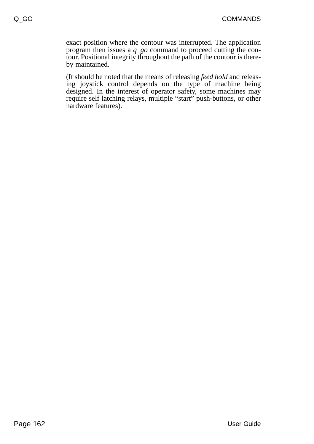exact position where the contour was interrupted. The application program then issues a *q\_go* command to proceed cutting the contour. Positional integrity throughout the path of the contour is thereby maintained.

(It should be noted that the means of releasing *feed hold* and releasing joystick control depends on the type of machine being designed. In the interest of operator safety, some machines may require self latching relays, multiple "start" push-buttons, or other hardware features).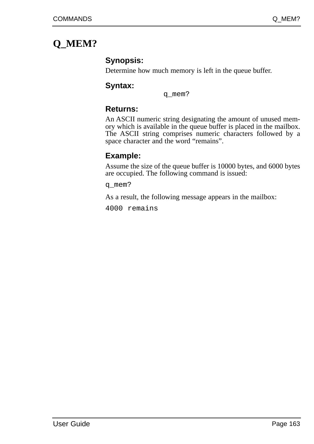# **Q\_MEM?**

## **Synopsis:**

Determine how much memory is left in the queue buffer.

## **Syntax:**

q\_mem?

## **Returns:**

An ASCII numeric string designating the amount of unused memory which is available in the queue buffer is placed in the mailbox. The ASCII string comprises numeric characters followed by a space character and the word "remains".

## **Example:**

Assume the size of the queue buffer is 10000 bytes, and 6000 bytes are occupied. The following command is issued:

q\_mem?

As a result, the following message appears in the mailbox:

4000 remains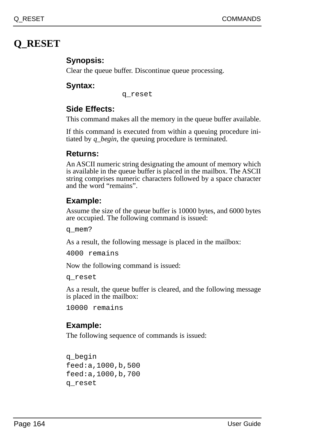# **Q\_RESET**

## **Synopsis:**

Clear the queue buffer. Discontinue queue processing.

## **Syntax:**

q\_reset

## **Side Effects:**

This command makes all the memory in the queue buffer available.

If this command is executed from within a queuing procedure initiated by *q\_begin*, the queuing procedure is terminated.

## **Returns:**

An ASCII numeric string designating the amount of memory which is available in the queue buffer is placed in the mailbox. The ASCII string comprises numeric characters followed by a space character and the word "remains".

## **Example:**

Assume the size of the queue buffer is 10000 bytes, and 6000 bytes are occupied. The following command is issued:

q\_mem?

As a result, the following message is placed in the mailbox:

4000 remains

Now the following command is issued:

q\_reset

As a result, the queue buffer is cleared, and the following message is placed in the mailbox:

10000 remains

## **Example:**

The following sequence of commands is issued:

```
q_begin
feed:a,1000,b,500
feed:a,1000,b,700
q_reset
```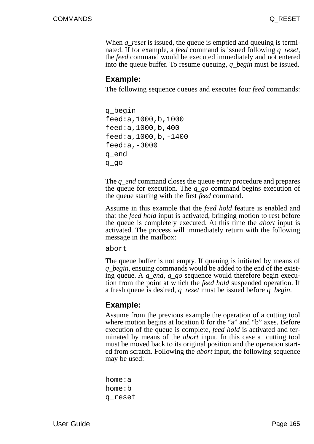When *q\_reset* is issued, the queue is emptied and queuing is terminated. If for example, a *feed* command is issued following *q\_reset,* the *feed* command would be executed immediately and not entered into the queue buffer. To resume queuing, *q\_begin* must be issued.

#### **Example:**

The following sequence queues and executes four *feed* commands:

q\_begin feed:a,1000,b,1000 feed:a,1000,b,400 feed:a,1000,b,-1400 feed:a,-3000 q\_end q\_go

The *q\_end* command closes the queue entry procedure and prepares the queue for execution. The *q\_go* command begins execution of the queue starting with the first *feed* command.

Assume in this example that the *feed hold* feature is enabled and that the *feed hold* input is activated, bringing motion to rest before the queue is completely executed. At this time the *abort* input is activated. The process will immediately return with the following message in the mailbox:

abort

The queue buffer is not empty. If queuing is initiated by means of *q\_begin*, ensuing commands would be added to the end of the existing queue. A *q\_end*, *q\_go* sequence would therefore begin execution from the point at which the *feed hold* suspended operation. If a fresh queue is desired, *q\_reset* must be issued before *q\_begin*.

## **Example:**

Assume from the previous example the operation of a cutting tool where motion begins at location 0 for the "a" and "b" axes. Before execution of the queue is complete, *feed hold* is activated and terminated by means of the *abort* input. In this case a cutting tool must be moved back to its original position and the operation started from scratch. Following the *abort* input, the following sequence may be used:

home:a home:b q\_reset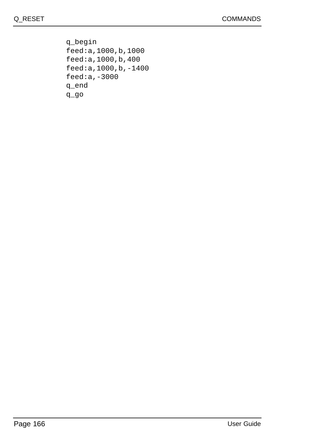q\_begin feed:a,1000,b,1000 feed:a,1000,b,400 feed:a,1000,b,-1400 feed:a,-3000 q\_end q\_go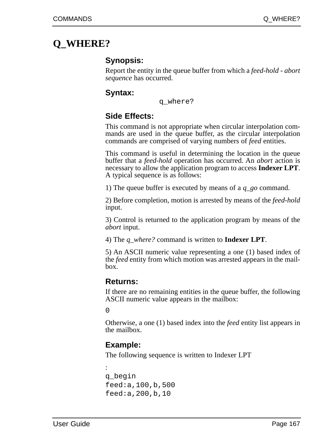# **Q\_WHERE?**

## **Synopsis:**

Report the entity in the queue buffer from which a *feed-hold - abort sequence* has occurred.

#### **Syntax:**

q\_where?

## **Side Effects:**

This command is not appropriate when circular interpolation commands are used in the queue buffer, as the circular interpolation commands are comprised of varying numbers of *feed* entities.

This command is useful in determining the location in the queue buffer that a *feed-hold* operation has occurred. An *abort* action is necessary to allow the application program to access **Indexer LPT**. A typical sequence is as follows:

1) The queue buffer is executed by means of a *q\_go* command.

2) Before completion, motion is arrested by means of the *feed-hold* input.

3) Control is returned to the application program by means of the *abort* input.

4) The *q\_where?* command is written to **Indexer LPT**.

5) An ASCII numeric value representing a one (1) based index of the *feed* entity from which motion was arrested appears in the mailbox.

#### **Returns:**

If there are no remaining entities in the queue buffer, the following ASCII numeric value appears in the mailbox:

 $\Omega$ 

Otherwise, a one (1) based index into the *feed* entity list appears in the mailbox.

#### **Example:**

The following sequence is written to Indexer LPT

```
:
q_begin
feed:a,100,b,500
feed:a,200,b,10
```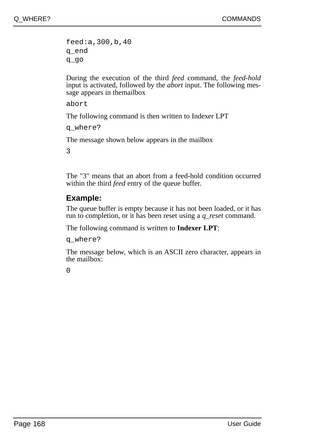feed:a,300,b,40 q\_end q\_go

During the execution of the third *feed* command, the *feed-hold* input is activated, followed by the *abort* input. The following message appears in themailbox

abort

The following command is then written to Indexer LPT

q\_where?

The message shown below appears in the mailbox

3

The "3" means that an abort from a feed-hold condition occurred within the third *feed* entry of the queue buffer.

## **Example:**

The queue buffer is empty because it has not been loaded, or it has run to completion, or it has been reset using a *q\_reset* command.

The following command is written to **Indexer LPT**:

q\_where?

The message below, which is an ASCII zero character, appears in the mailbox:

 $\Omega$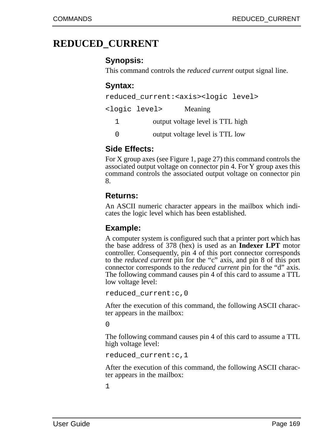# **REDUCED\_CURRENT**

#### **Synopsis:**

This command controls the *reduced current* output signal line.

## **Syntax:**

|   |                                  | reduced current: <axis><logic level=""></logic></axis> |  |
|---|----------------------------------|--------------------------------------------------------|--|
|   | <logic level=""></logic>         | Meaning                                                |  |
| 1 | output voltage level is TTL high |                                                        |  |
| U |                                  | output voltage level is TTL low                        |  |

#### **Side Effects:**

For X group axes (see Figure 1, page 27) this command controls the associated output voltage on connector pin 4. For Y group axes this command controls the associated output voltage on connector pin 8.

#### **Returns:**

An ASCII numeric character appears in the mailbox which indicates the logic level which has been established.

#### **Example:**

A computer system is configured such that a printer port which has the base address of 378 (hex) is used as an **Indexer LPT** motor controller. Consequently, pin 4 of this port connector corresponds to the *reduced current* pin for the "c" axis, and pin 8 of this port connector corresponds to the *reduced current* pin for the "d" axis. The following command causes pin 4 of this card to assume a TTL low voltage level:

```
reduced_current:c,0
```
After the execution of this command, the following ASCII character appears in the mailbox:

 $\Omega$ 

The following command causes pin 4 of this card to assume a TTL high voltage level:

reduced\_current:c,1

After the execution of this command, the following ASCII character appears in the mailbox: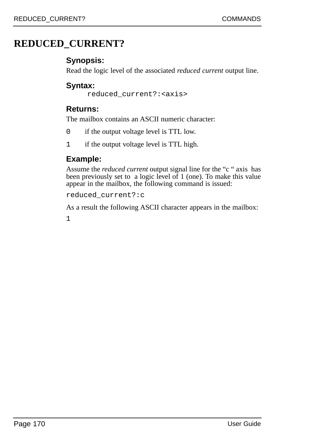# **REDUCED\_CURRENT?**

## **Synopsis:**

Read the logic level of the associated *reduced current* output line.

## **Syntax:**

reduced\_current?:<axis>

## **Returns:**

The mailbox contains an ASCII numeric character:

- 0 if the output voltage level is TTL low.
- 1 if the output voltage level is TTL high.

## **Example:**

Assume the *reduced current* output signal line for the "c " axis has been previously set to a logic level of 1 (one). To make this value appear in the mailbox, the following command is issued:

reduced\_current?:c

As a result the following ASCII character appears in the mailbox: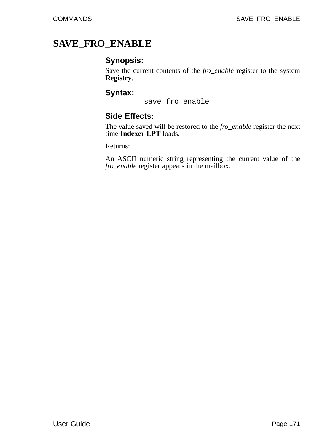# **SAVE\_FRO\_ENABLE**

#### **Synopsis:**

Save the current contents of the *fro\_enable* register to the system **Registry**.

#### **Syntax:**

save\_fro\_enable

#### **Side Effects:**

The value saved will be restored to the *fro\_enable* register the next time **Indexer LPT** loads.

Returns:

An ASCII numeric string representing the current value of the *fro\_enable* register appears in the mailbox.]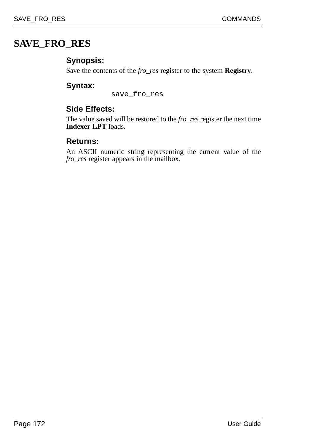# **SAVE\_FRO\_RES**

## **Synopsis:**

Save the contents of the *fro\_res* register to the system **Registry**.

## **Syntax:**

save\_fro\_res

## **Side Effects:**

The value saved will be restored to the *fro\_res* register the next time **Indexer LPT** loads.

#### **Returns:**

An ASCII numeric string representing the current value of the *fro\_res* register appears in the mailbox.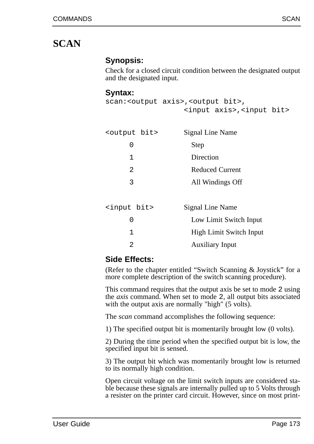## **SCAN**

### **Synopsis:**

Check for a closed circuit condition between the designated output and the designated input.

#### **Syntax:**

```
scan:<output axis>,<output bit>,
                  <input axis>,<input bit>
```

| <output bit=""></output> | Signal Line Name        |  |
|--------------------------|-------------------------|--|
| 0                        | Step                    |  |
| 1                        | Direction               |  |
| $\mathfrak{D}$           | <b>Reduced Current</b>  |  |
| 3                        | All Windings Off        |  |
|                          |                         |  |
| <input bit=""/>          | Signal Line Name        |  |
| 0                        | Low Limit Switch Input  |  |
| 1                        | High Limit Switch Input |  |

#### 2 Auxiliary Input

## **Side Effects:**

(Refer to the chapter entitled "Switch Scanning & Joystick" for a more complete description of the switch scanning procedure).

This command requires that the output axis be set to mode 2 using the *axis* command. When set to mode 2, all output bits associated with the output axis are normally "high" (5 volts).

The *scan* command accomplishes the following sequence:

1) The specified output bit is momentarily brought low (0 volts).

2) During the time period when the specified output bit is low, the specified input bit is sensed.

3) The output bit which was momentarily brought low is returned to its normally high condition.

Open circuit voltage on the limit switch inputs are considered stable because these signals are internally pulled up to 5 Volts through a resister on the printer card circuit. However, since on most print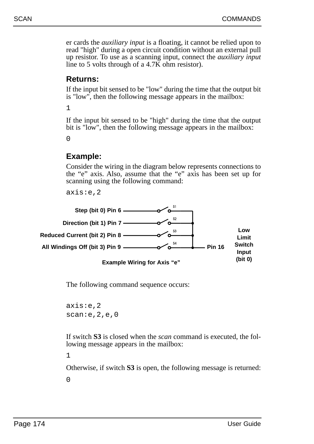er cards the *auxiliary input* is a floating, it cannot be relied upon to read "high" during a open circuit condition without an external pull up resistor. To use as a scanning input, connect the *auxiliary input* line to 5 volts through of a  $4.7\overline{\text{K}}$  ohm resistor).

#### **Returns:**

If the input bit sensed to be "low" during the time that the output bit is "low", then the following message appears in the mailbox:

1

If the input bit sensed to be "high" during the time that the output bit is "low", then the following message appears in the mailbox:

 $\Omega$ 

### **Example:**

Consider the wiring in the diagram below represents connections to the "e" axis. Also, assume that the "e" axis has been set up for scanning using the following command:

axis:e,2



The following command sequence occurs:

axis:e,2 scan:e,2,e,0

If switch **S3** is closed when the *scan* command is executed, the following message appears in the mailbox:

1

Otherwise, if switch **S3** is open, the following message is returned: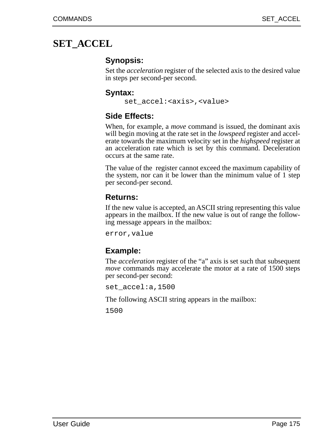## **SET\_ACCEL**

## **Synopsis:**

Set the *acceleration* register of the selected axis to the desired value in steps per second-per second.

#### **Syntax:**

set\_accel:<axis>,<value>

## **Side Effects:**

When, for example, a *move* command is issued, the dominant axis will begin moving at the rate set in the *lowspeed* register and accelerate towards the maximum velocity set in the *highspeed* register at an acceleration rate which is set by this command. Deceleration occurs at the same rate.

The value of the register cannot exceed the maximum capability of the system, nor can it be lower than the minimum value of 1 step per second-per second.

### **Returns:**

If the new value is accepted, an ASCII string representing this value appears in the mailbox. If the new value is out of range the following message appears in the mailbox:

error,value

## **Example:**

The *acceleration* register of the "a" axis is set such that subsequent *move* commands may accelerate the motor at a rate of 1500 steps per second-per second:

set\_accel:a,1500

The following ASCII string appears in the mailbox: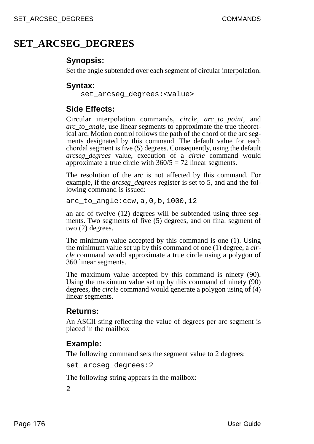## **SET\_ARCSEG\_DEGREES**

### **Synopsis:**

Set the angle subtended over each segment of circular interpolation.

### **Syntax:**

set arcseg degrees: <value>

### **Side Effects:**

Circular interpolation commands, *circle*, *arc\_to\_point*, and *arc\_to\_angle*, use linear segments to approximate the true theoretical arc. Motion control follows the path of the chord of the arc segments designated by this command. The default value for each chordal segment is five (5) degrees. Consequently, using the default *arcseg\_degrees* value, execution of a *circle* command would approximate a true circle with 360/5 = 72 linear segments.

The resolution of the arc is not affected by this command. For example, if the *arcseg\_degrees* register is set to 5, and and the following command is issued:

arc\_to\_angle:ccw,a,0,b,1000,12

an arc of twelve (12) degrees will be subtended using three segments. Two segments of five (5) degrees, and on final segment of two (2) degrees.

The minimum value accepted by this command is one (1). Using the minimum value set up by this command of one (1) degree, a *circle* command would approximate a true circle using a polygon of 360 linear segments.

The maximum value accepted by this command is ninety (90). Using the maximum value set up by this command of ninety (90) degrees, the *circle* command would generate a polygon using of (4) linear segments.

### **Returns:**

An ASCII sting reflecting the value of degrees per arc segment is placed in the mailbox

## **Example:**

The following command sets the segment value to 2 degrees:

```
set arcseg degrees: 2
```
The following string appears in the mailbox: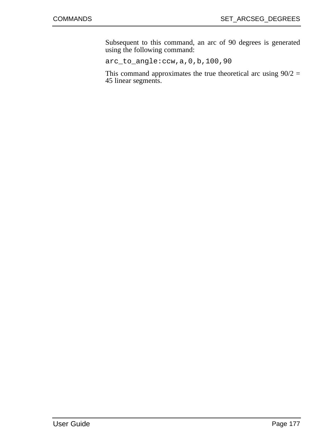Subsequent to this command, an arc of 90 degrees is generated using the following command:

arc\_to\_angle:ccw,a,0,b,100,90

This command approximates the true theoretical arc using  $90/2 =$ 45 linear segments.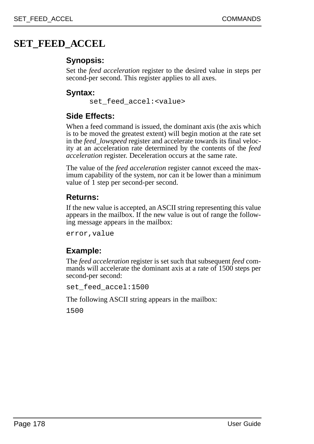## **SET\_FEED\_ACCEL**

## **Synopsis:**

Set the *feed acceleration* register to the desired value in steps per second-per second. This register applies to all axes.

## **Syntax:**

set\_feed\_accel:<value>

## **Side Effects:**

When a feed command is issued, the dominant axis (the axis which is to be moved the greatest extent) will begin motion at the rate set in the *feed\_lowspeed* register and accelerate towards its final velocity at an acceleration rate determined by the contents of the *feed acceleration* register. Deceleration occurs at the same rate.

The value of the *feed acceleration* register cannot exceed the maximum capability of the system, nor can it be lower than a minimum value of 1 step per second-per second.

## **Returns:**

If the new value is accepted, an ASCII string representing this value appears in the mailbox. If the new value is out of range the following message appears in the mailbox:

error,value

## **Example:**

The *feed acceleration* register is set such that subsequent *feed* commands will accelerate the dominant axis at a rate of 1500 steps per second-per second:

set\_feed\_accel:1500

The following ASCII string appears in the mailbox: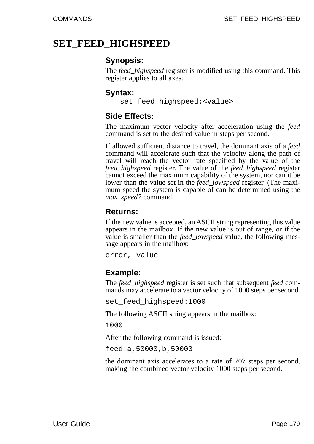## **SET\_FEED\_HIGHSPEED**

### **Synopsis:**

The *feed\_highspeed* register is modified using this command. This register applies to all axes.

### **Syntax:**

set\_feed\_highspeed:<value>

## **Side Effects:**

The maximum vector velocity after acceleration using the *feed* command is set to the desired value in steps per second.

If allowed sufficient distance to travel, the dominant axis of a *feed* command will accelerate such that the velocity along the path of travel will reach the vector rate specified by the value of the *feed\_highspeed* register. The value of the *feed\_highspeed* register cannot exceed the maximum capability of the system, nor can it be lower than the value set in the *feed\_lowspeed* register. (The maximum speed the system is capable of can be determined using the *max\_speed?* command.

### **Returns:**

If the new value is accepted, an ASCII string representing this value appears in the mailbox. If the new value is out of range, or if the value is smaller than the *feed\_lowspeed* value, the following message appears in the mailbox:

error, value

## **Example:**

The *feed\_highspeed* register is set such that subsequent *feed* commands may accelerate to a vector velocity of 1000 steps per second.

set\_feed\_highspeed:1000

The following ASCII string appears in the mailbox:

1000

After the following command is issued:

feed:a,50000,b,50000

the dominant axis accelerates to a rate of 707 steps per second, making the combined vector velocity 1000 steps per second.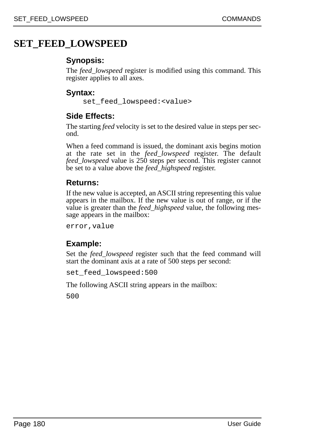## **SET\_FEED\_LOWSPEED**

## **Synopsis:**

The *feed\_lowspeed* register is modified using this command. This register applies to all axes.

## **Syntax:**

set\_feed\_lowspeed:<value>

## **Side Effects:**

The starting *feed* velocity is set to the desired value in steps per second.

When a feed command is issued, the dominant axis begins motion at the rate set in the *feed\_lowspeed* register. The default *feed\_lowspeed* value is 250 steps per second. This register cannot be set to a value above the *feed\_highspeed* register.

## **Returns:**

If the new value is accepted, an ASCII string representing this value appears in the mailbox. If the new value is out of range, or if the value is greater than the *feed\_highspeed* value, the following message appears in the mailbox:

error,value

## **Example:**

Set the *feed\_lowspeed* register such that the feed command will start the dominant axis at a rate of 500 steps per second:

set\_feed\_lowspeed:500

The following ASCII string appears in the mailbox: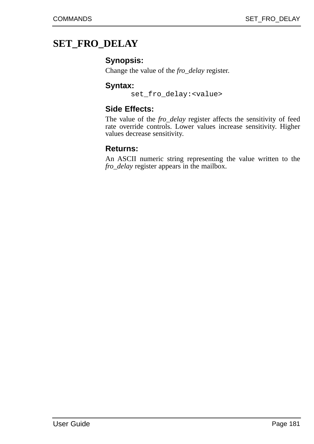## **SET\_FRO\_DELAY**

#### **Synopsis:**

Change the value of the *fro\_delay* register.

#### **Syntax:**

set\_fro\_delay:<value>

## **Side Effects:**

The value of the *fro\_delay* register affects the sensitivity of feed rate override controls. Lower values increase sensitivity. Higher values decrease sensitivity.

#### **Returns:**

An ASCII numeric string representing the value written to the *fro\_delay* register appears in the mailbox.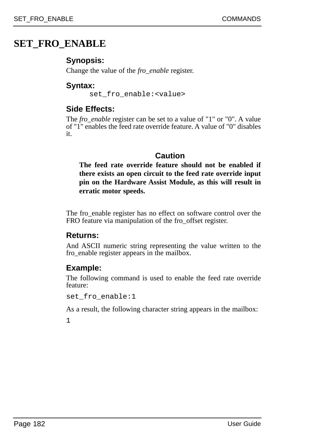## **SET\_FRO\_ENABLE**

## **Synopsis:**

Change the value of the *fro\_enable* register.

### **Syntax:**

set fro enable:<value>

## **Side Effects:**

The *fro\_enable* register can be set to a value of "1" or "0". A value of "1" enables the feed rate override feature. A value of "0" disables it.

## **Caution**

**The feed rate override feature should not be enabled if there exists an open circuit to the feed rate override input pin on the Hardware Assist Module, as this will result in erratic motor speeds.**

The fro\_enable register has no effect on software control over the FRO feature via manipulation of the fro\_offset register.

## **Returns:**

And ASCII numeric string representing the value written to the fro\_enable register appears in the mailbox.

## **Example:**

The following command is used to enable the feed rate override feature:

set fro enable:1

As a result, the following character string appears in the mailbox: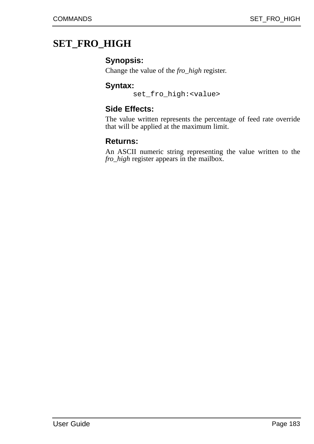## **SET\_FRO\_HIGH**

### **Synopsis:**

Change the value of the *fro\_high* register.

#### **Syntax:**

set\_fro\_high:<value>

## **Side Effects:**

The value written represents the percentage of feed rate override that will be applied at the maximum limit.

### **Returns:**

An ASCII numeric string representing the value written to the *fro\_high* register appears in the mailbox.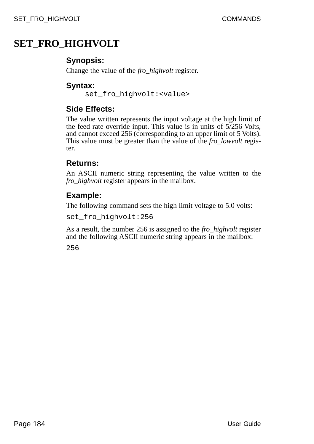## **SET\_FRO\_HIGHVOLT**

## **Synopsis:**

Change the value of the *fro\_highvolt* register.

### **Syntax:**

set fro highvolt:<value>

## **Side Effects:**

The value written represents the input voltage at the high limit of the feed rate override input. This value is in units of 5/256 Volts, and cannot exceed 256 (corresponding to an upper limit of 5 Volts). This value must be greater than the value of the *fro\_lowvolt* register.

### **Returns:**

An ASCII numeric string representing the value written to the *fro\_highvolt* register appears in the mailbox.

## **Example:**

The following command sets the high limit voltage to 5.0 volts:

set\_fro\_highvolt:256

As a result, the number 256 is assigned to the *fro\_highvolt* register and the following ASCII numeric string appears in the mailbox: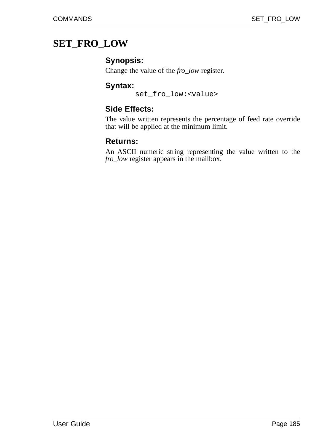## **SET\_FRO\_LOW**

### **Synopsis:**

Change the value of the *fro\_low* register.

#### **Syntax:**

set\_fro\_low:<value>

## **Side Effects:**

The value written represents the percentage of feed rate override that will be applied at the minimum limit.

### **Returns:**

An ASCII numeric string representing the value written to the *fro\_low* register appears in the mailbox.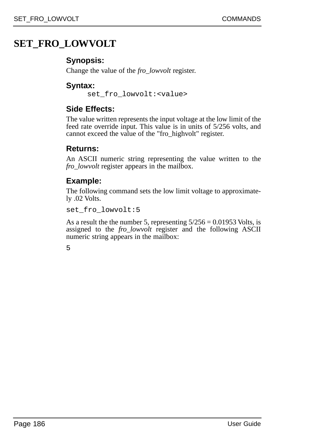## **SET\_FRO\_LOWVOLT**

## **Synopsis:**

Change the value of the *fro\_lowvolt* register.

### **Syntax:**

set fro lowvolt: <value>

## **Side Effects:**

The value written represents the input voltage at the low limit of the feed rate override input. This value is in units of 5/256 volts, and cannot exceed the value of the "fro\_highvolt" register.

### **Returns:**

An ASCII numeric string representing the value written to the *fro\_lowvolt* register appears in the mailbox.

## **Example:**

The following command sets the low limit voltage to approximately .02 Volts.

set\_fro\_lowvolt:5

As a result the the number 5, representing  $5/256 = 0.01953$  Volts, is assigned to the *fro\_lowvolt* register and the following ASCII numeric string appears in the mailbox: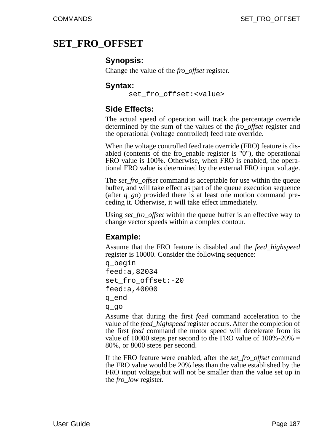## **SET\_FRO\_OFFSET**

#### **Synopsis:**

Change the value of the *fro\_offset* register.

#### **Syntax:**

set fro offset:<value>

### **Side Effects:**

The actual speed of operation will track the percentage override determined by the sum of the values of the *fro\_offset* register and the operational (voltage controlled) feed rate override.

When the voltage controlled feed rate override (FRO) feature is disabled (contents of the fro\_enable register is "0"), the operational FRO value is 100%. Otherwise, when FRO is enabled, the operational FRO value is determined by the external FRO input voltage.

The *set fro\_offset* command is acceptable for use within the queue buffer, and will take effect as part of the queue execution sequence (after *q\_go*) provided there is at least one motion command preceding it. Otherwise, it will take effect immediately.

Using *set\_fro\_offset* within the queue buffer is an effective way to change vector speeds within a complex contour.

### **Example:**

Assume that the FRO feature is disabled and the *feed\_highspeed* register is 10000. Consider the following sequence:

```
q_begin
feed:a,82034
set_fro_offset:-20
feed:a,40000
q_end
q_go
```
Assume that during the first *feed* command acceleration to the value of the *feed\_highspeed* register occurs. After the completion of the first *feed* command the motor speed will decelerate from its value of 10000 steps per second to the FRO value of  $100\% - 20\% =$ 80%, or 8000 steps per second.

If the FRO feature were enabled, after the *set\_fro\_offset* command the FRO value would be 20% less than the value established by the FRO input voltage,but will not be smaller than the value set up in the *fro\_low* register.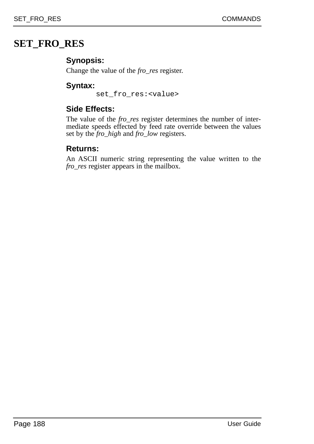## **SET\_FRO\_RES**

## **Synopsis:**

Change the value of the *fro\_res* register.

### **Syntax:**

set fro res: <value>

## **Side Effects:**

The value of the *fro\_res* register determines the number of intermediate speeds effected by feed rate override between the values set by the *fro\_high* and *fro\_low* registers.

### **Returns:**

An ASCII numeric string representing the value written to the *fro\_res* register appears in the mailbox.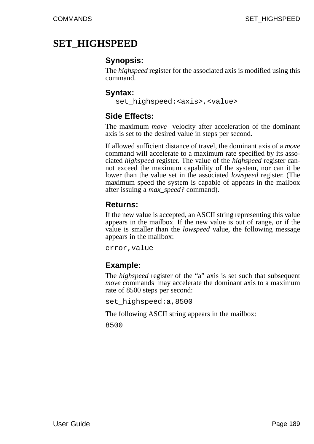## **SET\_HIGHSPEED**

### **Synopsis:**

The *highspeed* register for the associated axis is modified using this command.

#### **Syntax:**

set\_highspeed:<axis>,<value>

## **Side Effects:**

The maximum *move* velocity after acceleration of the dominant axis is set to the desired value in steps per second.

If allowed sufficient distance of travel, the dominant axis of a *move* command will accelerate to a maximum rate specified by its associated *highspeed* register. The value of the *highspeed* register cannot exceed the maximum capability of the system, nor can it be lower than the value set in the associated *lowspeed* register. (The maximum speed the system is capable of appears in the mailbox after issuing a *max\_speed?* command).

### **Returns:**

If the new value is accepted, an ASCII string representing this value appears in the mailbox. If the new value is out of range, or if the value is smaller than the *lowspeed* value, the following message appears in the mailbox:

error,value

## **Example:**

The *highspeed* register of the "a" axis is set such that subsequent *move* commands may accelerate the dominant axis to a maximum rate of 8500 steps per second:

set\_highspeed:a,8500

The following ASCII string appears in the mailbox: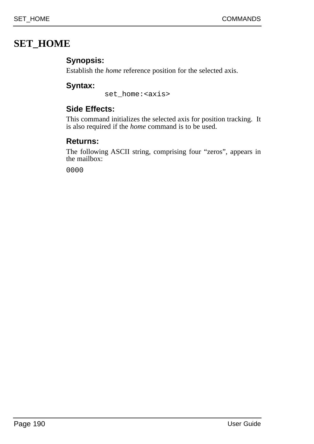## **SET\_HOME**

## **Synopsis:**

Establish the *home* reference position for the selected axis.

## **Syntax:**

set home:<axis>

## **Side Effects:**

This command initializes the selected axis for position tracking. It is also required if the *home* command is to be used.

## **Returns:**

The following ASCII string, comprising four "zeros", appears in the mailbox: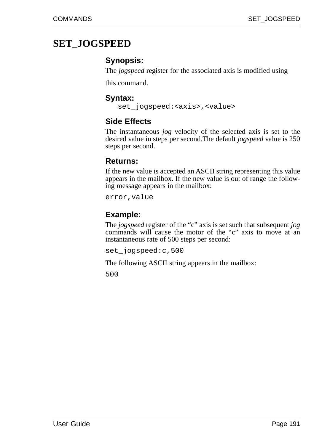## **SET\_JOGSPEED**

## **Synopsis:**

The *jogspeed* register for the associated axis is modified using

this command.

### **Syntax:**

set jogspeed:<axis>,<value>

## **Side Effects**

The instantaneous *jog* velocity of the selected axis is set to the desired value in steps per second.The default *jogspeed* value is 250 steps per second.

### **Returns:**

If the new value is accepted an ASCII string representing this value appears in the mailbox. If the new value is out of range the following message appears in the mailbox:

error,value

## **Example:**

The *jogspeed* register of the "c" axis is set such that subsequent *jog* commands will cause the motor of the "c" axis to move at an instantaneous rate of 500 steps per second:

set\_jogspeed:c,500

The following ASCII string appears in the mailbox: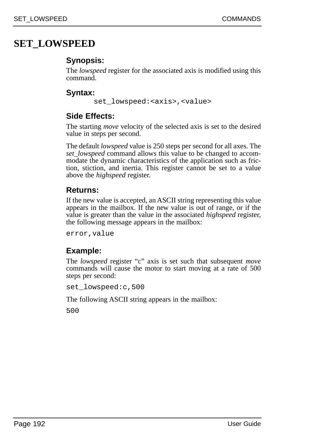## **SET\_LOWSPEED**

## **Synopsis:**

The *lowspeed* register for the associated axis is modified using this command.

## **Syntax:**

set\_lowspeed:<axis>,<value>

## **Side Effects:**

The starting *move* velocity of the selected axis is set to the desired value in steps per second.

The default *lowspeed* value is 250 steps per second for all axes. The *set\_lowspeed* command allows this value to be changed to accommodate the dynamic characteristics of the application such as friction, stiction, and inertia. This register cannot be set to a value above the *highspeed* register.

## **Returns:**

If the new value is accepted, an ASCII string representing this value appears in the mailbox. If the new value is out of range, or if the value is greater than the value in the associated *highspeed* register, the following message appears in the mailbox:

error,value

## **Example:**

The *lowspeed* register "c" axis is set such that subsequent *move* commands will cause the motor to start moving at a rate of 500 steps per second:

set\_lowspeed:c,500

The following ASCII string appears in the mailbox: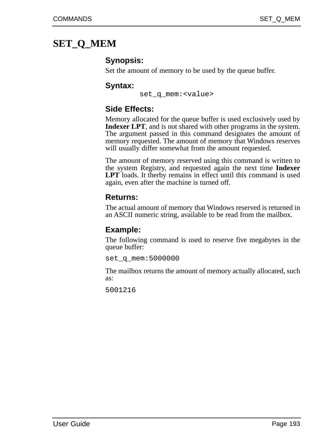## **SET\_Q\_MEM**

## **Synopsis:**

Set the amount of memory to be used by the queue buffer.

### **Syntax:**

set q mem: <value>

## **Side Effects:**

Memory allocated for the queue buffer is used exclusively used by **Indexer LPT**, and is not shared with other programs in the system. The argument passed in this command designates the amount of memory requested. The amount of memory that Windows reserves will usually differ somewhat from the amount requested.

The amount of memory reserved using this command is written to the system Registry, and requested again the next time **Indexer LPT** loads. It therby remains in effect until this command is used again, even after the machine is turned off.

### **Returns:**

The actual amount of memory that Windows reserved is returned in an ASCII numeric string, available to be read from the mailbox.

## **Example:**

The following command is used to reserve five megabytes in the queue buffer:

set q mem:5000000

The mailbox returns the amount of memory actually allocated, such as: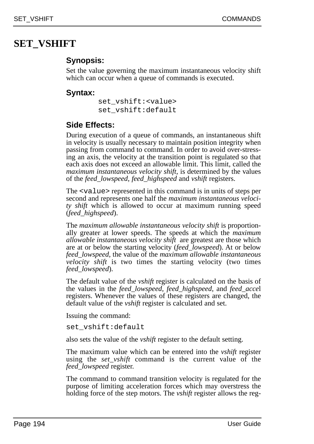## **SET\_VSHIFT**

## **Synopsis:**

Set the value governing the maximum instantaneous velocity shift which can occur when a queue of commands is executed.

### **Syntax:**

set\_vshift:<value> set\_vshift:default

## **Side Effects:**

During execution of a queue of commands, an instantaneous shift in velocity is usually necessary to maintain position integrity when passing from command to command. In order to avoid over-stressing an axis, the velocity at the transition point is regulated so that each axis does not exceed an allowable limit. This limit, called the *maximum instantaneous velocity shift*, is determined by the values of the *feed\_lowspeed*, *feed\_highspeed* and *vshift* registers.

The <value> represented in this command is in units of steps per second and represents one half the *maximum instantaneous velocity shift* which is allowed to occur at maximum running speed (*feed\_highspeed*).

The *maximum allowable instantaneous velocity shift* is proportionally greater at lower speeds. The speeds at which the *maximum allowable instantaneous velocity shift* are greatest are those which are at or below the starting velocity (*feed\_lowspeed*). At or below *feed\_lowspeed*, the value of the *maximum allowable instantaneous velocity shift* is two times the starting velocity (two times *feed\_lowspeed*).

The default value of the *vshift* register is calculated on the basis of the values in the *feed\_lowspeed*, *feed\_highspeed*, and *feed\_acce*l registers. Whenever the values of these registers are changed, the default value of the *vshift* register is calculated and set.

Issuing the command:

set vshift:default

also sets the value of the *vshift* register to the default setting.

The maximum value which can be entered into the *vshift* register using the *set\_vshift* command is the current value of the *feed\_lowspeed* register.

The command to command transition velocity is regulated for the purpose of limiting acceleration forces which may overstress the holding force of the step motors. The *vshift* register allows the reg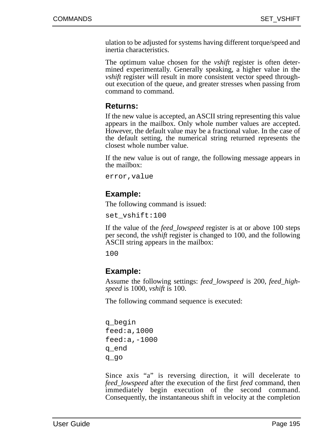ulation to be adjusted for systems having different torque/speed and inertia characteristics.

The optimum value chosen for the *vshift* register is often determined experimentally. Generally speaking, a higher value in the *vshift* register will result in more consistent vector speed throughout execution of the queue, and greater stresses when passing from command to command.

#### **Returns:**

If the new value is accepted, an ASCII string representing this value appears in the mailbox. Only whole number values are accepted. However, the default value may be a fractional value. In the case of the default setting, the numerical string returned represents the closest whole number value.

If the new value is out of range, the following message appears in the mailbox:

error,value

### **Example:**

The following command is issued:

set\_vshift:100

If the value of the *feed\_lowspeed* register is at or above 100 steps per second, the *vshift* register is changed to 100, and the following ASCII string appears in the mailbox:

100

### **Example:**

Assume the following settings: *feed\_lowspeed* is 200, *feed\_highspeed* is 1000, *vshift* is 100.

The following command sequence is executed:

```
q_begin
feed:a,1000
feed:a,-1000
q_end
q_go
```
Since axis "a" is reversing direction, it will decelerate to *feed\_lowspeed* after the execution of the first *feed* command, then immediately begin execution of the second command. Consequently, the instantaneous shift in velocity at the completion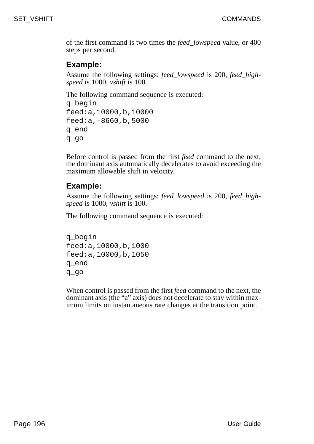of the first command is two times the *feed\_lowspeed* value, or 400 steps per second.

#### **Example:**

Assume the following settings: *feed\_lowspeed* is 200, *feed\_highspeed* is 1000, *vshift* is 100.

The following command sequence is executed:

```
q_begin
feed:a,10000,b,10000
feed:a,-8660,b,5000
q_end
q_go
```
Before control is passed from the first *feed* command to the next, the dominant axis automatically decelerates to avoid exceeding the maximum allowable shift in velocity.

## **Example:**

Assume the following settings: *feed\_lowspeed* is 200, *feed\_highspeed* is 1000, *vshift* is 100.

The following command sequence is executed:

```
q_begin
feed:a,10000,b,1000
feed:a,10000,b,1050
q_end
q_go
```
When control is passed from the first *feed* command to the next, the dominant axis (the "a" axis) does not decelerate to stay within maximum limits on instantaneous rate changes at the transition point.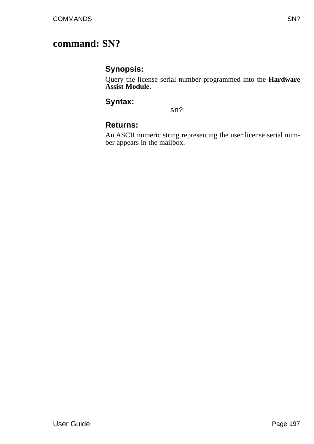## **command: SN?**

### **Synopsis:**

Query the license serial number programmed into the **Hardware Assist Module**.

### **Syntax:**

sn?

## **Returns:**

An ASCII numeric string representing the user license serial number appears in the mailbox.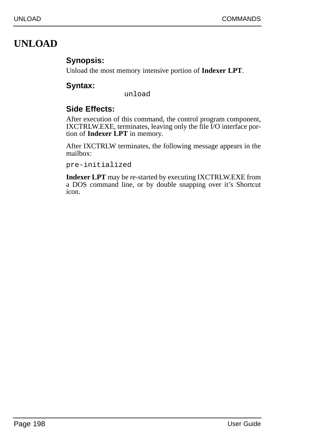## **UNLOAD**

## **Synopsis:**

Unload the most memory intensive portion of **Indexer LPT**.

## **Syntax:**

unload

## **Side Effects:**

After execution of this command, the control program component, IXCTRLW.EXE, terminates, leaving only the file I/O interface portion of **Indexer LPT** in memory.

After IXCTRLW terminates, the following message appears in the mailbox:

pre-initialized

**Indexer LPT** may be re-started by executing IXCTRLW.EXE from a DOS command line, or by double snapping over it's Shortcut icon.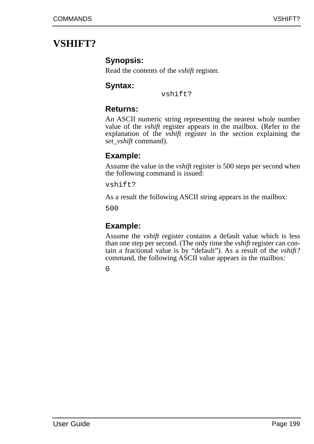## **VSHIFT?**

## **Synopsis:**

Read the contents of the *vshift* register.

## **Syntax:**

vshift?

## **Returns:**

An ASCII numeric string representing the nearest whole number value of the *vshift* register appears in the mailbox. (Refer to the explanation of the *vshift* register in the section explaining the *set\_vshift* command).

## **Example:**

Assume the value in the *vshift* register is 500 steps per second when the following command is issued:

vshift?

As a result the following ASCII string appears in the mailbox:

500

## **Example:**

Assume the *vshift* register contains a default value which is less than one step per second. (The only time the *vshift* register can contain a fractional value is by "default"). As a result of the *vshift?* command, the following ASCII value appears in the mailbox: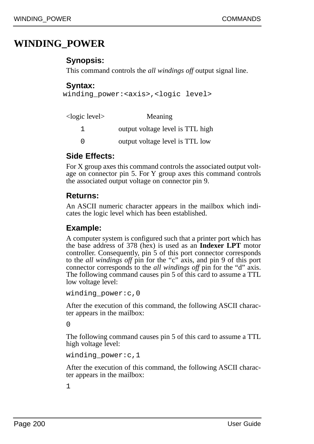## **WINDING\_POWER**

### **Synopsis:**

This command controls the *all windings off* output signal line.

### **Syntax:**

```
winding power:<axis>,<logic level>
```

| <logic level=""></logic> | Meaning                          |
|--------------------------|----------------------------------|
|                          | output voltage level is TTL high |
| $\cap$                   | output voltage level is TTL low  |

## **Side Effects:**

For X group axes this command controls the associated output voltage on connector pin 5. For Y group axes this command controls the associated output voltage on connector pin 9.

### **Returns:**

An ASCII numeric character appears in the mailbox which indicates the logic level which has been established.

### **Example:**

A computer system is configured such that a printer port which has the base address of 378 (hex) is used as an **Indexer LPT** motor controller. Consequently, pin 5 of this port connector corresponds to the *all windings off* pin for the "c" axis, and pin 9 of this port connector corresponds to the *all windings off* pin for the "d" axis. The following command causes pin 5 of this card to assume a TTL low voltage level:

```
winding power:c,0
```
After the execution of this command, the following ASCII character appears in the mailbox:

 $\Omega$ 

The following command causes pin 5 of this card to assume a TTL high voltage level:

```
winding power: c,1
```
After the execution of this command, the following ASCII character appears in the mailbox: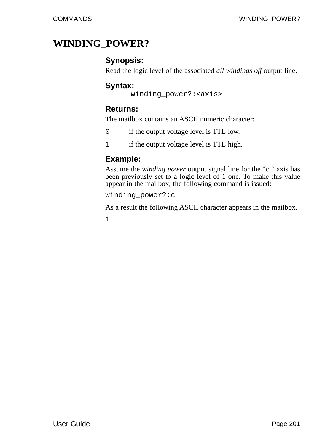## **WINDING\_POWER?**

### **Synopsis:**

Read the logic level of the associated *all windings off* output line.

### **Syntax:**

```
winding power?: <axis>
```
## **Returns:**

The mailbox contains an ASCII numeric character:

- 0 if the output voltage level is TTL low.
- 1 if the output voltage level is TTL high.

## **Example:**

Assume the *winding power* output signal line for the "c " axis has been previously set to a logic level of 1 one. To make this value appear in the mailbox, the following command is issued:

winding\_power?:c

As a result the following ASCII character appears in the mailbox.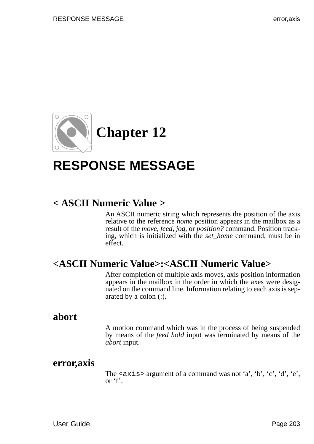

# **RESPONSE MESSAGE**

## **< ASCII Numeric Value >**

An ASCII numeric string which represents the position of the axis relative to the reference *home* position appears in the mailbox as a result of the *move, feed, jog,* or *position?* command. Position tracking, which is initialized with the *set\_home* command, must be in effect.

## **<ASCII Numeric Value>:<ASCII Numeric Value>**

After completion of multiple axis moves, axis position information appears in the mailbox in the order in which the axes were designated on the command line. Information relating to each axis is separated by a colon (:).

## **abort**

A motion command which was in the process of being suspended by means of the *feed hold* input was terminated by means of the *abort* input.

## **error,axis**

The  $\langle \exists x \exists z \rangle$  argument of a command was not 'a', 'b', 'c', 'd', 'e', or 'f'.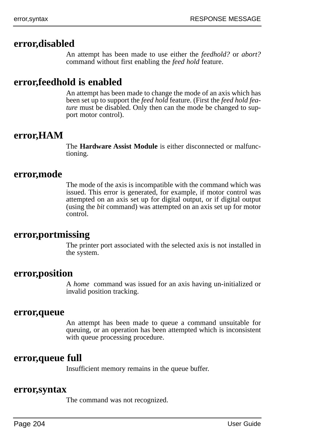## **error,disabled**

An attempt has been made to use either the *feedhold?* or *abort?* command without first enabling the *feed hold* feature.

## **error,feedhold is enabled**

An attempt has been made to change the mode of an axis which has been set up to support the *feed hold* feature. (First the *feed hold feature* must be disabled. Only then can the mode be changed to support motor control).

## **error,HAM**

The **Hardware Assist Module** is either disconnected or malfunctioning.

### **error,mode**

The mode of the axis is incompatible with the command which was issued. This error is generated, for example, if motor control was attempted on an axis set up for digital output, or if digital output (using the *bit* command) was attempted on an axis set up for motor control.

## **error,portmissing**

The printer port associated with the selected axis is not installed in the system.

### **error,position**

A *home* command was issued for an axis having un-initialized or invalid position tracking.

#### **error,queue**

An attempt has been made to queue a command unsuitable for queuing, or an operation has been attempted which is inconsistent with queue processing procedure.

## **error,queue full**

Insufficient memory remains in the queue buffer.

#### **error,syntax**

The command was not recognized.